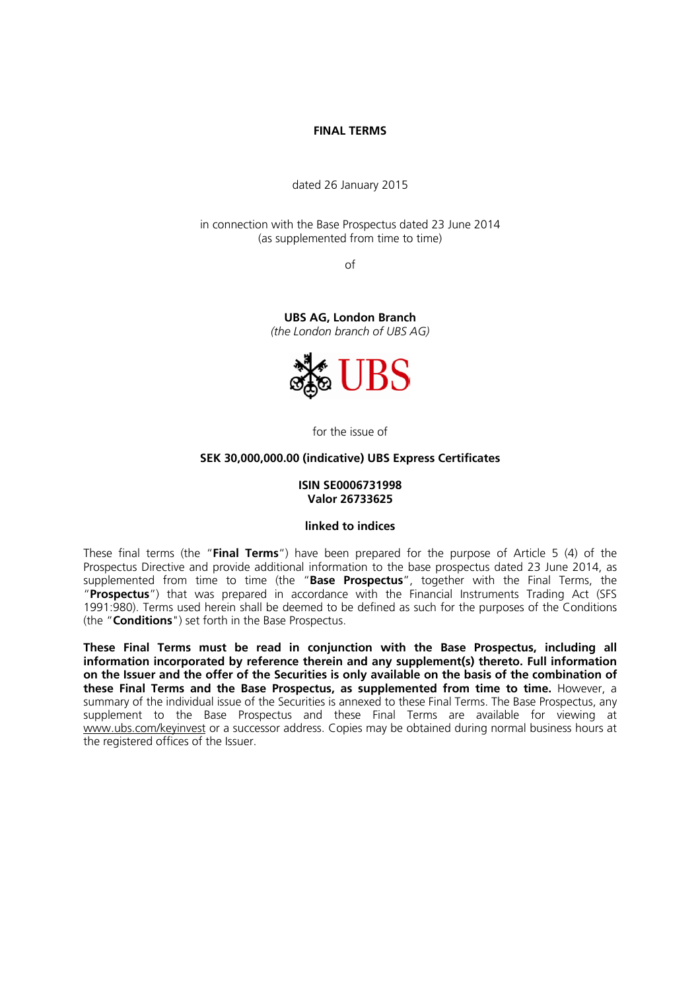#### **FINAL TERMS**

dated 26 January 2015

in connection with the Base Prospectus dated 23 June 2014 (as supplemented from time to time)

of

**UBS AG, London Branch**  *(the London branch of UBS AG)*



for the issue of

#### **SEK 30,000,000.00 (indicative) UBS Express Certificates**

#### **ISIN SE0006731998 Valor 26733625**

#### **linked to indices**

These final terms (the "**Final Terms**") have been prepared for the purpose of Article 5 (4) of the Prospectus Directive and provide additional information to the base prospectus dated 23 June 2014, as supplemented from time to time (the "**Base Prospectus**", together with the Final Terms, the "**Prospectus**") that was prepared in accordance with the Financial Instruments Trading Act (SFS 1991:980). Terms used herein shall be deemed to be defined as such for the purposes of the Conditions (the "**Conditions**") set forth in the Base Prospectus.

**These Final Terms must be read in conjunction with the Base Prospectus, including all information incorporated by reference therein and any supplement(s) thereto. Full information on the Issuer and the offer of the Securities is only available on the basis of the combination of these Final Terms and the Base Prospectus, as supplemented from time to time.** However, a summary of the individual issue of the Securities is annexed to these Final Terms. The Base Prospectus, any supplement to the Base Prospectus and these Final Terms are available for viewing at www.ubs.com/keyinvest or a successor address. Copies may be obtained during normal business hours at the registered offices of the Issuer.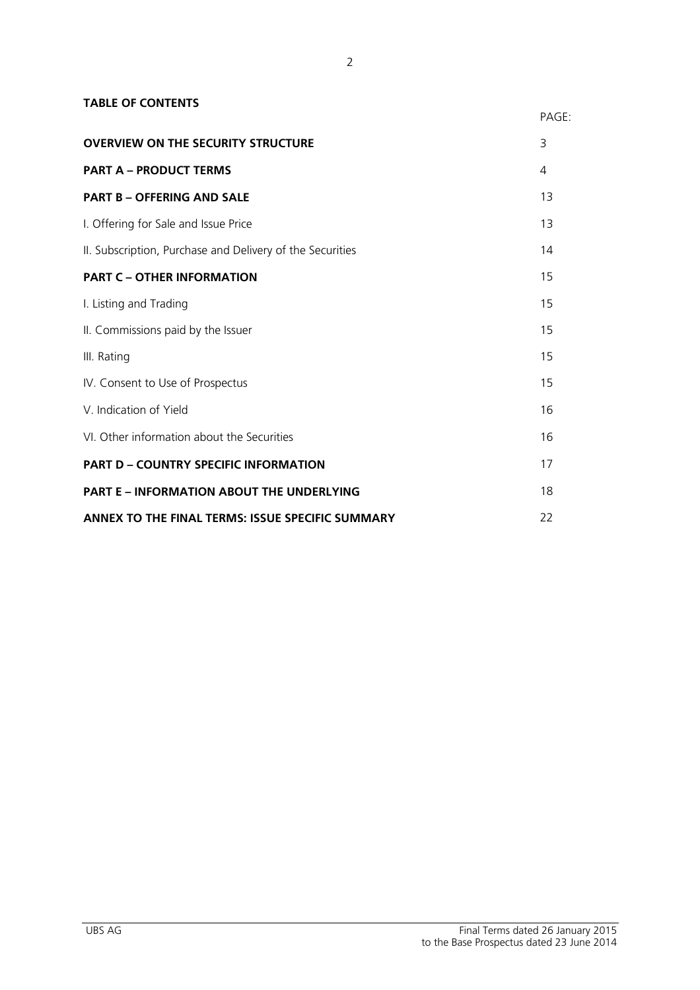| <b>TABLE OF CONTENTS</b>                                  |       |
|-----------------------------------------------------------|-------|
|                                                           | PAGE: |
| <b>OVERVIEW ON THE SECURITY STRUCTURE</b>                 | 3     |
| <b>PART A - PRODUCT TERMS</b>                             | 4     |
| <b>PART B - OFFERING AND SALE</b>                         | 13    |
| I. Offering for Sale and Issue Price                      | 13    |
| II. Subscription, Purchase and Delivery of the Securities | 14    |
| <b>PART C - OTHER INFORMATION</b>                         | 15    |
| I. Listing and Trading                                    | 15    |
| II. Commissions paid by the Issuer                        | 15    |
| III. Rating                                               | 15    |
| IV. Consent to Use of Prospectus                          | 15    |
| V. Indication of Yield                                    | 16    |
| VI. Other information about the Securities                | 16    |
| <b>PART D - COUNTRY SPECIFIC INFORMATION</b>              | 17    |
| <b>PART E - INFORMATION ABOUT THE UNDERLYING</b>          | 18    |
| ANNEX TO THE FINAL TERMS: ISSUE SPECIFIC SUMMARY          | 22    |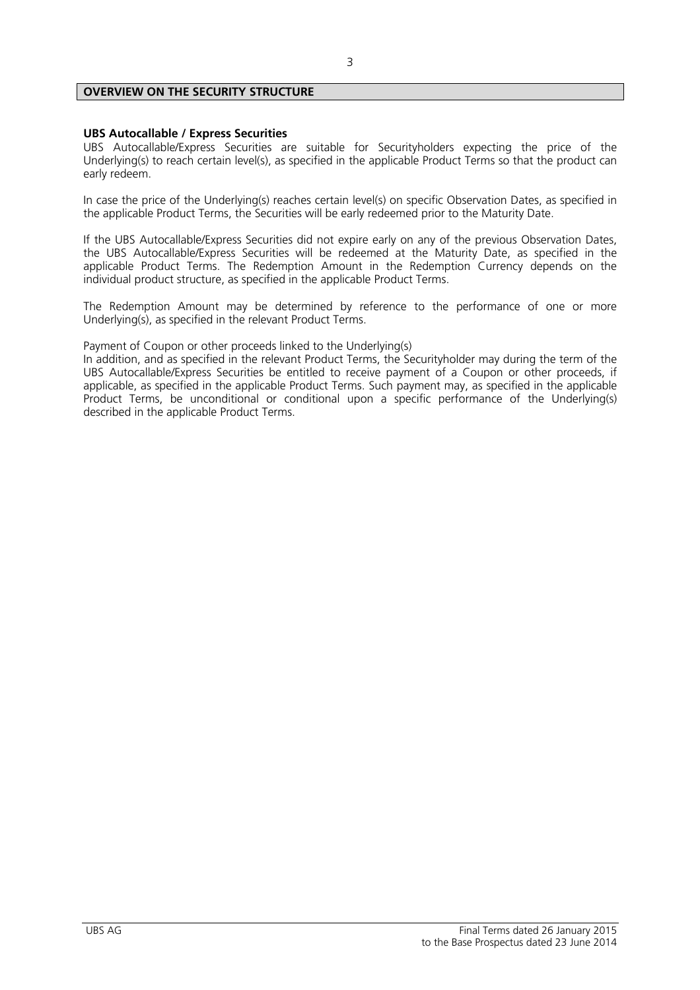# **OVERVIEW ON THE SECURITY STRUCTURE**

# **UBS Autocallable / Express Securities**

UBS Autocallable/Express Securities are suitable for Securityholders expecting the price of the Underlying(s) to reach certain level(s), as specified in the applicable Product Terms so that the product can early redeem.

In case the price of the Underlying(s) reaches certain level(s) on specific Observation Dates, as specified in the applicable Product Terms, the Securities will be early redeemed prior to the Maturity Date.

If the UBS Autocallable/Express Securities did not expire early on any of the previous Observation Dates, the UBS Autocallable/Express Securities will be redeemed at the Maturity Date, as specified in the applicable Product Terms. The Redemption Amount in the Redemption Currency depends on the individual product structure, as specified in the applicable Product Terms.

The Redemption Amount may be determined by reference to the performance of one or more Underlying(s), as specified in the relevant Product Terms.

Payment of Coupon or other proceeds linked to the Underlying(s)

In addition, and as specified in the relevant Product Terms, the Securityholder may during the term of the UBS Autocallable/Express Securities be entitled to receive payment of a Coupon or other proceeds, if applicable, as specified in the applicable Product Terms. Such payment may, as specified in the applicable Product Terms, be unconditional or conditional upon a specific performance of the Underlying(s) described in the applicable Product Terms.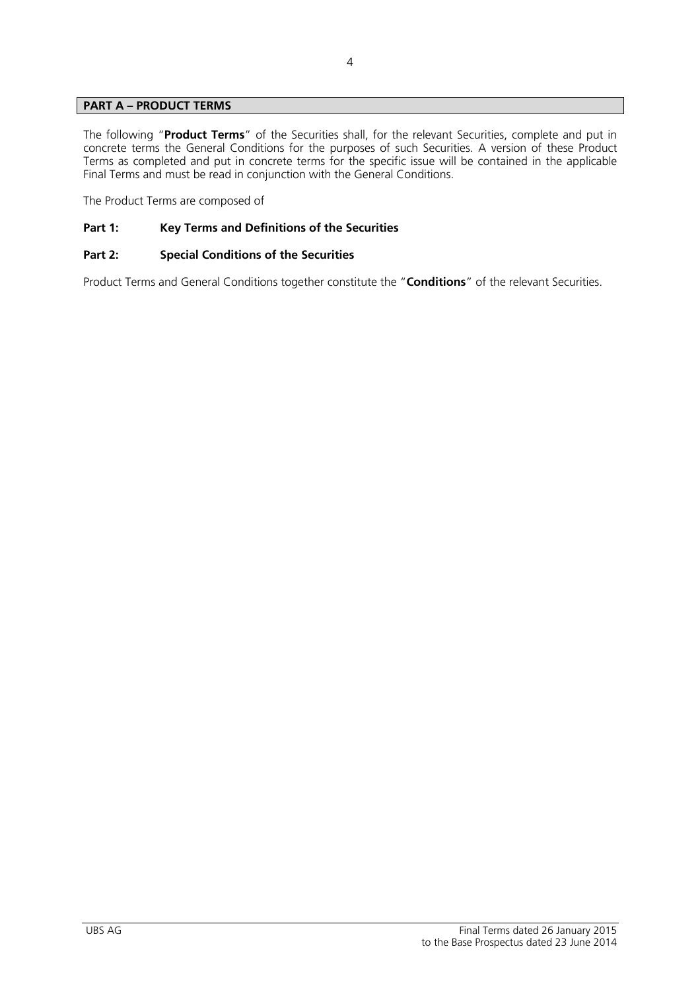# **PART A – PRODUCT TERMS**

The following "**Product Terms**" of the Securities shall, for the relevant Securities, complete and put in concrete terms the General Conditions for the purposes of such Securities. A version of these Product Terms as completed and put in concrete terms for the specific issue will be contained in the applicable Final Terms and must be read in conjunction with the General Conditions.

The Product Terms are composed of

# **Part 1: Key Terms and Definitions of the Securities**

# **Part 2: Special Conditions of the Securities**

Product Terms and General Conditions together constitute the "**Conditions**" of the relevant Securities.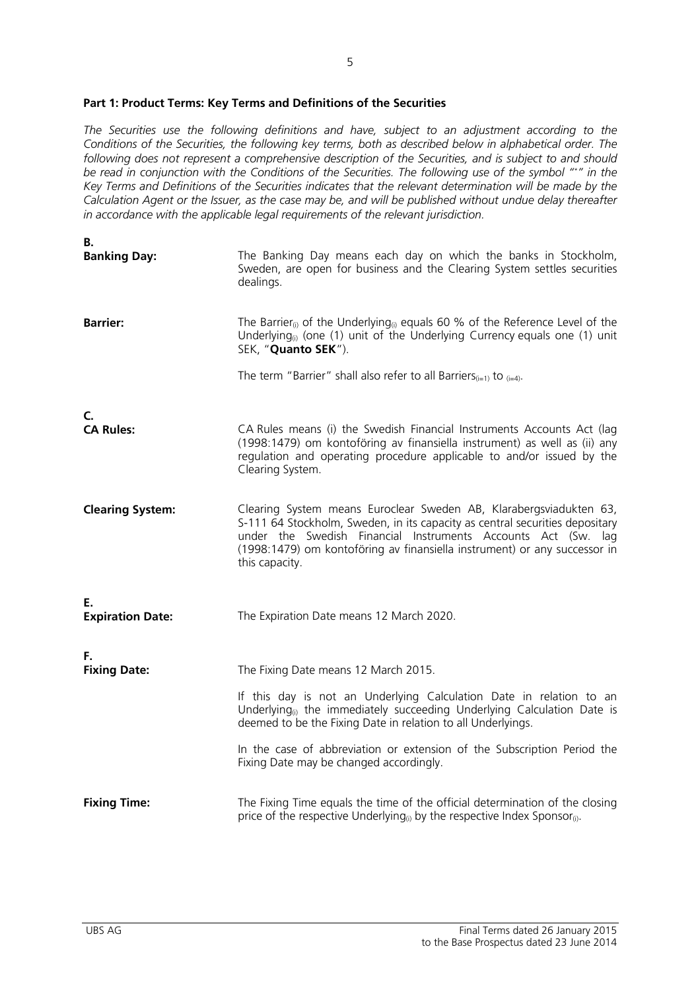# **Part 1: Product Terms: Key Terms and Definitions of the Securities**

*The Securities use the following definitions and have, subject to an adjustment according to the Conditions of the Securities, the following key terms, both as described below in alphabetical order. The following does not represent a comprehensive description of the Securities, and is subject to and should be read in conjunction with the Conditions of the Securities. The following use of the symbol "\*" in the Key Terms and Definitions of the Securities indicates that the relevant determination will be made by the Calculation Agent or the Issuer, as the case may be, and will be published without undue delay thereafter in accordance with the applicable legal requirements of the relevant jurisdiction.* 

5

| В.<br><b>Banking Day:</b>     | The Banking Day means each day on which the banks in Stockholm,<br>Sweden, are open for business and the Clearing System settles securities<br>dealings.                                                                                                                                                                                                                                 |
|-------------------------------|------------------------------------------------------------------------------------------------------------------------------------------------------------------------------------------------------------------------------------------------------------------------------------------------------------------------------------------------------------------------------------------|
| <b>Barrier:</b>               | The Barrier <sub>(i)</sub> of the Underlying <sub>(i)</sub> equals 60 % of the Reference Level of the<br>Underlying <sub>(i)</sub> (one (1) unit of the Underlying Currency equals one (1) unit<br>SEK, "Quanto SEK").                                                                                                                                                                   |
|                               | The term "Barrier" shall also refer to all Barriers $_{(i=1)}$ to $_{(i=4)}$ .                                                                                                                                                                                                                                                                                                           |
| C.<br><b>CA Rules:</b>        | CA Rules means (i) the Swedish Financial Instruments Accounts Act (lag<br>(1998:1479) om kontoföring av finansiella instrument) as well as (ii) any<br>regulation and operating procedure applicable to and/or issued by the<br>Clearing System.                                                                                                                                         |
| <b>Clearing System:</b>       | Clearing System means Euroclear Sweden AB, Klarabergsviadukten 63,<br>S-111 64 Stockholm, Sweden, in its capacity as central securities depositary<br>under the Swedish Financial Instruments Accounts Act (Sw. lag<br>(1998:1479) om kontoföring av finansiella instrument) or any successor in<br>this capacity.                                                                       |
| Ε.<br><b>Expiration Date:</b> | The Expiration Date means 12 March 2020.                                                                                                                                                                                                                                                                                                                                                 |
| F.<br><b>Fixing Date:</b>     | The Fixing Date means 12 March 2015.<br>If this day is not an Underlying Calculation Date in relation to an<br>Underlying <sub>(i)</sub> the immediately succeeding Underlying Calculation Date is<br>deemed to be the Fixing Date in relation to all Underlyings.<br>In the case of abbreviation or extension of the Subscription Period the<br>Fixing Date may be changed accordingly. |
| <b>Fixing Time:</b>           | The Fixing Time equals the time of the official determination of the closing<br>price of the respective Underlying <sub>(i)</sub> by the respective Index Sponsor <sub>(i)</sub> .                                                                                                                                                                                                       |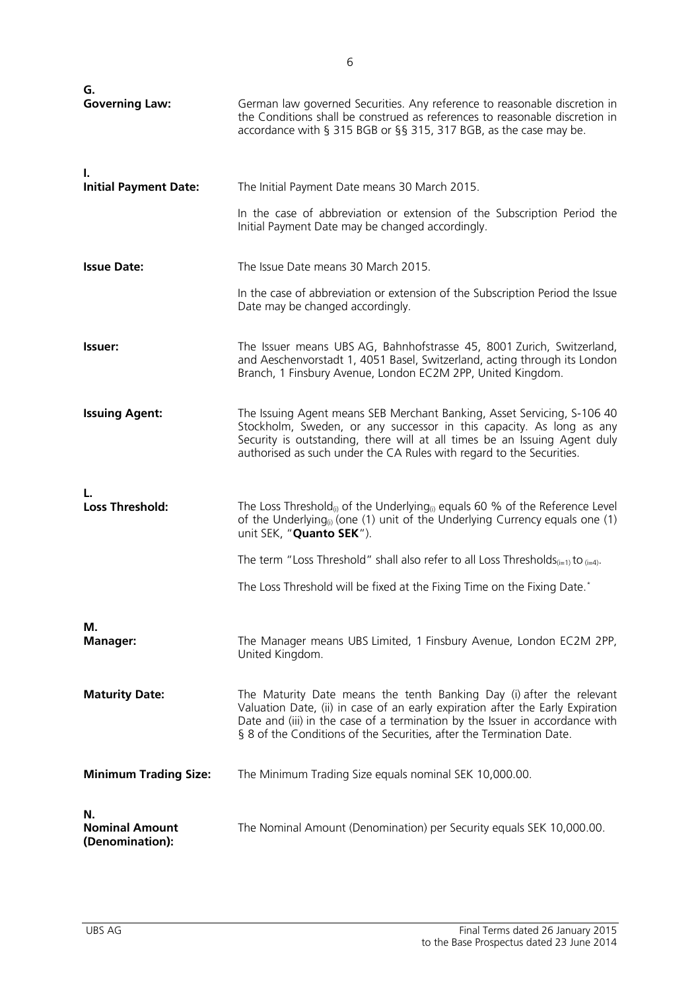| G.<br><b>Governing Law:</b>                    | German law governed Securities. Any reference to reasonable discretion in<br>the Conditions shall be construed as references to reasonable discretion in<br>accordance with § 315 BGB or §§ 315, 317 BGB, as the case may be.                                                                                  |
|------------------------------------------------|----------------------------------------------------------------------------------------------------------------------------------------------------------------------------------------------------------------------------------------------------------------------------------------------------------------|
| Т.<br><b>Initial Payment Date:</b>             | The Initial Payment Date means 30 March 2015.                                                                                                                                                                                                                                                                  |
|                                                | In the case of abbreviation or extension of the Subscription Period the<br>Initial Payment Date may be changed accordingly.                                                                                                                                                                                    |
| <b>Issue Date:</b>                             | The Issue Date means 30 March 2015.                                                                                                                                                                                                                                                                            |
|                                                | In the case of abbreviation or extension of the Subscription Period the Issue<br>Date may be changed accordingly.                                                                                                                                                                                              |
| <b>Issuer:</b>                                 | The Issuer means UBS AG, Bahnhofstrasse 45, 8001 Zurich, Switzerland,<br>and Aeschenvorstadt 1, 4051 Basel, Switzerland, acting through its London<br>Branch, 1 Finsbury Avenue, London EC2M 2PP, United Kingdom.                                                                                              |
| <b>Issuing Agent:</b>                          | The Issuing Agent means SEB Merchant Banking, Asset Servicing, S-106 40<br>Stockholm, Sweden, or any successor in this capacity. As long as any<br>Security is outstanding, there will at all times be an Issuing Agent duly<br>authorised as such under the CA Rules with regard to the Securities.           |
| <b>Loss Threshold:</b>                         | The Loss Threshold <sub>(i)</sub> of the Underlying <sub>(i)</sub> equals 60 % of the Reference Level<br>of the Underlying <sub>(i)</sub> (one (1) unit of the Underlying Currency equals one (1)<br>unit SEK, "Quanto SEK").                                                                                  |
|                                                | The term "Loss Threshold" shall also refer to all Loss Thresholds <sub>(i=1)</sub> to $_{(i=4)}$ .                                                                                                                                                                                                             |
|                                                | The Loss Threshold will be fixed at the Fixing Time on the Fixing Date.*                                                                                                                                                                                                                                       |
| М.<br><b>Manager:</b>                          | The Manager means UBS Limited, 1 Finsbury Avenue, London EC2M 2PP,<br>United Kingdom.                                                                                                                                                                                                                          |
| <b>Maturity Date:</b>                          | The Maturity Date means the tenth Banking Day (i) after the relevant<br>Valuation Date, (ii) in case of an early expiration after the Early Expiration<br>Date and (iii) in the case of a termination by the Issuer in accordance with<br>§ 8 of the Conditions of the Securities, after the Termination Date. |
| <b>Minimum Trading Size:</b>                   | The Minimum Trading Size equals nominal SEK 10,000.00.                                                                                                                                                                                                                                                         |
| N.<br><b>Nominal Amount</b><br>(Denomination): | The Nominal Amount (Denomination) per Security equals SEK 10,000.00.                                                                                                                                                                                                                                           |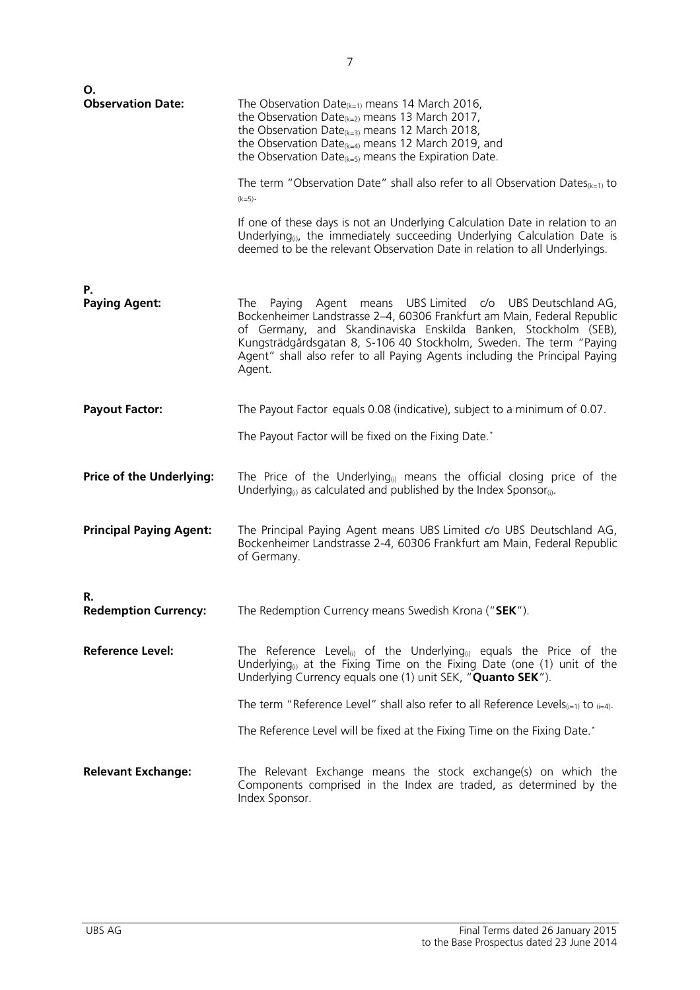| О.<br><b>Observation Date:</b>    | The Observation Date <sub>(k=1)</sub> means 14 March 2016,                                                                                                                                                                                                                                                                                                                     |
|-----------------------------------|--------------------------------------------------------------------------------------------------------------------------------------------------------------------------------------------------------------------------------------------------------------------------------------------------------------------------------------------------------------------------------|
|                                   | the Observation Date <sub>(k=2)</sub> means 13 March 2017,<br>the Observation Date <sub>(k=3)</sub> means 12 March 2018,<br>the Observation Date <sub>(k=4)</sub> means 12 March 2019, and<br>the Observation Date $_{k=5}$ means the Expiration Date.                                                                                                                         |
|                                   | The term "Observation Date" shall also refer to all Observation Dates $_{k=1}$ to<br>$(k=5)$ .                                                                                                                                                                                                                                                                                 |
|                                   | If one of these days is not an Underlying Calculation Date in relation to an<br>Underlying <sub>(i)</sub> , the immediately succeeding Underlying Calculation Date is<br>deemed to be the relevant Observation Date in relation to all Underlyings.                                                                                                                            |
| Р.                                |                                                                                                                                                                                                                                                                                                                                                                                |
| <b>Paying Agent:</b>              | Agent means UBS Limited c/o UBS Deutschland AG,<br>Paying<br>The<br>Bockenheimer Landstrasse 2-4, 60306 Frankfurt am Main, Federal Republic<br>of Germany, and Skandinaviska Enskilda Banken, Stockholm (SEB),<br>Kungsträdgårdsgatan 8, S-106 40 Stockholm, Sweden. The term "Paying<br>Agent" shall also refer to all Paying Agents including the Principal Paying<br>Agent. |
| <b>Payout Factor:</b>             | The Payout Factor equals 0.08 (indicative), subject to a minimum of 0.07.                                                                                                                                                                                                                                                                                                      |
|                                   | The Payout Factor will be fixed on the Fixing Date.*                                                                                                                                                                                                                                                                                                                           |
| <b>Price of the Underlying:</b>   | The Price of the Underlying <sub>(i)</sub> means the official closing price of the<br>Underlying <sub>(i)</sub> as calculated and published by the Index Sponsor <sub>(i)</sub> .                                                                                                                                                                                              |
| <b>Principal Paying Agent:</b>    | The Principal Paying Agent means UBS Limited c/o UBS Deutschland AG,<br>Bockenheimer Landstrasse 2-4, 60306 Frankfurt am Main, Federal Republic<br>of Germany.                                                                                                                                                                                                                 |
|                                   |                                                                                                                                                                                                                                                                                                                                                                                |
| R.<br><b>Redemption Currency:</b> | The Redemption Currency means Swedish Krona ("SEK").                                                                                                                                                                                                                                                                                                                           |
| <b>Reference Level:</b>           | The Reference Level <sub>(i)</sub> of the Underlying <sub>(i)</sub> equals the Price of the<br>Underlying <sub>(i)</sub> at the Fixing Time on the Fixing Date (one (1) unit of the<br>Underlying Currency equals one (1) unit SEK, "Quanto SEK").                                                                                                                             |
|                                   | The term "Reference Level" shall also refer to all Reference Levels <sub>(i=1)</sub> to $_{(i=4)}$ .                                                                                                                                                                                                                                                                           |
|                                   | The Reference Level will be fixed at the Fixing Time on the Fixing Date.*                                                                                                                                                                                                                                                                                                      |
| <b>Relevant Exchange:</b>         | The Relevant Exchange means the stock exchange(s) on which the<br>Components comprised in the Index are traded, as determined by the<br>Index Sponsor.                                                                                                                                                                                                                         |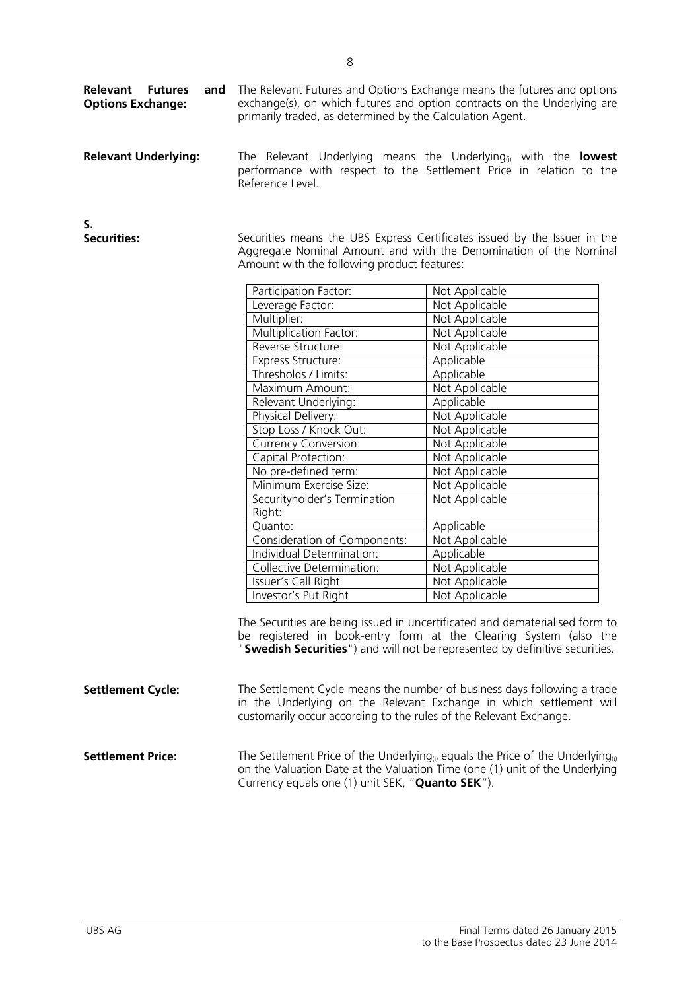| and<br><b>Relevant</b><br><b>Futures</b><br><b>Options Exchange:</b> | The Relevant Futures and Options Exchange means the futures and options<br>exchange(s), on which futures and option contracts on the Underlying are<br>primarily traded, as determined by the Calculation Agent. |
|----------------------------------------------------------------------|------------------------------------------------------------------------------------------------------------------------------------------------------------------------------------------------------------------|
| <b>Relevant Underlying:</b>                                          | The Relevant Underlying means the Underlying <sub>(i)</sub> with the <b>lowest</b><br>performance with respect to the Settlement Price in relation to the<br>Reference Level.                                    |

| S.                 |
|--------------------|
| <b>Securities:</b> |

Securities means the UBS Express Certificates issued by the Issuer in the Aggregate Nominal Amount and with the Denomination of the Nominal Amount with the following product features:

| Participation Factor:        | Not Applicable |
|------------------------------|----------------|
| Leverage Factor:             | Not Applicable |
| Multiplier:                  | Not Applicable |
| Multiplication Factor:       | Not Applicable |
| Reverse Structure:           | Not Applicable |
| Express Structure:           | Applicable     |
| Thresholds / Limits:         | Applicable     |
| Maximum Amount:              | Not Applicable |
| Relevant Underlying:         | Applicable     |
| Physical Delivery:           | Not Applicable |
| Stop Loss / Knock Out:       | Not Applicable |
| <b>Currency Conversion:</b>  | Not Applicable |
| Capital Protection:          | Not Applicable |
| No pre-defined term:         | Not Applicable |
| Minimum Exercise Size:       | Not Applicable |
| Securityholder's Termination | Not Applicable |
| Right:                       |                |
| Quanto:                      | Applicable     |
| Consideration of Components: | Not Applicable |
| Individual Determination:    | Applicable     |
| Collective Determination:    | Not Applicable |
| Issuer's Call Right          | Not Applicable |
| Investor's Put Right         | Not Applicable |

The Securities are being issued in uncertificated and dematerialised form to be registered in book-entry form at the Clearing System (also the "**Swedish Securities**") and will not be represented by definitive securities.

| <b>Settlement Cycle:</b> | The Settlement Cycle means the number of business days following a trade<br>in the Underlying on the Relevant Exchange in which settlement will<br>customarily occur according to the rules of the Relevant Exchange.                               |
|--------------------------|-----------------------------------------------------------------------------------------------------------------------------------------------------------------------------------------------------------------------------------------------------|
| <b>Settlement Price:</b> | The Settlement Price of the Underlying <sup>(i)</sup> equals the Price of the Underlying <sup>(i)</sup><br>on the Valuation Date at the Valuation Time (one (1) unit of the Underlying<br>Currency equals one (1) unit SEK, " <b>Quanto SEK</b> "). |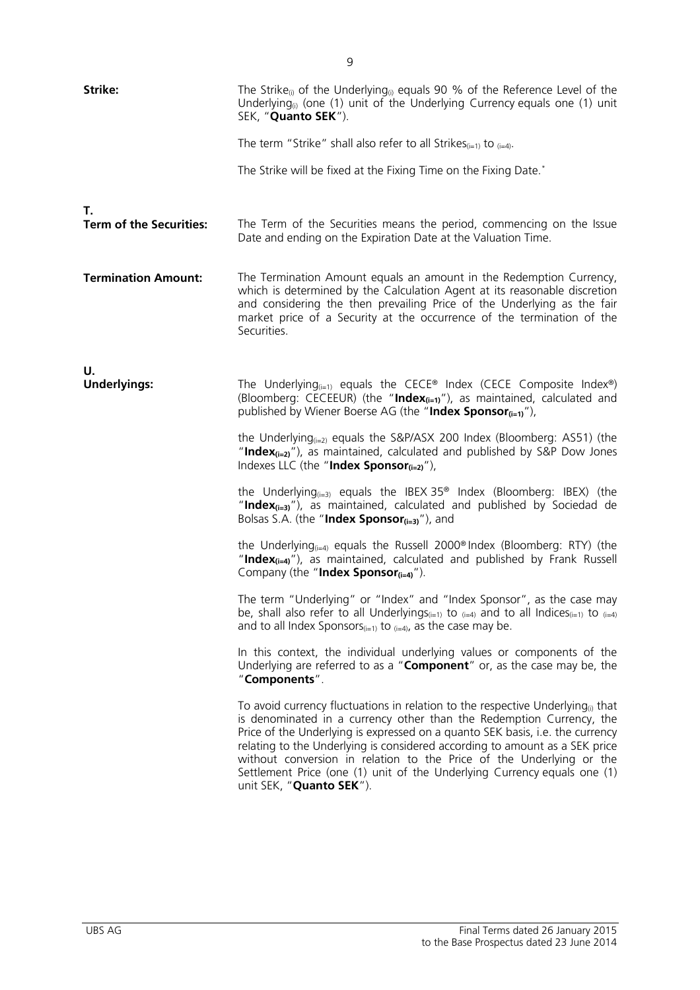| Strike:                              | The Strike <sub>(i)</sub> of the Underlying <sub>(i)</sub> equals 90 % of the Reference Level of the<br>Underlying <sub>(i)</sub> (one (1) unit of the Underlying Currency equals one (1) unit<br>SEK, "Quanto SEK").                                                                                                                                                                                                                                                                                               |
|--------------------------------------|---------------------------------------------------------------------------------------------------------------------------------------------------------------------------------------------------------------------------------------------------------------------------------------------------------------------------------------------------------------------------------------------------------------------------------------------------------------------------------------------------------------------|
|                                      | The term "Strike" shall also refer to all Strikes $_{(i=1)}$ to $_{(i=4)}$ .                                                                                                                                                                                                                                                                                                                                                                                                                                        |
|                                      | The Strike will be fixed at the Fixing Time on the Fixing Date.*                                                                                                                                                                                                                                                                                                                                                                                                                                                    |
| Т.<br><b>Term of the Securities:</b> | The Term of the Securities means the period, commencing on the Issue<br>Date and ending on the Expiration Date at the Valuation Time.                                                                                                                                                                                                                                                                                                                                                                               |
|                                      |                                                                                                                                                                                                                                                                                                                                                                                                                                                                                                                     |
| <b>Termination Amount:</b>           | The Termination Amount equals an amount in the Redemption Currency,<br>which is determined by the Calculation Agent at its reasonable discretion<br>and considering the then prevailing Price of the Underlying as the fair<br>market price of a Security at the occurrence of the termination of the<br>Securities.                                                                                                                                                                                                |
|                                      |                                                                                                                                                                                                                                                                                                                                                                                                                                                                                                                     |
| U.<br><b>Underlyings:</b>            | The Underlying <sub><math>(i=1)</math></sub> equals the CECE® Index (CECE Composite Index®)<br>(Bloomberg: CECEEUR) (the "Index <sub>(i=1)</sub> "), as maintained, calculated and<br>published by Wiener Boerse AG (the "Index Sponsor $_{\left(i=1\right)'}$ ),                                                                                                                                                                                                                                                   |
|                                      | the Underlying <sub><math>(i=2)</math></sub> equals the S&P/ASX 200 Index (Bloomberg: AS51) (the<br>"Index $_{(i=2)}$ "), as maintained, calculated and published by S&P Dow Jones<br>Indexes LLC (the "Index Sponsor $(i=2)$ "),                                                                                                                                                                                                                                                                                   |
|                                      | the Underlying $_{(i=3)}$ equals the IBEX 35 <sup>®</sup> Index (Bloomberg: IBEX) (the<br>"Index $_{(i=3)}$ "), as maintained, calculated and published by Sociedad de<br>Bolsas S.A. (the "Index Sponsor $(i=3)$ "), and                                                                                                                                                                                                                                                                                           |
|                                      | the Underlying <sub><math>(i=4)</math></sub> equals the Russell 2000 <sup>®</sup> Index (Bloomberg: RTY) (the<br>"Index $_{(i=4)}$ "), as maintained, calculated and published by Frank Russell<br>Company (the "Index Sponsor $_{(i=4)}$ ").                                                                                                                                                                                                                                                                       |
|                                      | The term "Underlying" or "Index" and "Index Sponsor", as the case may<br>be, shall also refer to all Underlyings( $i=1$ ) to $(i=4)$ and to all Indices( $i=1$ ) to $(i=4)$<br>and to all Index Sponsors $(i=1)$ to $(i=4)$ , as the case may be.                                                                                                                                                                                                                                                                   |
|                                      | In this context, the individual underlying values or components of the<br>Underlying are referred to as a "Component" or, as the case may be, the<br>"Components".                                                                                                                                                                                                                                                                                                                                                  |
|                                      | To avoid currency fluctuations in relation to the respective Underlying <sub>(i)</sub> that<br>is denominated in a currency other than the Redemption Currency, the<br>Price of the Underlying is expressed on a quanto SEK basis, i.e. the currency<br>relating to the Underlying is considered according to amount as a SEK price<br>without conversion in relation to the Price of the Underlying or the<br>Settlement Price (one (1) unit of the Underlying Currency equals one (1)<br>unit SEK, "Quanto SEK"). |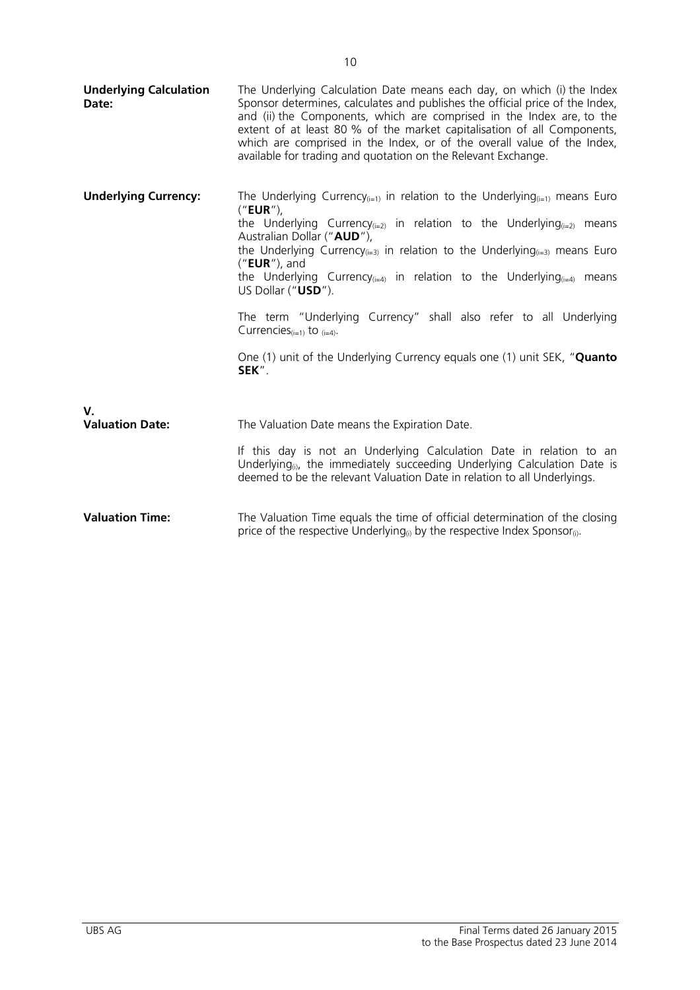| <b>Underlying Calculation</b><br>Date: | The Underlying Calculation Date means each day, on which (i) the Index<br>Sponsor determines, calculates and publishes the official price of the Index,<br>and (ii) the Components, which are comprised in the Index are, to the<br>extent of at least 80 % of the market capitalisation of all Components,<br>which are comprised in the Index, or of the overall value of the Index,<br>available for trading and quotation on the Relevant Exchange.                                                                                                                                                                                                           |
|----------------------------------------|-------------------------------------------------------------------------------------------------------------------------------------------------------------------------------------------------------------------------------------------------------------------------------------------------------------------------------------------------------------------------------------------------------------------------------------------------------------------------------------------------------------------------------------------------------------------------------------------------------------------------------------------------------------------|
| <b>Underlying Currency:</b>            | The Underlying Currency <sub>(i=1)</sub> in relation to the Underlying <sub>(i=1)</sub> means Euro<br>$('EUR'')$ ,<br>the Underlying Currency( $i=2$ ) in relation to the Underlying( $i=2$ ) means<br>Australian Dollar ("AUD"),<br>the Underlying Currency $(i=3)$ in relation to the Underlying $(i=3)$ means Euro<br>("EUR"), and<br>the Underlying Currency <sub>(i=4)</sub> in relation to the Underlying <sub>(i=4)</sub> means<br>US Dollar ("USD").<br>The term "Underlying Currency" shall also refer to all Underlying<br>Currencies $(i=1)$ to $(i=4)$ .<br>One (1) unit of the Underlying Currency equals one (1) unit SEK, " <b>Quanto</b><br>SEK". |
| $V_{\cdot}$<br><b>Valuation Date:</b>  | The Valuation Date means the Expiration Date.<br>If this day is not an Underlying Calculation Date in relation to an<br>Underlying <sub>(i)</sub> , the immediately succeeding Underlying Calculation Date is<br>deemed to be the relevant Valuation Date in relation to all Underlyings.                                                                                                                                                                                                                                                                                                                                                                         |
| <b>Valuation Time:</b>                 | The Valuation Time equals the time of official determination of the closing<br>price of the respective Underlying <sub>(i)</sub> by the respective Index Sponsor <sub>(i)</sub> .                                                                                                                                                                                                                                                                                                                                                                                                                                                                                 |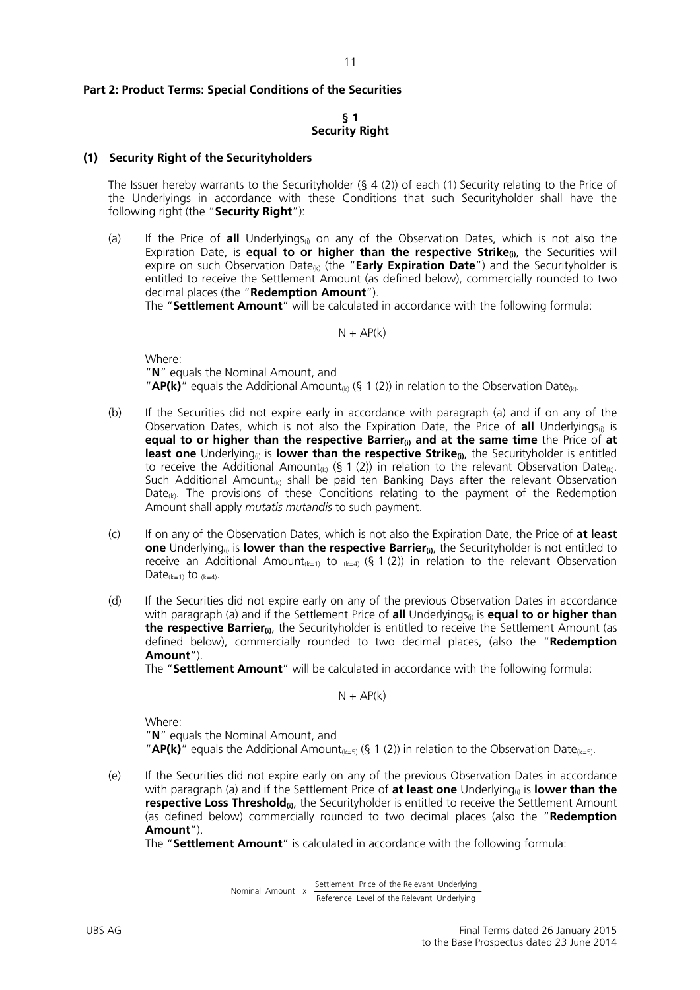#### **Part 2: Product Terms: Special Conditions of the Securities**

#### **§ 1 Security Right**

#### **(1) Security Right of the Securityholders**

The Issuer hereby warrants to the Securityholder (§ 4 (2)) of each (1) Security relating to the Price of the Underlyings in accordance with these Conditions that such Securityholder shall have the following right (the "**Security Right**"):

(a) If the Price of **all** Underlyings<sub>(i)</sub> on any of the Observation Dates, which is not also the Expiration Date, is **equal to or higher than the respective Strike**<sub>(i)</sub>, the Securities will expire on such Observation Date<sub>(k)</sub> (the "**Early Expiration Date**") and the Securityholder is entitled to receive the Settlement Amount (as defined below), commercially rounded to two decimal places (the "**Redemption Amount**").

The "**Settlement Amount**" will be calculated in accordance with the following formula:

 $N + AP(k)$ 

 Where: "**N**" equals the Nominal Amount, and "**AP(k)**" equals the Additional Amount<sub>(k)</sub> (§ 1 (2)) in relation to the Observation Date<sub>(k)</sub>.

- (b) If the Securities did not expire early in accordance with paragraph (a) and if on any of the Observation Dates, which is not also the Expiration Date, the Price of **all** Underlyings(i) is **equal to or higher than the respective Barrier(i) and at the same time** the Price of **at**  least one Underlying<sub>(i)</sub> is lower than the respective Strike<sub>(i)</sub>, the Securityholder is entitled to receive the Additional Amount<sub>(k)</sub> (§ 1 (2)) in relation to the relevant Observation Date<sub>(k)</sub>. Such Additional Amount<sub>(k)</sub> shall be paid ten Banking Days after the relevant Observation Date<sub>(k)</sub>. The provisions of these Conditions relating to the payment of the Redemption Amount shall apply *mutatis mutandis* to such payment.
- (c) If on any of the Observation Dates, which is not also the Expiration Date, the Price of **at least one** Underlying<sub>(i)</sub> is **lower than the respective Barrier<sub>(i)</sub>**, the Securityholder is not entitled to receive an Additional Amount<sub>(k=1)</sub> to  $_{(k=4)}$  (§ 1 (2)) in relation to the relevant Observation Date $(k=1)$  to  $(k=4)$ .
- (d) If the Securities did not expire early on any of the previous Observation Dates in accordance with paragraph (a) and if the Settlement Price of **all** Underlyings<sub>(i)</sub> is **equal to or higher than the respective Barrier**<sub>(i)</sub>, the Securityholder is entitled to receive the Settlement Amount (as defined below), commercially rounded to two decimal places, (also the "**Redemption Amount**").

The "**Settlement Amount**" will be calculated in accordance with the following formula:

 $N + AP(k)$ 

Where:

 "**N**" equals the Nominal Amount, and "**AP(k)**" equals the Additional Amount<sub>(k=5)</sub> (§ 1 (2)) in relation to the Observation Date<sub>(k=5)</sub>.

(e) If the Securities did not expire early on any of the previous Observation Dates in accordance with paragraph (a) and if the Settlement Price of **at least one** Underlying<sub>(i)</sub> is **lower than the respective Loss Threshold**<sub>(i)</sub>, the Securityholder is entitled to receive the Settlement Amount (as defined below) commercially rounded to two decimal places (also the "**Redemption Amount**").

The "**Settlement Amount**" is calculated in accordance with the following formula:

 Reference Level of the Relevant Underlying Settlement Price of the Relevant Underlying Nominal Amount x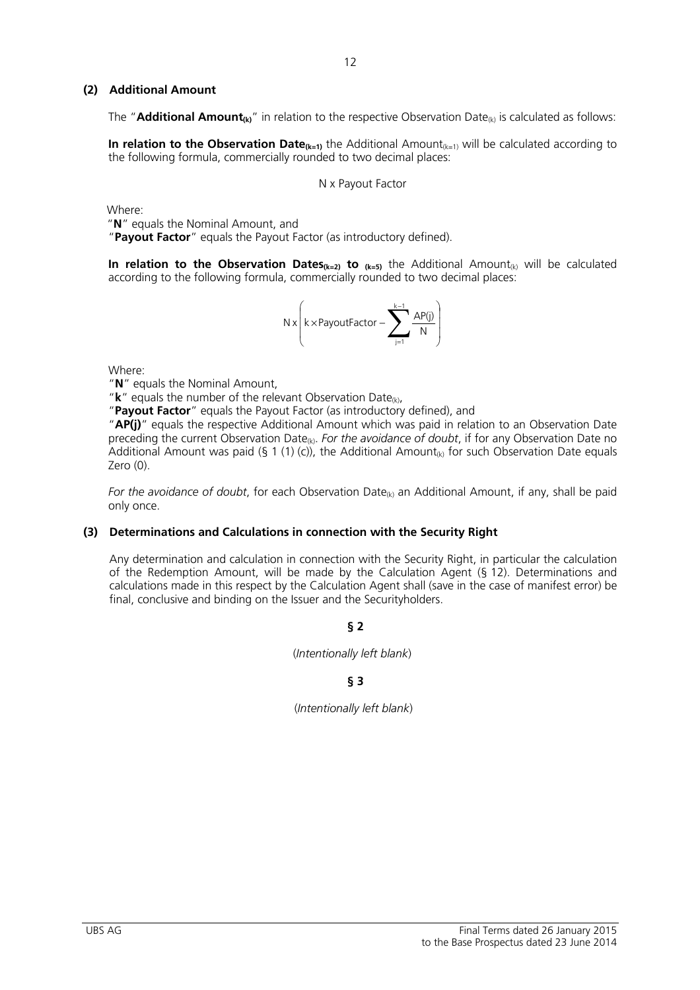## **(2) Additional Amount**

The "**Additional Amount<sub>(k)</sub>**" in relation to the respective Observation Date<sub>(k)</sub> is calculated as follows:

**In relation to the Observation Date** $_{(k=1)}$  the Additional Amount $_{(k=1)}$  will be calculated according to the following formula, commercially rounded to two decimal places:

N x Payout Factor

Where:

"**N**" equals the Nominal Amount, and

"**Payout Factor**" equals the Payout Factor (as introductory defined).

**In relation to the Observation Dates<sub>(k=2)</sub> to**  $_{(k=5)}$  the Additional Amount<sub>(k)</sub> will be calculated according to the following formula, commercially rounded to two decimal places:

$$
N \, x \!\left(k \!\times\! \text{PayoutFactor} - \sum_{j=1}^{k-1} \frac{\text{AP}(j)}{N} \right)
$$

Where:

"**N**" equals the Nominal Amount,

" $k''$  equals the number of the relevant Observation Date<sub>(k)</sub>,

"**Payout Factor**" equals the Payout Factor (as introductory defined), and

"**AP(j)**" equals the respective Additional Amount which was paid in relation to an Observation Date preceding the current Observation Date<sub>(k)</sub>. *For the avoidance of doubt*, if for any Observation Date no Additional Amount was paid (§ 1 (1) (c)), the Additional Amount<sub>(k)</sub> for such Observation Date equals Zero (0).

*For the avoidance of doubt*, for each Observation Date<sub>(k)</sub> an Additional Amount, if any, shall be paid only once.

# **(3) Determinations and Calculations in connection with the Security Right**

Any determination and calculation in connection with the Security Right, in particular the calculation of the Redemption Amount, will be made by the Calculation Agent (§ 12). Determinations and calculations made in this respect by the Calculation Agent shall (save in the case of manifest error) be final, conclusive and binding on the Issuer and the Securityholders.

**§ 2**

#### (*Intentionally left blank*)

# **§ 3**

(*Intentionally left blank*)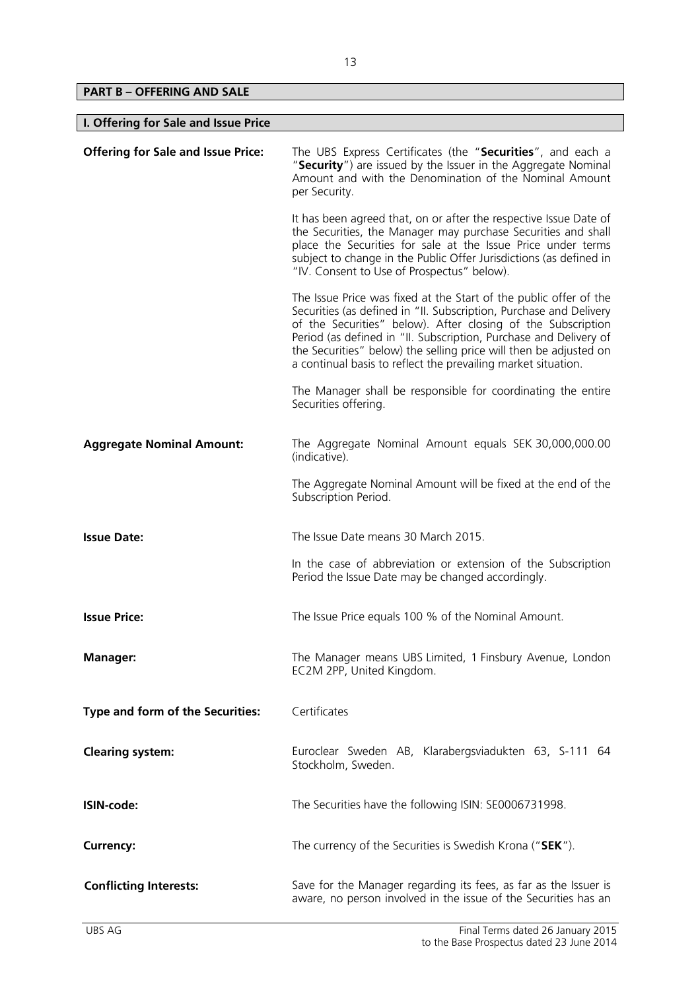**PART B – OFFERING AND SALE** 

 $\overline{\phantom{a}}$ 

| I. Offering for Sale and Issue Price      |                                                                                                                                                                                                                                                                                                                                                                                                                    |  |
|-------------------------------------------|--------------------------------------------------------------------------------------------------------------------------------------------------------------------------------------------------------------------------------------------------------------------------------------------------------------------------------------------------------------------------------------------------------------------|--|
| <b>Offering for Sale and Issue Price:</b> | The UBS Express Certificates (the "Securities", and each a<br>"Security") are issued by the Issuer in the Aggregate Nominal<br>Amount and with the Denomination of the Nominal Amount<br>per Security.                                                                                                                                                                                                             |  |
|                                           | It has been agreed that, on or after the respective Issue Date of<br>the Securities, the Manager may purchase Securities and shall<br>place the Securities for sale at the Issue Price under terms<br>subject to change in the Public Offer Jurisdictions (as defined in<br>"IV. Consent to Use of Prospectus" below).                                                                                             |  |
|                                           | The Issue Price was fixed at the Start of the public offer of the<br>Securities (as defined in "II. Subscription, Purchase and Delivery<br>of the Securities" below). After closing of the Subscription<br>Period (as defined in "II. Subscription, Purchase and Delivery of<br>the Securities" below) the selling price will then be adjusted on<br>a continual basis to reflect the prevailing market situation. |  |
|                                           | The Manager shall be responsible for coordinating the entire<br>Securities offering.                                                                                                                                                                                                                                                                                                                               |  |
| <b>Aggregate Nominal Amount:</b>          | The Aggregate Nominal Amount equals SEK 30,000,000.00<br>(indicative).                                                                                                                                                                                                                                                                                                                                             |  |
|                                           | The Aggregate Nominal Amount will be fixed at the end of the<br>Subscription Period.                                                                                                                                                                                                                                                                                                                               |  |
| <b>Issue Date:</b>                        | The Issue Date means 30 March 2015.                                                                                                                                                                                                                                                                                                                                                                                |  |
|                                           | In the case of abbreviation or extension of the Subscription<br>Period the Issue Date may be changed accordingly.                                                                                                                                                                                                                                                                                                  |  |
| <b>Issue Price:</b>                       | The Issue Price equals 100 % of the Nominal Amount.                                                                                                                                                                                                                                                                                                                                                                |  |
| <b>Manager:</b>                           | The Manager means UBS Limited, 1 Finsbury Avenue, London<br>EC2M 2PP, United Kingdom.                                                                                                                                                                                                                                                                                                                              |  |
| Type and form of the Securities:          | Certificates                                                                                                                                                                                                                                                                                                                                                                                                       |  |
| <b>Clearing system:</b>                   | Euroclear Sweden AB, Klarabergsviadukten 63, S-111 64<br>Stockholm, Sweden.                                                                                                                                                                                                                                                                                                                                        |  |
| ISIN-code:                                | The Securities have the following ISIN: SE0006731998.                                                                                                                                                                                                                                                                                                                                                              |  |
| <b>Currency:</b>                          | The currency of the Securities is Swedish Krona ("SEK").                                                                                                                                                                                                                                                                                                                                                           |  |
| <b>Conflicting Interests:</b>             | Save for the Manager regarding its fees, as far as the Issuer is<br>aware, no person involved in the issue of the Securities has an                                                                                                                                                                                                                                                                                |  |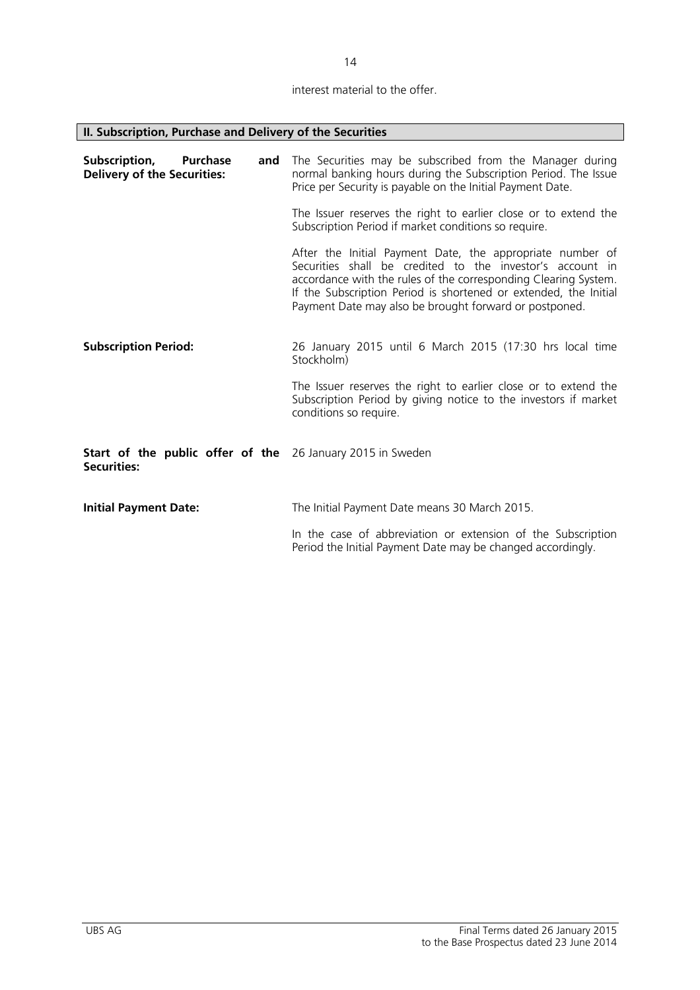# interest material to the offer.

 $\overline{\phantom{0}}$ 

| II. Subscription, Purchase and Delivery of the Securities                        |                                                                                                                                                                                                                                                                                                                         |
|----------------------------------------------------------------------------------|-------------------------------------------------------------------------------------------------------------------------------------------------------------------------------------------------------------------------------------------------------------------------------------------------------------------------|
| Subscription,<br><b>Purchase</b><br>and<br><b>Delivery of the Securities:</b>    | The Securities may be subscribed from the Manager during<br>normal banking hours during the Subscription Period. The Issue<br>Price per Security is payable on the Initial Payment Date.                                                                                                                                |
|                                                                                  | The Issuer reserves the right to earlier close or to extend the<br>Subscription Period if market conditions so require.                                                                                                                                                                                                 |
|                                                                                  | After the Initial Payment Date, the appropriate number of<br>Securities shall be credited to the investor's account in<br>accordance with the rules of the corresponding Clearing System.<br>If the Subscription Period is shortened or extended, the Initial<br>Payment Date may also be brought forward or postponed. |
| <b>Subscription Period:</b>                                                      | 26 January 2015 until 6 March 2015 (17:30 hrs local time<br>Stockholm)                                                                                                                                                                                                                                                  |
|                                                                                  | The Issuer reserves the right to earlier close or to extend the<br>Subscription Period by giving notice to the investors if market<br>conditions so require.                                                                                                                                                            |
| Start of the public offer of the 26 January 2015 in Sweden<br><b>Securities:</b> |                                                                                                                                                                                                                                                                                                                         |
| <b>Initial Payment Date:</b>                                                     | The Initial Payment Date means 30 March 2015.                                                                                                                                                                                                                                                                           |
|                                                                                  | In the case of abbreviation or extension of the Subscription<br>Period the Initial Payment Date may be changed accordingly.                                                                                                                                                                                             |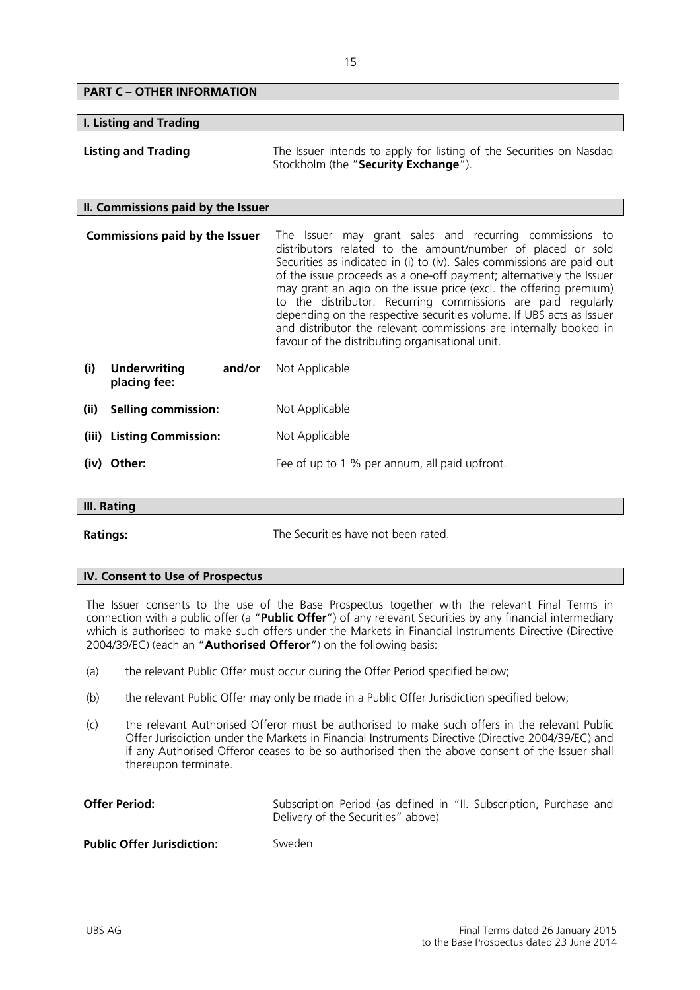# **PART C – OTHER INFORMATION I. Listing and Trading Listing and Trading** The Issuer intends to apply for listing of the Securities on Nasdag Stockholm (the "**Security Exchange**"). **II. Commissions paid by the Issuer Commissions paid by the Issuer** The Issuer may grant sales and recurring commissions to distributors related to the amount/number of placed or sold Securities as indicated in (i) to (iv). Sales commissions are paid out of the issue proceeds as a one-off payment; alternatively the Issuer may grant an agio on the issue price (excl. the offering premium) to the distributor. Recurring commissions are paid regularly depending on the respective securities volume. If UBS acts as Issuer and distributor the relevant commissions are internally booked in

**(i) Underwriting and/or placing fee:**  Not Applicable **(ii) Selling commission:** Not Applicable **(iii) Listing Commission:** Not Applicable **(iv)** Other: **Fee of up to 1 % per annum, all paid upfront.** 

# **III. Rating**

**Ratings: Ratings:** The Securities have not been rated.

favour of the distributing organisational unit.

#### **IV. Consent to Use of Prospectus**

The Issuer consents to the use of the Base Prospectus together with the relevant Final Terms in connection with a public offer (a "**Public Offer**") of any relevant Securities by any financial intermediary which is authorised to make such offers under the Markets in Financial Instruments Directive (Directive 2004/39/EC) (each an "**Authorised Offeror**") on the following basis:

- (a) the relevant Public Offer must occur during the Offer Period specified below;
- (b) the relevant Public Offer may only be made in a Public Offer Jurisdiction specified below;
- (c) the relevant Authorised Offeror must be authorised to make such offers in the relevant Public Offer Jurisdiction under the Markets in Financial Instruments Directive (Directive 2004/39/EC) and if any Authorised Offeror ceases to be so authorised then the above consent of the Issuer shall thereupon terminate.

| <b>Offer Period:</b>              | Subscription Period (as defined in "II. Subscription, Purchase and<br>Delivery of the Securities" above) |
|-----------------------------------|----------------------------------------------------------------------------------------------------------|
| <b>Public Offer Jurisdiction:</b> | Sweden                                                                                                   |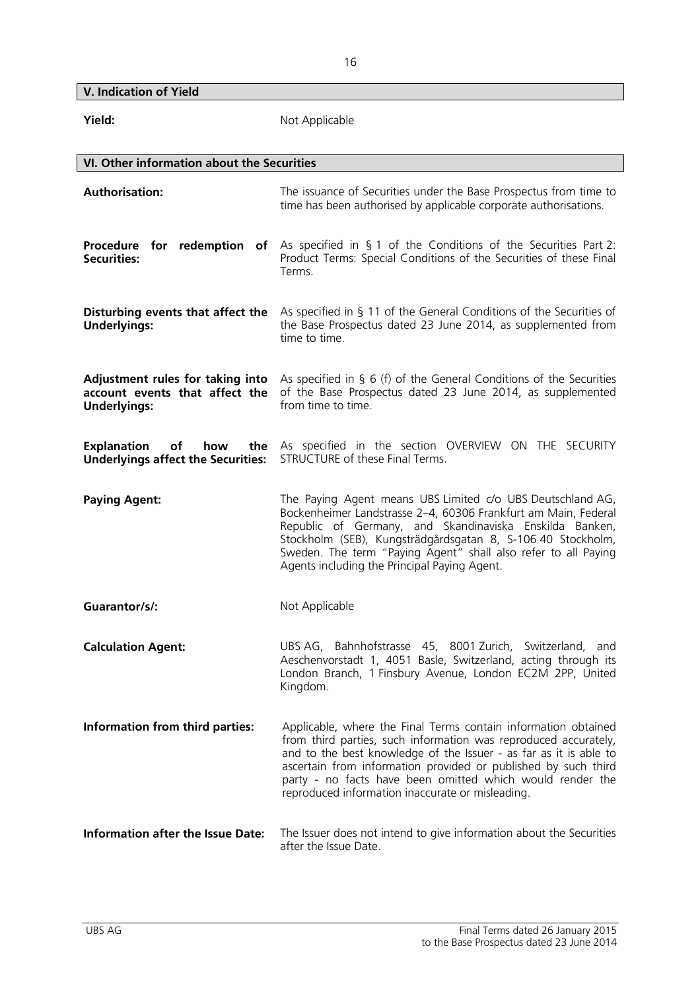**V. Indication of Yield** 

| Yield:                                                                                    | Not Applicable                                                                                                                                                                                                                                                                                                                                                                            |  |  |  |  |  |
|-------------------------------------------------------------------------------------------|-------------------------------------------------------------------------------------------------------------------------------------------------------------------------------------------------------------------------------------------------------------------------------------------------------------------------------------------------------------------------------------------|--|--|--|--|--|
|                                                                                           | VI. Other information about the Securities                                                                                                                                                                                                                                                                                                                                                |  |  |  |  |  |
| <b>Authorisation:</b>                                                                     | The issuance of Securities under the Base Prospectus from time to<br>time has been authorised by applicable corporate authorisations.                                                                                                                                                                                                                                                     |  |  |  |  |  |
| Procedure for redemption of<br><b>Securities:</b>                                         | As specified in § 1 of the Conditions of the Securities Part 2:<br>Product Terms: Special Conditions of the Securities of these Final<br>Terms.                                                                                                                                                                                                                                           |  |  |  |  |  |
| Disturbing events that affect the<br><b>Underlyings:</b>                                  | As specified in $\S$ 11 of the General Conditions of the Securities of<br>the Base Prospectus dated 23 June 2014, as supplemented from<br>time to time.                                                                                                                                                                                                                                   |  |  |  |  |  |
| Adjustment rules for taking into<br>account events that affect the<br><b>Underlyings:</b> | As specified in $\S$ 6 (f) of the General Conditions of the Securities<br>of the Base Prospectus dated 23 June 2014, as supplemented<br>from time to time.                                                                                                                                                                                                                                |  |  |  |  |  |
| <b>Explanation</b><br>how<br>of<br><b>Underlyings affect the Securities:</b>              | the As specified in the section OVERVIEW ON THE SECURITY<br>STRUCTURE of these Final Terms.                                                                                                                                                                                                                                                                                               |  |  |  |  |  |
| <b>Paying Agent:</b>                                                                      | The Paying Agent means UBS Limited c/o UBS Deutschland AG,<br>Bockenheimer Landstrasse 2-4, 60306 Frankfurt am Main, Federal<br>Republic of Germany, and Skandinaviska Enskilda Banken,<br>Stockholm (SEB), Kungsträdgårdsgatan 8, S-106 40 Stockholm,<br>Sweden. The term "Paying Agent" shall also refer to all Paying<br>Agents including the Principal Paying Agent.                  |  |  |  |  |  |
| Guarantor/s/:                                                                             | Not Applicable                                                                                                                                                                                                                                                                                                                                                                            |  |  |  |  |  |
| <b>Calculation Agent:</b>                                                                 | UBS AG, Bahnhofstrasse 45, 8001 Zurich, Switzerland, and<br>Aeschenvorstadt 1, 4051 Basle, Switzerland, acting through its<br>London Branch, 1 Finsbury Avenue, London EC2M 2PP, United<br>Kingdom.                                                                                                                                                                                       |  |  |  |  |  |
| Information from third parties:                                                           | Applicable, where the Final Terms contain information obtained<br>from third parties, such information was reproduced accurately,<br>and to the best knowledge of the Issuer - as far as it is able to<br>ascertain from information provided or published by such third<br>party - no facts have been omitted which would render the<br>reproduced information inaccurate or misleading. |  |  |  |  |  |
| <b>Information after the Issue Date:</b>                                                  | The Issuer does not intend to give information about the Securities<br>after the Issue Date.                                                                                                                                                                                                                                                                                              |  |  |  |  |  |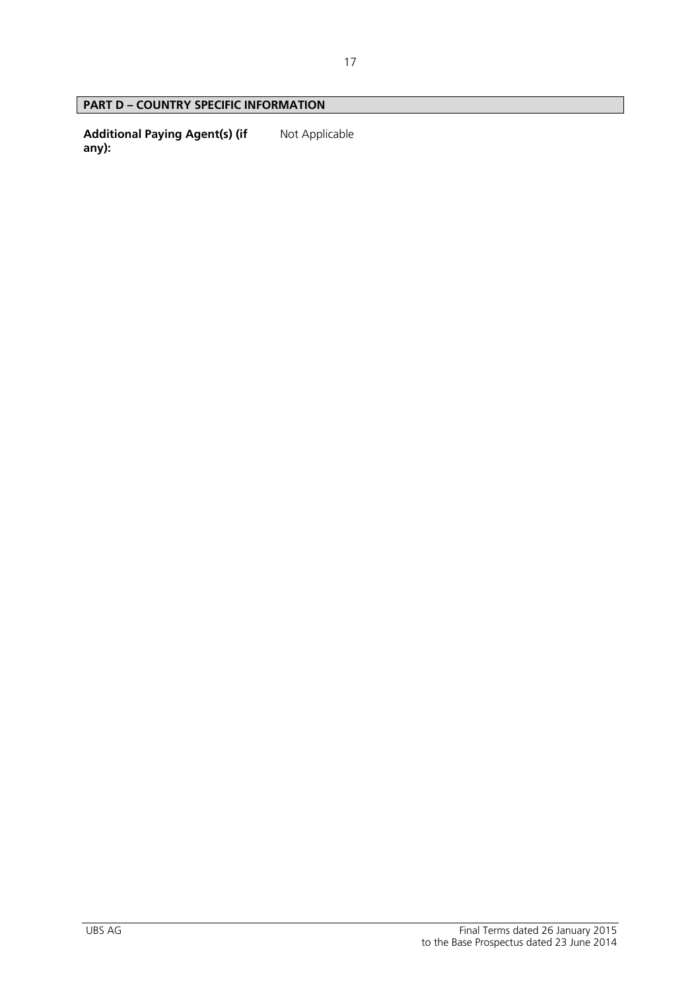# **PART D – COUNTRY SPECIFIC INFORMATION**

**Additional Paying Agent(s) (if any):**  Not Applicable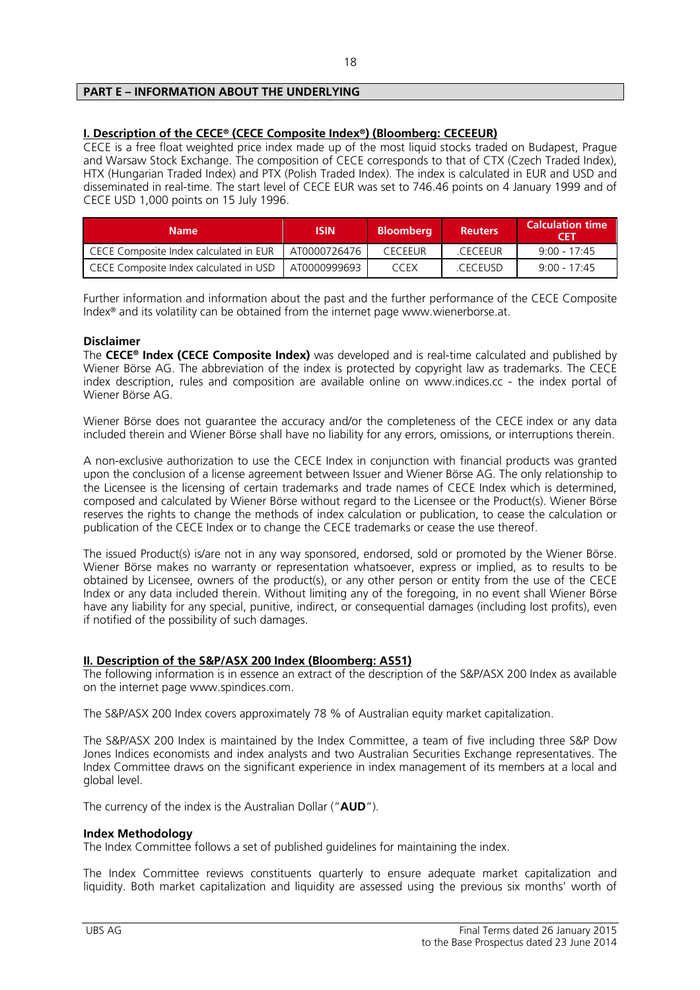# **PART E – INFORMATION ABOUT THE UNDERLYING**

#### **I. Description of the CECE® (CECE Composite Index®) (Bloomberg: CECEEUR)**

CECE is a free float weighted price index made up of the most liquid stocks traded on Budapest, Prague and Warsaw Stock Exchange. The composition of CECE corresponds to that of CTX (Czech Traded Index), HTX (Hungarian Traded Index) and PTX (Polish Traded Index). The index is calculated in EUR and USD and disseminated in real-time. The start level of CECE EUR was set to 746.46 points on 4 January 1999 and of CECE USD 1,000 points on 15 July 1996.

| <b>Name</b>                                           | <b>ISIN</b>  | <b>Bloombera</b> | <b>Reuters</b> | <b>Calculation time</b><br><b>CET</b> |
|-------------------------------------------------------|--------------|------------------|----------------|---------------------------------------|
| CECE Composite Index calculated in EUR                | AT0000726476 | <b>CECEFUR</b>   | CECEEUR        | $9.00 - 17.45$                        |
| CECE Composite Index calculated in USD   AT0000999693 |              | <b>CCEX</b>      | CECEUSD        | $9.00 - 17.45$                        |

Further information and information about the past and the further performance of the CECE Composite Index® and its volatility can be obtained from the internet page www.wienerborse.at.

#### **Disclaimer**

The **CECE® Index (CECE Composite Index)** was developed and is real-time calculated and published by Wiener Börse AG. The abbreviation of the index is protected by copyright law as trademarks. The CECE index description, rules and composition are available online on www.indices.cc - the index portal of Wiener Börse AG.

Wiener Börse does not guarantee the accuracy and/or the completeness of the CECE index or any data included therein and Wiener Börse shall have no liability for any errors, omissions, or interruptions therein.

A non-exclusive authorization to use the CECE Index in conjunction with financial products was granted upon the conclusion of a license agreement between Issuer and Wiener Börse AG. The only relationship to the Licensee is the licensing of certain trademarks and trade names of CECE Index which is determined, composed and calculated by Wiener Börse without regard to the Licensee or the Product(s). Wiener Börse reserves the rights to change the methods of index calculation or publication, to cease the calculation or publication of the CECE Index or to change the CECE trademarks or cease the use thereof.

The issued Product(s) is/are not in any way sponsored, endorsed, sold or promoted by the Wiener Börse. Wiener Börse makes no warranty or representation whatsoever, express or implied, as to results to be obtained by Licensee, owners of the product(s), or any other person or entity from the use of the CECE Index or any data included therein. Without limiting any of the foregoing, in no event shall Wiener Börse have any liability for any special, punitive, indirect, or consequential damages (including lost profits), even if notified of the possibility of such damages.

# **II. Description of the S&P/ASX 200 Index (Bloomberg: AS51)**

The following information is in essence an extract of the description of the S&P/ASX 200 Index as available on the internet page www.spindices.com.

The S&P/ASX 200 Index covers approximately 78 % of Australian equity market capitalization.

The S&P/ASX 200 Index is maintained by the Index Committee, a team of five including three S&P Dow Jones Indices economists and index analysts and two Australian Securities Exchange representatives. The Index Committee draws on the significant experience in index management of its members at a local and global level.

The currency of the index is the Australian Dollar ("**AUD**").

#### **Index Methodology**

The Index Committee follows a set of published guidelines for maintaining the index.

The Index Committee reviews constituents quarterly to ensure adequate market capitalization and liquidity. Both market capitalization and liquidity are assessed using the previous six months' worth of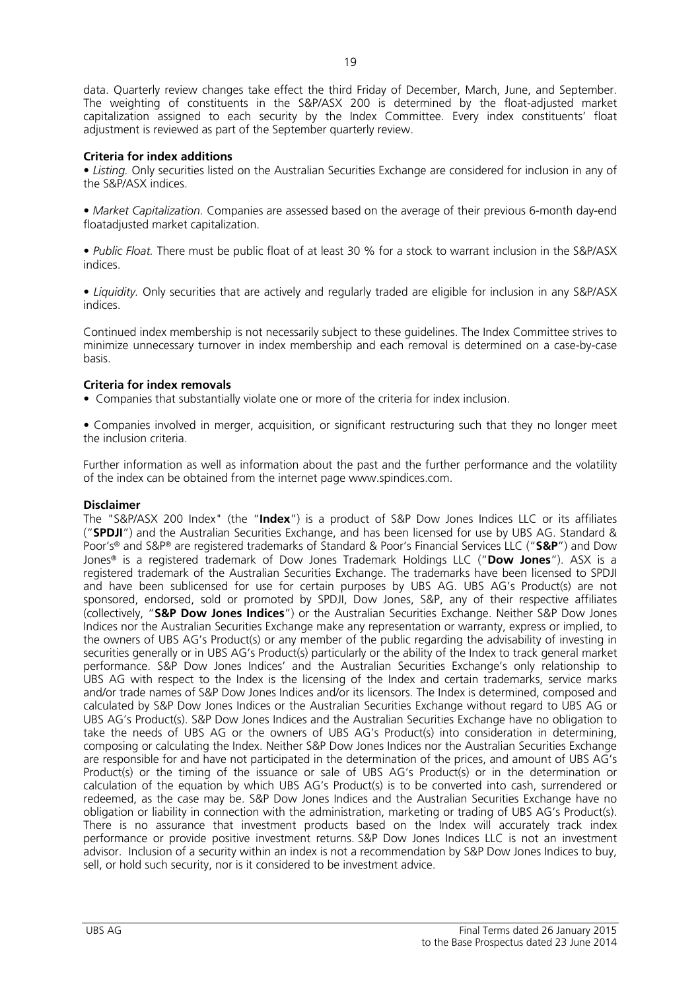data. Quarterly review changes take effect the third Friday of December, March, June, and September. The weighting of constituents in the S&P/ASX 200 is determined by the float-adjusted market capitalization assigned to each security by the Index Committee. Every index constituents' float adjustment is reviewed as part of the September quarterly review.

# **Criteria for index additions**

• *Listing.* Only securities listed on the Australian Securities Exchange are considered for inclusion in any of the S&P/ASX indices.

• *Market Capitalization.* Companies are assessed based on the average of their previous 6-month day-end floatadjusted market capitalization.

• *Public Float.* There must be public float of at least 30 % for a stock to warrant inclusion in the S&P/ASX indices.

• *Liquidity.* Only securities that are actively and regularly traded are eligible for inclusion in any S&P/ASX indices.

Continued index membership is not necessarily subject to these guidelines. The Index Committee strives to minimize unnecessary turnover in index membership and each removal is determined on a case-by-case basis.

# **Criteria for index removals**

• Companies that substantially violate one or more of the criteria for index inclusion.

• Companies involved in merger, acquisition, or significant restructuring such that they no longer meet the inclusion criteria.

Further information as well as information about the past and the further performance and the volatility of the index can be obtained from the internet page www.spindices.com.

# **Disclaimer**

The "S&P/ASX 200 Index" (the "**Index**") is a product of S&P Dow Jones Indices LLC or its affiliates ("**SPDJI**") and the Australian Securities Exchange, and has been licensed for use by UBS AG. Standard & Poor's® and S&P® are registered trademarks of Standard & Poor's Financial Services LLC ("**S&P**") and Dow Jones® is a registered trademark of Dow Jones Trademark Holdings LLC ("**Dow Jones**"). ASX is a registered trademark of the Australian Securities Exchange. The trademarks have been licensed to SPDJI and have been sublicensed for use for certain purposes by UBS AG. UBS AG's Product(s) are not sponsored, endorsed, sold or promoted by SPDJI, Dow Jones, S&P, any of their respective affiliates (collectively, "**S&P Dow Jones Indices**") or the Australian Securities Exchange. Neither S&P Dow Jones Indices nor the Australian Securities Exchange make any representation or warranty, express or implied, to the owners of UBS AG's Product(s) or any member of the public regarding the advisability of investing in securities generally or in UBS AG's Product(s) particularly or the ability of the Index to track general market performance. S&P Dow Jones Indices' and the Australian Securities Exchange's only relationship to UBS AG with respect to the Index is the licensing of the Index and certain trademarks, service marks and/or trade names of S&P Dow Jones Indices and/or its licensors. The Index is determined, composed and calculated by S&P Dow Jones Indices or the Australian Securities Exchange without regard to UBS AG or UBS AG's Product(s). S&P Dow Jones Indices and the Australian Securities Exchange have no obligation to take the needs of UBS AG or the owners of UBS AG's Product(s) into consideration in determining, composing or calculating the Index. Neither S&P Dow Jones Indices nor the Australian Securities Exchange are responsible for and have not participated in the determination of the prices, and amount of UBS AG's Product(s) or the timing of the issuance or sale of UBS AG's Product(s) or in the determination or calculation of the equation by which UBS AG's Product(s) is to be converted into cash, surrendered or redeemed, as the case may be. S&P Dow Jones Indices and the Australian Securities Exchange have no obligation or liability in connection with the administration, marketing or trading of UBS AG's Product(s). There is no assurance that investment products based on the Index will accurately track index performance or provide positive investment returns. S&P Dow Jones Indices LLC is not an investment advisor. Inclusion of a security within an index is not a recommendation by S&P Dow Jones Indices to buy, sell, or hold such security, nor is it considered to be investment advice.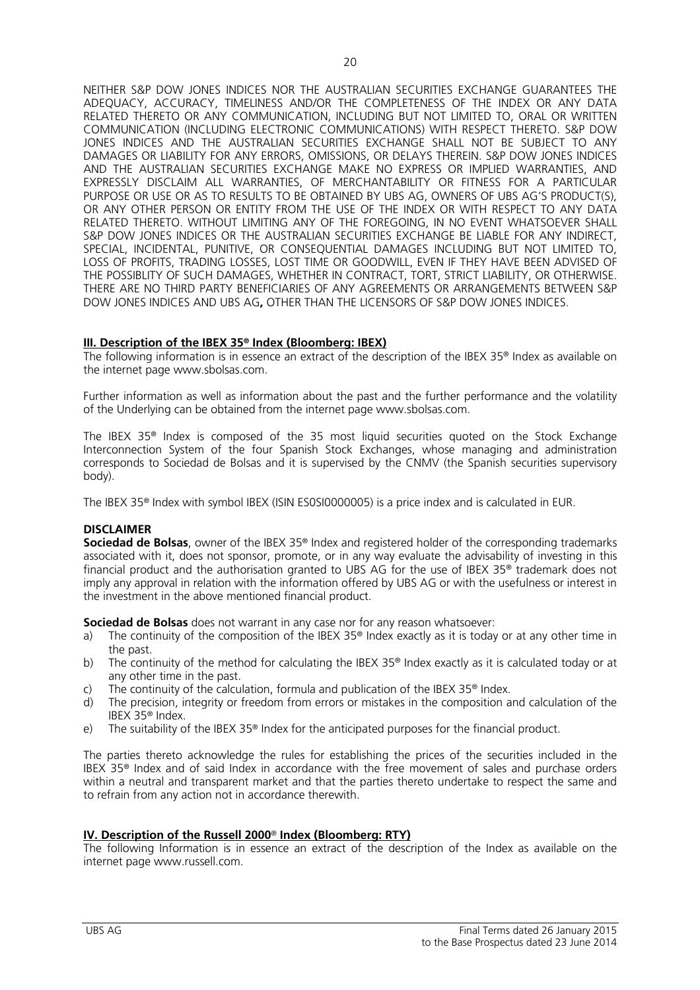NEITHER S&P DOW JONES INDICES NOR THE AUSTRALIAN SECURITIES EXCHANGE GUARANTEES THE ADEQUACY, ACCURACY, TIMELINESS AND/OR THE COMPLETENESS OF THE INDEX OR ANY DATA RELATED THERETO OR ANY COMMUNICATION, INCLUDING BUT NOT LIMITED TO, ORAL OR WRITTEN COMMUNICATION (INCLUDING ELECTRONIC COMMUNICATIONS) WITH RESPECT THERETO. S&P DOW JONES INDICES AND THE AUSTRALIAN SECURITIES EXCHANGE SHALL NOT BE SUBJECT TO ANY DAMAGES OR LIABILITY FOR ANY ERRORS, OMISSIONS, OR DELAYS THEREIN. S&P DOW JONES INDICES AND THE AUSTRALIAN SECURITIES EXCHANGE MAKE NO EXPRESS OR IMPLIED WARRANTIES, AND EXPRESSLY DISCLAIM ALL WARRANTIES, OF MERCHANTABILITY OR FITNESS FOR A PARTICULAR PURPOSE OR USE OR AS TO RESULTS TO BE OBTAINED BY UBS AG, OWNERS OF UBS AG'S PRODUCT(S), OR ANY OTHER PERSON OR ENTITY FROM THE USE OF THE INDEX OR WITH RESPECT TO ANY DATA RELATED THERETO. WITHOUT LIMITING ANY OF THE FOREGOING, IN NO EVENT WHATSOEVER SHALL S&P DOW JONES INDICES OR THE AUSTRALIAN SECURITIES EXCHANGE BE LIABLE FOR ANY INDIRECT, SPECIAL, INCIDENTAL, PUNITIVE, OR CONSEQUENTIAL DAMAGES INCLUDING BUT NOT LIMITED TO, LOSS OF PROFITS, TRADING LOSSES, LOST TIME OR GOODWILL, EVEN IF THEY HAVE BEEN ADVISED OF THE POSSIBLITY OF SUCH DAMAGES, WHETHER IN CONTRACT, TORT, STRICT LIABILITY, OR OTHERWISE. THERE ARE NO THIRD PARTY BENEFICIARIES OF ANY AGREEMENTS OR ARRANGEMENTS BETWEEN S&P DOW JONES INDICES AND UBS AG**,** OTHER THAN THE LICENSORS OF S&P DOW JONES INDICES.

#### **III. Description of the IBEX 35® Index (Bloomberg: IBEX)**

The following information is in essence an extract of the description of the IBEX 35<sup>®</sup> Index as available on the internet page www.sbolsas.com.

Further information as well as information about the past and the further performance and the volatility of the Underlying can be obtained from the internet page www.sbolsas.com.

The IBEX 35® Index is composed of the 35 most liquid securities quoted on the Stock Exchange Interconnection System of the four Spanish Stock Exchanges, whose managing and administration corresponds to Sociedad de Bolsas and it is supervised by the CNMV (the Spanish securities supervisory body).

The IBEX 35® Index with symbol IBEX (ISIN ES0SI0000005) is a price index and is calculated in EUR.

#### **DISCLAIMER**

**Sociedad de Bolsas**, owner of the IBEX 35® Index and registered holder of the corresponding trademarks associated with it, does not sponsor, promote, or in any way evaluate the advisability of investing in this financial product and the authorisation granted to UBS AG for the use of IBEX 35® trademark does not imply any approval in relation with the information offered by UBS AG or with the usefulness or interest in the investment in the above mentioned financial product.

**Sociedad de Bolsas** does not warrant in any case nor for any reason whatsoever:

- a) The continuity of the composition of the IBEX 35® Index exactly as it is today or at any other time in the past.
- b) The continuity of the method for calculating the IBEX 35® Index exactly as it is calculated today or at any other time in the past.
- c) The continuity of the calculation, formula and publication of the IBEX 35<sup>®</sup> Index.
- d) The precision, integrity or freedom from errors or mistakes in the composition and calculation of the IBEX 35® Index.
- e) The suitability of the IBEX 35® Index for the anticipated purposes for the financial product.

The parties thereto acknowledge the rules for establishing the prices of the securities included in the IBEX 35® Index and of said Index in accordance with the free movement of sales and purchase orders within a neutral and transparent market and that the parties thereto undertake to respect the same and to refrain from any action not in accordance therewith.

#### **IV. Description of the Russell 2000**® **Index (Bloomberg: RTY)**

The following Information is in essence an extract of the description of the Index as available on the internet page www.russell.com.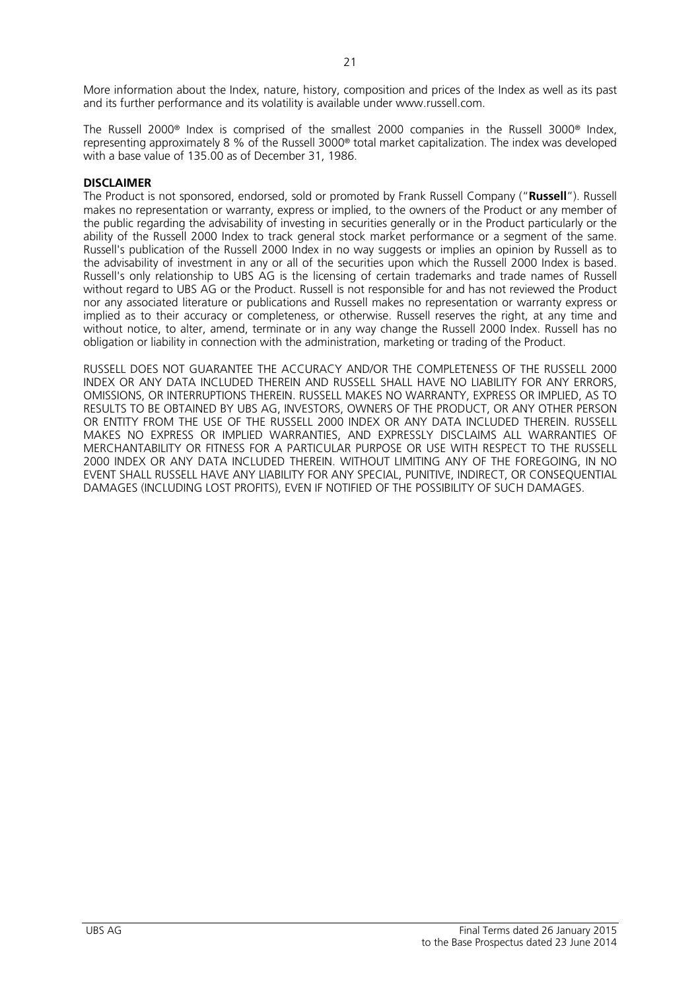More information about the Index, nature, history, composition and prices of the Index as well as its past and its further performance and its volatility is available under www.russell.com.

The Russell 2000® Index is comprised of the smallest 2000 companies in the Russell 3000® Index, representing approximately 8 % of the Russell 3000® total market capitalization. The index was developed with a base value of 135.00 as of December 31, 1986.

# **DISCLAIMER**

The Product is not sponsored, endorsed, sold or promoted by Frank Russell Company ("**Russell**"). Russell makes no representation or warranty, express or implied, to the owners of the Product or any member of the public regarding the advisability of investing in securities generally or in the Product particularly or the ability of the Russell 2000 Index to track general stock market performance or a segment of the same. Russell's publication of the Russell 2000 Index in no way suggests or implies an opinion by Russell as to the advisability of investment in any or all of the securities upon which the Russell 2000 Index is based. Russell's only relationship to UBS AG is the licensing of certain trademarks and trade names of Russell without regard to UBS AG or the Product. Russell is not responsible for and has not reviewed the Product nor any associated literature or publications and Russell makes no representation or warranty express or implied as to their accuracy or completeness, or otherwise. Russell reserves the right, at any time and without notice, to alter, amend, terminate or in any way change the Russell 2000 Index. Russell has no obligation or liability in connection with the administration, marketing or trading of the Product.

RUSSELL DOES NOT GUARANTEE THE ACCURACY AND/OR THE COMPLETENESS OF THE RUSSELL 2000 INDEX OR ANY DATA INCLUDED THEREIN AND RUSSELL SHALL HAVE NO LIABILITY FOR ANY ERRORS, OMISSIONS, OR INTERRUPTIONS THEREIN. RUSSELL MAKES NO WARRANTY, EXPRESS OR IMPLIED, AS TO RESULTS TO BE OBTAINED BY UBS AG, INVESTORS, OWNERS OF THE PRODUCT, OR ANY OTHER PERSON OR ENTITY FROM THE USE OF THE RUSSELL 2000 INDEX OR ANY DATA INCLUDED THEREIN. RUSSELL MAKES NO EXPRESS OR IMPLIED WARRANTIES, AND EXPRESSLY DISCLAIMS ALL WARRANTIES OF MERCHANTABILITY OR FITNESS FOR A PARTICULAR PURPOSE OR USE WITH RESPECT TO THE RUSSELL 2000 INDEX OR ANY DATA INCLUDED THEREIN. WITHOUT LIMITING ANY OF THE FOREGOING, IN NO EVENT SHALL RUSSELL HAVE ANY LIABILITY FOR ANY SPECIAL, PUNITIVE, INDIRECT, OR CONSEQUENTIAL DAMAGES (INCLUDING LOST PROFITS), EVEN IF NOTIFIED OF THE POSSIBILITY OF SUCH DAMAGES.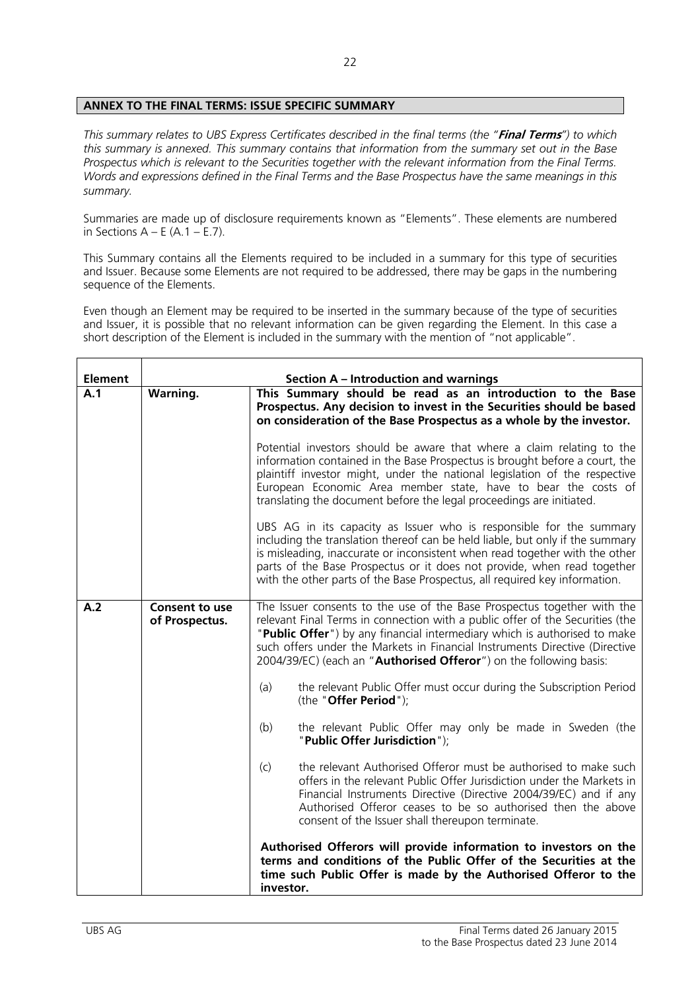# **ANNEX TO THE FINAL TERMS: ISSUE SPECIFIC SUMMARY**

*This summary relates to UBS Express Certificates described in the final terms (the "***Final Terms***") to which this summary is annexed. This summary contains that information from the summary set out in the Base Prospectus which is relevant to the Securities together with the relevant information from the Final Terms. Words and expressions defined in the Final Terms and the Base Prospectus have the same meanings in this summary.* 

Summaries are made up of disclosure requirements known as "Elements". These elements are numbered in Sections  $A - E(A.1 - E.7)$ .

This Summary contains all the Elements required to be included in a summary for this type of securities and Issuer. Because some Elements are not required to be addressed, there may be gaps in the numbering sequence of the Elements.

Even though an Element may be required to be inserted in the summary because of the type of securities and Issuer, it is possible that no relevant information can be given regarding the Element. In this case a short description of the Element is included in the summary with the mention of "not applicable".

| <b>Element</b> | <b>Section A - Introduction and warnings</b> |                                                                                                                                                                                                                                                                                                                                                                                              |  |
|----------------|----------------------------------------------|----------------------------------------------------------------------------------------------------------------------------------------------------------------------------------------------------------------------------------------------------------------------------------------------------------------------------------------------------------------------------------------------|--|
| A.1            | <b>Warning.</b>                              | This Summary should be read as an introduction to the Base<br>Prospectus. Any decision to invest in the Securities should be based<br>on consideration of the Base Prospectus as a whole by the investor.                                                                                                                                                                                    |  |
|                |                                              | Potential investors should be aware that where a claim relating to the<br>information contained in the Base Prospectus is brought before a court, the<br>plaintiff investor might, under the national legislation of the respective<br>European Economic Area member state, have to bear the costs of<br>translating the document before the legal proceedings are initiated.                |  |
|                |                                              | UBS AG in its capacity as Issuer who is responsible for the summary<br>including the translation thereof can be held liable, but only if the summary<br>is misleading, inaccurate or inconsistent when read together with the other<br>parts of the Base Prospectus or it does not provide, when read together<br>with the other parts of the Base Prospectus, all required key information. |  |
| A.2            | <b>Consent to use</b><br>of Prospectus.      | The Issuer consents to the use of the Base Prospectus together with the<br>relevant Final Terms in connection with a public offer of the Securities (the<br>"Public Offer") by any financial intermediary which is authorised to make<br>such offers under the Markets in Financial Instruments Directive (Directive<br>2004/39/EC) (each an "Authorised Offeror") on the following basis:   |  |
|                |                                              | (a)<br>the relevant Public Offer must occur during the Subscription Period<br>(the "Offer Period");                                                                                                                                                                                                                                                                                          |  |
|                |                                              | (b)<br>the relevant Public Offer may only be made in Sweden (the<br>"Public Offer Jurisdiction");                                                                                                                                                                                                                                                                                            |  |
|                |                                              | the relevant Authorised Offeror must be authorised to make such<br>(c)<br>offers in the relevant Public Offer Jurisdiction under the Markets in<br>Financial Instruments Directive (Directive 2004/39/EC) and if any<br>Authorised Offeror ceases to be so authorised then the above<br>consent of the Issuer shall thereupon terminate.                                                     |  |
|                |                                              | Authorised Offerors will provide information to investors on the<br>terms and conditions of the Public Offer of the Securities at the<br>time such Public Offer is made by the Authorised Offeror to the<br>investor.                                                                                                                                                                        |  |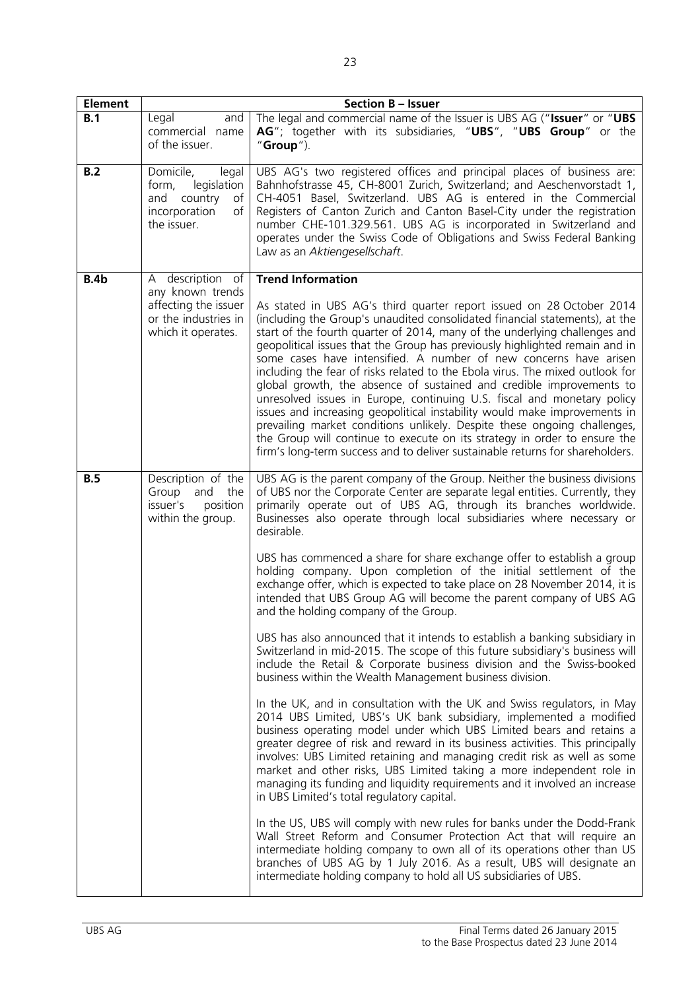| B.1<br>Legal                                                     |                                                                                                            | <b>Section B - Issuer</b>                                                                                                                                                                                                                                                                                                                                                                                                                                                                                                                                                                                                                                                                                                                                                                                                                                                                                                                                                                                                                                                                                                                                                                                                                                                                                                                                                                                                                                                                                                                                                                                                                                                                                                                                                                                                                                                  |  |  |
|------------------------------------------------------------------|------------------------------------------------------------------------------------------------------------|----------------------------------------------------------------------------------------------------------------------------------------------------------------------------------------------------------------------------------------------------------------------------------------------------------------------------------------------------------------------------------------------------------------------------------------------------------------------------------------------------------------------------------------------------------------------------------------------------------------------------------------------------------------------------------------------------------------------------------------------------------------------------------------------------------------------------------------------------------------------------------------------------------------------------------------------------------------------------------------------------------------------------------------------------------------------------------------------------------------------------------------------------------------------------------------------------------------------------------------------------------------------------------------------------------------------------------------------------------------------------------------------------------------------------------------------------------------------------------------------------------------------------------------------------------------------------------------------------------------------------------------------------------------------------------------------------------------------------------------------------------------------------------------------------------------------------------------------------------------------------|--|--|
| of the issuer.                                                   | and<br>commercial name                                                                                     | The legal and commercial name of the Issuer is UBS AG ("Issuer" or "UBS<br>AG"; together with its subsidiaries, "UBS", "UBS Group" or the<br>" $Group'$ ).                                                                                                                                                                                                                                                                                                                                                                                                                                                                                                                                                                                                                                                                                                                                                                                                                                                                                                                                                                                                                                                                                                                                                                                                                                                                                                                                                                                                                                                                                                                                                                                                                                                                                                                 |  |  |
| B.2<br>Domicile,<br>form,<br>and<br>incorporation<br>the issuer. | legal<br>legislation<br>country<br>of I<br>of                                                              | UBS AG's two registered offices and principal places of business are:<br>Bahnhofstrasse 45, CH-8001 Zurich, Switzerland; and Aeschenvorstadt 1,<br>CH-4051 Basel, Switzerland. UBS AG is entered in the Commercial<br>Registers of Canton Zurich and Canton Basel-City under the registration<br>number CHE-101.329.561. UBS AG is incorporated in Switzerland and<br>operates under the Swiss Code of Obligations and Swiss Federal Banking<br>Law as an Aktiengesellschaft.                                                                                                                                                                                                                                                                                                                                                                                                                                                                                                                                                                                                                                                                                                                                                                                                                                                                                                                                                                                                                                                                                                                                                                                                                                                                                                                                                                                              |  |  |
| B.4b                                                             | A description of<br>any known trends<br>affecting the issuer<br>or the industries in<br>which it operates. | <b>Trend Information</b><br>As stated in UBS AG's third quarter report issued on 28 October 2014<br>(including the Group's unaudited consolidated financial statements), at the<br>start of the fourth quarter of 2014, many of the underlying challenges and<br>geopolitical issues that the Group has previously highlighted remain and in<br>some cases have intensified. A number of new concerns have arisen<br>including the fear of risks related to the Ebola virus. The mixed outlook for<br>global growth, the absence of sustained and credible improvements to<br>unresolved issues in Europe, continuing U.S. fiscal and monetary policy<br>issues and increasing geopolitical instability would make improvements in<br>prevailing market conditions unlikely. Despite these ongoing challenges,<br>the Group will continue to execute on its strategy in order to ensure the<br>firm's long-term success and to deliver sustainable returns for shareholders.                                                                                                                                                                                                                                                                                                                                                                                                                                                                                                                                                                                                                                                                                                                                                                                                                                                                                               |  |  |
| B.5<br>Group and<br>issuer's                                     | Description of the<br>the<br>position<br>within the group.                                                 | UBS AG is the parent company of the Group. Neither the business divisions<br>of UBS nor the Corporate Center are separate legal entities. Currently, they<br>primarily operate out of UBS AG, through its branches worldwide.<br>Businesses also operate through local subsidiaries where necessary or<br>desirable.<br>UBS has commenced a share for share exchange offer to establish a group<br>holding company. Upon completion of the initial settlement of the<br>exchange offer, which is expected to take place on 28 November 2014, it is<br>intended that UBS Group AG will become the parent company of UBS AG<br>and the holding company of the Group.<br>UBS has also announced that it intends to establish a banking subsidiary in<br>Switzerland in mid-2015. The scope of this future subsidiary's business will<br>include the Retail & Corporate business division and the Swiss-booked<br>business within the Wealth Management business division.<br>In the UK, and in consultation with the UK and Swiss regulators, in May<br>2014 UBS Limited, UBS's UK bank subsidiary, implemented a modified<br>business operating model under which UBS Limited bears and retains a<br>greater degree of risk and reward in its business activities. This principally<br>involves: UBS Limited retaining and managing credit risk as well as some<br>market and other risks, UBS Limited taking a more independent role in<br>managing its funding and liquidity requirements and it involved an increase<br>in UBS Limited's total regulatory capital.<br>In the US, UBS will comply with new rules for banks under the Dodd-Frank<br>Wall Street Reform and Consumer Protection Act that will require an<br>intermediate holding company to own all of its operations other than US<br>branches of UBS AG by 1 July 2016. As a result, UBS will designate an |  |  |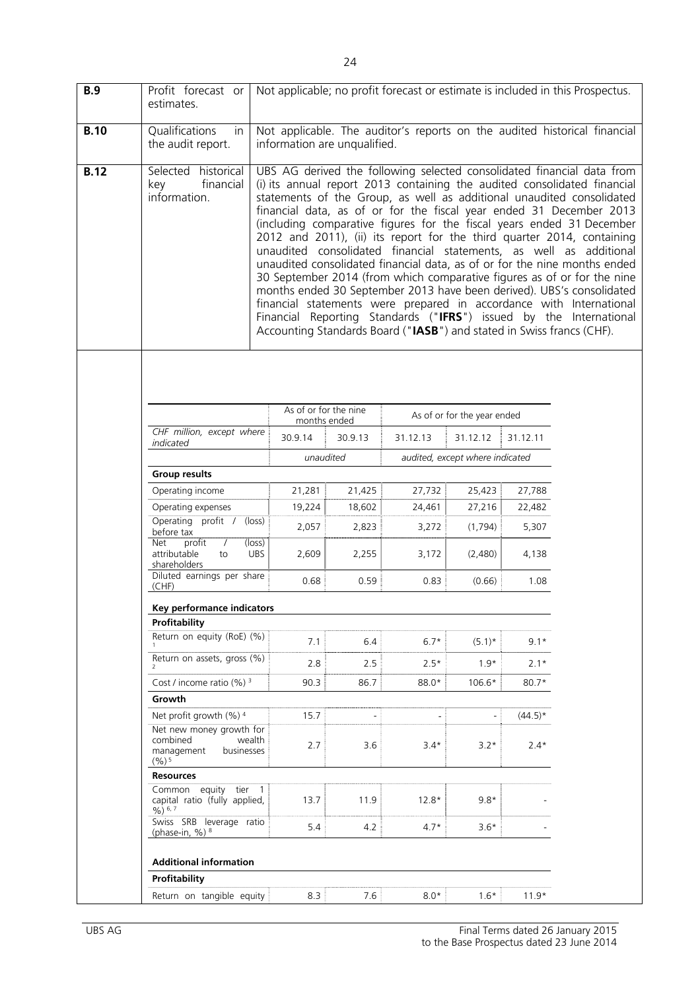| B.9         | Profit forecast or<br>estimates.                                                    |                                                                       |                                              |          |                             |            | Not applicable; no profit forecast or estimate is included in this Prospectus.                                                                                                                                                                                                                                                                                                                                                                                                                                                                                                                                                                                                                                                                                                                                                                                                                            |
|-------------|-------------------------------------------------------------------------------------|-----------------------------------------------------------------------|----------------------------------------------|----------|-----------------------------|------------|-----------------------------------------------------------------------------------------------------------------------------------------------------------------------------------------------------------------------------------------------------------------------------------------------------------------------------------------------------------------------------------------------------------------------------------------------------------------------------------------------------------------------------------------------------------------------------------------------------------------------------------------------------------------------------------------------------------------------------------------------------------------------------------------------------------------------------------------------------------------------------------------------------------|
| <b>B.10</b> | Qualifications<br>in<br>the audit report.                                           | information are unqualified.                                          |                                              |          |                             |            | Not applicable. The auditor's reports on the audited historical financial                                                                                                                                                                                                                                                                                                                                                                                                                                                                                                                                                                                                                                                                                                                                                                                                                                 |
| <b>B.12</b> | Selected historical<br>financial<br>key<br>information.                             | Accounting Standards Board ("IASB") and stated in Swiss francs (CHF). |                                              |          |                             |            | UBS AG derived the following selected consolidated financial data from<br>(i) its annual report 2013 containing the audited consolidated financial<br>statements of the Group, as well as additional unaudited consolidated<br>financial data, as of or for the fiscal year ended 31 December 2013<br>(including comparative figures for the fiscal years ended 31 December<br>2012 and 2011), (ii) its report for the third quarter 2014, containing<br>unaudited consolidated financial statements, as well as additional<br>unaudited consolidated financial data, as of or for the nine months ended<br>30 September 2014 (from which comparative figures as of or for the nine<br>months ended 30 September 2013 have been derived). UBS's consolidated<br>financial statements were prepared in accordance with International<br>Financial Reporting Standards ("IFRS") issued by the International |
|             |                                                                                     |                                                                       |                                              |          |                             |            |                                                                                                                                                                                                                                                                                                                                                                                                                                                                                                                                                                                                                                                                                                                                                                                                                                                                                                           |
|             |                                                                                     |                                                                       | As of or for the nine<br>months ended        |          | As of or for the year ended |            |                                                                                                                                                                                                                                                                                                                                                                                                                                                                                                                                                                                                                                                                                                                                                                                                                                                                                                           |
|             | CHF million, except where<br>indicated                                              | 30.9.14                                                               | 30.9.13                                      | 31.12.13 | 31.12.12                    | 31.12.11   |                                                                                                                                                                                                                                                                                                                                                                                                                                                                                                                                                                                                                                                                                                                                                                                                                                                                                                           |
|             |                                                                                     |                                                                       | unaudited<br>audited, except where indicated |          |                             |            |                                                                                                                                                                                                                                                                                                                                                                                                                                                                                                                                                                                                                                                                                                                                                                                                                                                                                                           |
|             | <b>Group results</b>                                                                |                                                                       |                                              |          |                             |            |                                                                                                                                                                                                                                                                                                                                                                                                                                                                                                                                                                                                                                                                                                                                                                                                                                                                                                           |
|             | Operating income                                                                    | 21,281                                                                | 21,425                                       | 27,732   | 25,423                      | 27,788     |                                                                                                                                                                                                                                                                                                                                                                                                                                                                                                                                                                                                                                                                                                                                                                                                                                                                                                           |
|             | Operating expenses                                                                  | 19,224                                                                | 18,602                                       | 24,461   | 27,216                      | 22,482     |                                                                                                                                                                                                                                                                                                                                                                                                                                                                                                                                                                                                                                                                                                                                                                                                                                                                                                           |
|             | Operating profit /<br>before tax                                                    | $(\text{loss})$<br>2,057                                              | 2,823                                        | 3,272    | (1,794)                     | 5,307      |                                                                                                                                                                                                                                                                                                                                                                                                                                                                                                                                                                                                                                                                                                                                                                                                                                                                                                           |
|             | $\overline{\text{profit}}$<br>Net<br>$\prime$<br>attributable<br>to<br>shareholders | (loss)<br><b>UBS</b><br>2,609                                         | 2,255                                        | 3,172    | (2,480)                     | 4,138      |                                                                                                                                                                                                                                                                                                                                                                                                                                                                                                                                                                                                                                                                                                                                                                                                                                                                                                           |
|             | Diluted earnings per share<br>(CHF)                                                 | 0.68                                                                  | 0.59                                         | 0.83     | (0.66)                      | 1.08       |                                                                                                                                                                                                                                                                                                                                                                                                                                                                                                                                                                                                                                                                                                                                                                                                                                                                                                           |
|             | <b>Key performance indicators</b>                                                   |                                                                       |                                              |          |                             |            |                                                                                                                                                                                                                                                                                                                                                                                                                                                                                                                                                                                                                                                                                                                                                                                                                                                                                                           |
|             | Profitability                                                                       |                                                                       |                                              |          |                             |            |                                                                                                                                                                                                                                                                                                                                                                                                                                                                                                                                                                                                                                                                                                                                                                                                                                                                                                           |
|             | Return on equity (RoE) (%)                                                          | 7.1                                                                   | 6.4                                          | $6.7*$   | $(5.1)^*$                   | $9.1*$     |                                                                                                                                                                                                                                                                                                                                                                                                                                                                                                                                                                                                                                                                                                                                                                                                                                                                                                           |
|             | Return on assets, gross (%)                                                         | 2.8                                                                   | 2.5                                          | $2.5*$   | $1.9*$                      | $2.1*$     |                                                                                                                                                                                                                                                                                                                                                                                                                                                                                                                                                                                                                                                                                                                                                                                                                                                                                                           |
|             | Cost / income ratio $(\%)$ <sup>3</sup>                                             | 90.3                                                                  | 86.7                                         | 88.0*    | 106.6*                      | $80.7*$    |                                                                                                                                                                                                                                                                                                                                                                                                                                                                                                                                                                                                                                                                                                                                                                                                                                                                                                           |
|             | Growth                                                                              |                                                                       |                                              |          |                             |            |                                                                                                                                                                                                                                                                                                                                                                                                                                                                                                                                                                                                                                                                                                                                                                                                                                                                                                           |
|             | Net profit growth (%) 4<br>Net new money growth for                                 | 15.7                                                                  |                                              |          |                             | $(44.5)^*$ |                                                                                                                                                                                                                                                                                                                                                                                                                                                                                                                                                                                                                                                                                                                                                                                                                                                                                                           |
|             | combined<br>wealth<br>management<br>businesses<br>$(%)^{5}$                         | 2.7                                                                   | 3.6                                          | $3.4*$   | $3.2*$                      | $2.4*$     |                                                                                                                                                                                                                                                                                                                                                                                                                                                                                                                                                                                                                                                                                                                                                                                                                                                                                                           |
|             | <b>Resources</b>                                                                    |                                                                       |                                              |          |                             |            |                                                                                                                                                                                                                                                                                                                                                                                                                                                                                                                                                                                                                                                                                                                                                                                                                                                                                                           |
|             | Common equity tier 1<br>capital ratio (fully applied,<br>$96)$ 6, 7                 | 13.7                                                                  | 11.9                                         | $12.8*$  | $9.8*$                      |            |                                                                                                                                                                                                                                                                                                                                                                                                                                                                                                                                                                                                                                                                                                                                                                                                                                                                                                           |
|             | Swiss SRB leverage ratio<br>(phase-in, %) $8$                                       | 5.4                                                                   | 4.2                                          | $4.7*$   | $3.6*$                      |            |                                                                                                                                                                                                                                                                                                                                                                                                                                                                                                                                                                                                                                                                                                                                                                                                                                                                                                           |
|             | <b>Additional information</b>                                                       |                                                                       |                                              |          |                             |            |                                                                                                                                                                                                                                                                                                                                                                                                                                                                                                                                                                                                                                                                                                                                                                                                                                                                                                           |
|             | <b>Profitability</b>                                                                |                                                                       |                                              |          |                             |            |                                                                                                                                                                                                                                                                                                                                                                                                                                                                                                                                                                                                                                                                                                                                                                                                                                                                                                           |
|             | Return on tangible equity                                                           | 8.3                                                                   | 7.6                                          | $8.0*$   | $1.6*$                      | $11.9*$    |                                                                                                                                                                                                                                                                                                                                                                                                                                                                                                                                                                                                                                                                                                                                                                                                                                                                                                           |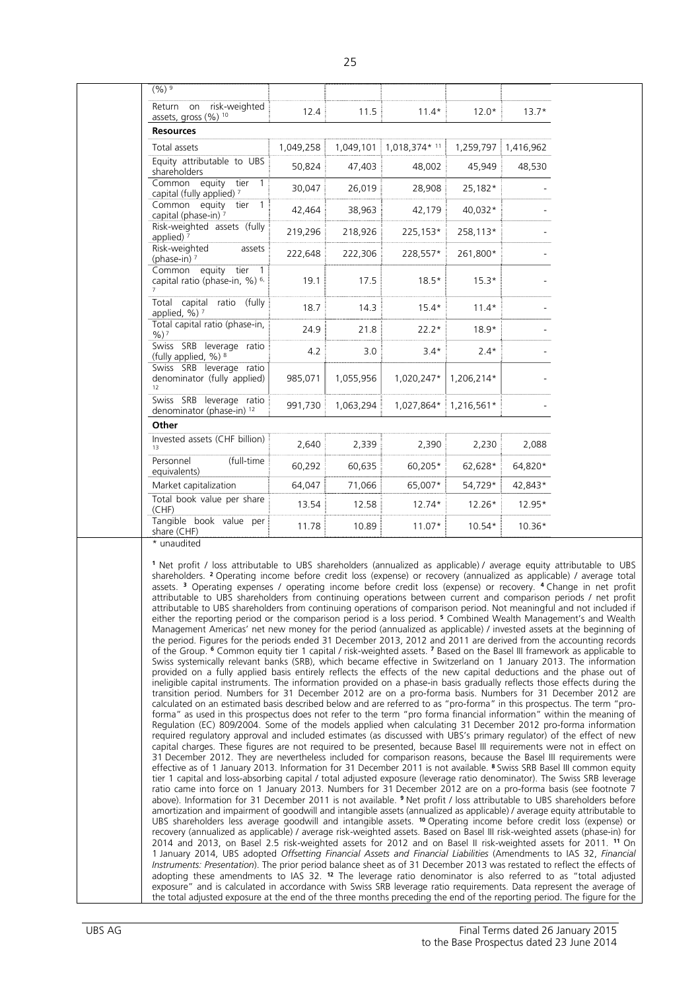|  | $(%)^9$                                                                                                                                                                                                                                                                                                                                                                                                                                                                                                                                                                                                                                                                                                                                                                                                                                                                                                                                                                                                                                                                                                                                                                                                                                                                                                                                                                                                                                                                                                                                                                                                                                                                                                                                                                                                                                                                                                                                                                                                                                                                                                                                                                                                                                                                                                                                                                                                                                                                                                                                                                                                                                                                                                                                                                                                                                                                                                                                                                                                                                                                                                                                                                                                                                                                                                                                                                                                                                                                                                                                                                                                                                                                                                                                                                                                      |           |           |               |            |           |  |
|--|--------------------------------------------------------------------------------------------------------------------------------------------------------------------------------------------------------------------------------------------------------------------------------------------------------------------------------------------------------------------------------------------------------------------------------------------------------------------------------------------------------------------------------------------------------------------------------------------------------------------------------------------------------------------------------------------------------------------------------------------------------------------------------------------------------------------------------------------------------------------------------------------------------------------------------------------------------------------------------------------------------------------------------------------------------------------------------------------------------------------------------------------------------------------------------------------------------------------------------------------------------------------------------------------------------------------------------------------------------------------------------------------------------------------------------------------------------------------------------------------------------------------------------------------------------------------------------------------------------------------------------------------------------------------------------------------------------------------------------------------------------------------------------------------------------------------------------------------------------------------------------------------------------------------------------------------------------------------------------------------------------------------------------------------------------------------------------------------------------------------------------------------------------------------------------------------------------------------------------------------------------------------------------------------------------------------------------------------------------------------------------------------------------------------------------------------------------------------------------------------------------------------------------------------------------------------------------------------------------------------------------------------------------------------------------------------------------------------------------------------------------------------------------------------------------------------------------------------------------------------------------------------------------------------------------------------------------------------------------------------------------------------------------------------------------------------------------------------------------------------------------------------------------------------------------------------------------------------------------------------------------------------------------------------------------------------------------------------------------------------------------------------------------------------------------------------------------------------------------------------------------------------------------------------------------------------------------------------------------------------------------------------------------------------------------------------------------------------------------------------------------------------------------------------------------------|-----------|-----------|---------------|------------|-----------|--|
|  | Return on risk-weighted<br>assets, gross (%) 10                                                                                                                                                                                                                                                                                                                                                                                                                                                                                                                                                                                                                                                                                                                                                                                                                                                                                                                                                                                                                                                                                                                                                                                                                                                                                                                                                                                                                                                                                                                                                                                                                                                                                                                                                                                                                                                                                                                                                                                                                                                                                                                                                                                                                                                                                                                                                                                                                                                                                                                                                                                                                                                                                                                                                                                                                                                                                                                                                                                                                                                                                                                                                                                                                                                                                                                                                                                                                                                                                                                                                                                                                                                                                                                                                              | 12.4      | 11.5      | $11.4*$       | $12.0*$    | $13.7*$   |  |
|  | <b>Resources</b>                                                                                                                                                                                                                                                                                                                                                                                                                                                                                                                                                                                                                                                                                                                                                                                                                                                                                                                                                                                                                                                                                                                                                                                                                                                                                                                                                                                                                                                                                                                                                                                                                                                                                                                                                                                                                                                                                                                                                                                                                                                                                                                                                                                                                                                                                                                                                                                                                                                                                                                                                                                                                                                                                                                                                                                                                                                                                                                                                                                                                                                                                                                                                                                                                                                                                                                                                                                                                                                                                                                                                                                                                                                                                                                                                                                             |           |           |               |            |           |  |
|  | Total assets                                                                                                                                                                                                                                                                                                                                                                                                                                                                                                                                                                                                                                                                                                                                                                                                                                                                                                                                                                                                                                                                                                                                                                                                                                                                                                                                                                                                                                                                                                                                                                                                                                                                                                                                                                                                                                                                                                                                                                                                                                                                                                                                                                                                                                                                                                                                                                                                                                                                                                                                                                                                                                                                                                                                                                                                                                                                                                                                                                                                                                                                                                                                                                                                                                                                                                                                                                                                                                                                                                                                                                                                                                                                                                                                                                                                 | 1,049,258 | 1,049,101 | 1,018,374* 11 | 1,259,797  | 1,416,962 |  |
|  | Equity attributable to UBS<br>shareholders                                                                                                                                                                                                                                                                                                                                                                                                                                                                                                                                                                                                                                                                                                                                                                                                                                                                                                                                                                                                                                                                                                                                                                                                                                                                                                                                                                                                                                                                                                                                                                                                                                                                                                                                                                                                                                                                                                                                                                                                                                                                                                                                                                                                                                                                                                                                                                                                                                                                                                                                                                                                                                                                                                                                                                                                                                                                                                                                                                                                                                                                                                                                                                                                                                                                                                                                                                                                                                                                                                                                                                                                                                                                                                                                                                   | 50,824    | 47,403    | 48,002        | 45,949     | 48,530    |  |
|  | Common equity tier<br>capital (fully applied) 7                                                                                                                                                                                                                                                                                                                                                                                                                                                                                                                                                                                                                                                                                                                                                                                                                                                                                                                                                                                                                                                                                                                                                                                                                                                                                                                                                                                                                                                                                                                                                                                                                                                                                                                                                                                                                                                                                                                                                                                                                                                                                                                                                                                                                                                                                                                                                                                                                                                                                                                                                                                                                                                                                                                                                                                                                                                                                                                                                                                                                                                                                                                                                                                                                                                                                                                                                                                                                                                                                                                                                                                                                                                                                                                                                              | 30,047    | 26,019    | 28,908        | 25,182*    |           |  |
|  | Common equity tier 1<br>capital (phase-in) 7                                                                                                                                                                                                                                                                                                                                                                                                                                                                                                                                                                                                                                                                                                                                                                                                                                                                                                                                                                                                                                                                                                                                                                                                                                                                                                                                                                                                                                                                                                                                                                                                                                                                                                                                                                                                                                                                                                                                                                                                                                                                                                                                                                                                                                                                                                                                                                                                                                                                                                                                                                                                                                                                                                                                                                                                                                                                                                                                                                                                                                                                                                                                                                                                                                                                                                                                                                                                                                                                                                                                                                                                                                                                                                                                                                 | 42,464    | 38,963    | 42,179        | 40,032*    |           |  |
|  | Risk-weighted assets (fully<br>applied) $7$                                                                                                                                                                                                                                                                                                                                                                                                                                                                                                                                                                                                                                                                                                                                                                                                                                                                                                                                                                                                                                                                                                                                                                                                                                                                                                                                                                                                                                                                                                                                                                                                                                                                                                                                                                                                                                                                                                                                                                                                                                                                                                                                                                                                                                                                                                                                                                                                                                                                                                                                                                                                                                                                                                                                                                                                                                                                                                                                                                                                                                                                                                                                                                                                                                                                                                                                                                                                                                                                                                                                                                                                                                                                                                                                                                  | 219,296   | 218,926   | 225,153*      | 258,113*   |           |  |
|  | Risk-weighted<br>assets<br>(phase-in) $7$                                                                                                                                                                                                                                                                                                                                                                                                                                                                                                                                                                                                                                                                                                                                                                                                                                                                                                                                                                                                                                                                                                                                                                                                                                                                                                                                                                                                                                                                                                                                                                                                                                                                                                                                                                                                                                                                                                                                                                                                                                                                                                                                                                                                                                                                                                                                                                                                                                                                                                                                                                                                                                                                                                                                                                                                                                                                                                                                                                                                                                                                                                                                                                                                                                                                                                                                                                                                                                                                                                                                                                                                                                                                                                                                                                    | 222,648   | 222,306   | 228,557*      | 261,800*   |           |  |
|  | Common equity tier 1<br>capital ratio (phase-in, %) <sup>6,</sup>                                                                                                                                                                                                                                                                                                                                                                                                                                                                                                                                                                                                                                                                                                                                                                                                                                                                                                                                                                                                                                                                                                                                                                                                                                                                                                                                                                                                                                                                                                                                                                                                                                                                                                                                                                                                                                                                                                                                                                                                                                                                                                                                                                                                                                                                                                                                                                                                                                                                                                                                                                                                                                                                                                                                                                                                                                                                                                                                                                                                                                                                                                                                                                                                                                                                                                                                                                                                                                                                                                                                                                                                                                                                                                                                            | 19.1      | 17.5      | $18.5*$       | $15.3*$    |           |  |
|  | Total capital ratio<br>(fully<br>applied, $\%$ ) $^7$                                                                                                                                                                                                                                                                                                                                                                                                                                                                                                                                                                                                                                                                                                                                                                                                                                                                                                                                                                                                                                                                                                                                                                                                                                                                                                                                                                                                                                                                                                                                                                                                                                                                                                                                                                                                                                                                                                                                                                                                                                                                                                                                                                                                                                                                                                                                                                                                                                                                                                                                                                                                                                                                                                                                                                                                                                                                                                                                                                                                                                                                                                                                                                                                                                                                                                                                                                                                                                                                                                                                                                                                                                                                                                                                                        | 18.7      | 14.3      | $15.4*$       | $11.4*$    |           |  |
|  | Total capital ratio (phase-in,<br>$%$ ) 7                                                                                                                                                                                                                                                                                                                                                                                                                                                                                                                                                                                                                                                                                                                                                                                                                                                                                                                                                                                                                                                                                                                                                                                                                                                                                                                                                                                                                                                                                                                                                                                                                                                                                                                                                                                                                                                                                                                                                                                                                                                                                                                                                                                                                                                                                                                                                                                                                                                                                                                                                                                                                                                                                                                                                                                                                                                                                                                                                                                                                                                                                                                                                                                                                                                                                                                                                                                                                                                                                                                                                                                                                                                                                                                                                                    | 24.9      | 21.8      | $22.2*$       | $18.9*$    |           |  |
|  | Swiss SRB leverage ratio<br>(fully applied, %) 8                                                                                                                                                                                                                                                                                                                                                                                                                                                                                                                                                                                                                                                                                                                                                                                                                                                                                                                                                                                                                                                                                                                                                                                                                                                                                                                                                                                                                                                                                                                                                                                                                                                                                                                                                                                                                                                                                                                                                                                                                                                                                                                                                                                                                                                                                                                                                                                                                                                                                                                                                                                                                                                                                                                                                                                                                                                                                                                                                                                                                                                                                                                                                                                                                                                                                                                                                                                                                                                                                                                                                                                                                                                                                                                                                             | 4.2       | 3.0       | $3.4*$        | $2.4*$     |           |  |
|  | Swiss SRB leverage ratio<br>denominator (fully applied)<br>12                                                                                                                                                                                                                                                                                                                                                                                                                                                                                                                                                                                                                                                                                                                                                                                                                                                                                                                                                                                                                                                                                                                                                                                                                                                                                                                                                                                                                                                                                                                                                                                                                                                                                                                                                                                                                                                                                                                                                                                                                                                                                                                                                                                                                                                                                                                                                                                                                                                                                                                                                                                                                                                                                                                                                                                                                                                                                                                                                                                                                                                                                                                                                                                                                                                                                                                                                                                                                                                                                                                                                                                                                                                                                                                                                | 985,071   | 1,055,956 | 1,020,247*    | 1,206,214* |           |  |
|  | Swiss SRB leverage ratio<br>denominator (phase-in) 12                                                                                                                                                                                                                                                                                                                                                                                                                                                                                                                                                                                                                                                                                                                                                                                                                                                                                                                                                                                                                                                                                                                                                                                                                                                                                                                                                                                                                                                                                                                                                                                                                                                                                                                                                                                                                                                                                                                                                                                                                                                                                                                                                                                                                                                                                                                                                                                                                                                                                                                                                                                                                                                                                                                                                                                                                                                                                                                                                                                                                                                                                                                                                                                                                                                                                                                                                                                                                                                                                                                                                                                                                                                                                                                                                        | 991,730   | 1,063,294 | 1,027,864*    | 1,216,561* |           |  |
|  | Other                                                                                                                                                                                                                                                                                                                                                                                                                                                                                                                                                                                                                                                                                                                                                                                                                                                                                                                                                                                                                                                                                                                                                                                                                                                                                                                                                                                                                                                                                                                                                                                                                                                                                                                                                                                                                                                                                                                                                                                                                                                                                                                                                                                                                                                                                                                                                                                                                                                                                                                                                                                                                                                                                                                                                                                                                                                                                                                                                                                                                                                                                                                                                                                                                                                                                                                                                                                                                                                                                                                                                                                                                                                                                                                                                                                                        |           |           |               |            |           |  |
|  | Invested assets (CHF billion)<br>13                                                                                                                                                                                                                                                                                                                                                                                                                                                                                                                                                                                                                                                                                                                                                                                                                                                                                                                                                                                                                                                                                                                                                                                                                                                                                                                                                                                                                                                                                                                                                                                                                                                                                                                                                                                                                                                                                                                                                                                                                                                                                                                                                                                                                                                                                                                                                                                                                                                                                                                                                                                                                                                                                                                                                                                                                                                                                                                                                                                                                                                                                                                                                                                                                                                                                                                                                                                                                                                                                                                                                                                                                                                                                                                                                                          | 2,640     | 2,339     | 2,390         | 2,230      | 2,088     |  |
|  | (full-time<br>Personnel<br>equivalents)                                                                                                                                                                                                                                                                                                                                                                                                                                                                                                                                                                                                                                                                                                                                                                                                                                                                                                                                                                                                                                                                                                                                                                                                                                                                                                                                                                                                                                                                                                                                                                                                                                                                                                                                                                                                                                                                                                                                                                                                                                                                                                                                                                                                                                                                                                                                                                                                                                                                                                                                                                                                                                                                                                                                                                                                                                                                                                                                                                                                                                                                                                                                                                                                                                                                                                                                                                                                                                                                                                                                                                                                                                                                                                                                                                      | 60,292    | 60,635    | 60,205*       | 62,628*    | 64,820*   |  |
|  | Market capitalization                                                                                                                                                                                                                                                                                                                                                                                                                                                                                                                                                                                                                                                                                                                                                                                                                                                                                                                                                                                                                                                                                                                                                                                                                                                                                                                                                                                                                                                                                                                                                                                                                                                                                                                                                                                                                                                                                                                                                                                                                                                                                                                                                                                                                                                                                                                                                                                                                                                                                                                                                                                                                                                                                                                                                                                                                                                                                                                                                                                                                                                                                                                                                                                                                                                                                                                                                                                                                                                                                                                                                                                                                                                                                                                                                                                        | 64,047    | 71,066    | 65,007*       | 54,729*    | 42,843*   |  |
|  | Total book value per share<br>(CHF)                                                                                                                                                                                                                                                                                                                                                                                                                                                                                                                                                                                                                                                                                                                                                                                                                                                                                                                                                                                                                                                                                                                                                                                                                                                                                                                                                                                                                                                                                                                                                                                                                                                                                                                                                                                                                                                                                                                                                                                                                                                                                                                                                                                                                                                                                                                                                                                                                                                                                                                                                                                                                                                                                                                                                                                                                                                                                                                                                                                                                                                                                                                                                                                                                                                                                                                                                                                                                                                                                                                                                                                                                                                                                                                                                                          | 13.54     | 12.58     | $12.74*$      | $12.26*$   | 12.95*    |  |
|  | Tangible book value per<br>share (CHF)<br>* unaudited                                                                                                                                                                                                                                                                                                                                                                                                                                                                                                                                                                                                                                                                                                                                                                                                                                                                                                                                                                                                                                                                                                                                                                                                                                                                                                                                                                                                                                                                                                                                                                                                                                                                                                                                                                                                                                                                                                                                                                                                                                                                                                                                                                                                                                                                                                                                                                                                                                                                                                                                                                                                                                                                                                                                                                                                                                                                                                                                                                                                                                                                                                                                                                                                                                                                                                                                                                                                                                                                                                                                                                                                                                                                                                                                                        | 11.78     | 10.89     | $11.07*$      | 10.54*     | $10.36*$  |  |
|  | 1 Net profit / loss attributable to UBS shareholders (annualized as applicable) / average equity attributable to UBS<br>shareholders. <sup>2</sup> Operating income before credit loss (expense) or recovery (annualized as applicable) / average total<br>assets. <sup>3</sup> Operating expenses / operating income before credit loss (expense) or recovery. <sup>4</sup> Change in net profit<br>attributable to UBS shareholders from continuing operations between current and comparison periods / net profit<br>attributable to UBS shareholders from continuing operations of comparison period. Not meaningful and not included if<br>either the reporting period or the comparison period is a loss period. <sup>5</sup> Combined Wealth Management's and Wealth<br>Management Americas' net new money for the period (annualized as applicable) / invested assets at the beginning of<br>the period. Figures for the periods ended 31 December 2013, 2012 and 2011 are derived from the accounting records<br>of the Group. 6 Common equity tier 1 capital / risk-weighted assets. 7 Based on the Basel III framework as applicable to<br>Swiss systemically relevant banks (SRB), which became effective in Switzerland on 1 January 2013. The information<br>provided on a fully applied basis entirely reflects the effects of the new capital deductions and the phase out of<br>ineligible capital instruments. The information provided on a phase-in basis gradually reflects those effects during the<br>transition period. Numbers for 31 December 2012 are on a pro-forma basis. Numbers for 31 December 2012 are<br>calculated on an estimated basis described below and are referred to as "pro-forma" in this prospectus. The term "pro-<br>forma" as used in this prospectus does not refer to the term "pro forma financial information" within the meaning of<br>Regulation (EC) 809/2004. Some of the models applied when calculating 31 December 2012 pro-forma information<br>required regulatory approval and included estimates (as discussed with UBS's primary regulator) of the effect of new<br>capital charges. These figures are not required to be presented, because Basel III requirements were not in effect on<br>31 December 2012. They are nevertheless included for comparison reasons, because the Basel III requirements were<br>effective as of 1 January 2013. Information for 31 December 2011 is not available. <sup>8</sup> Swiss SRB Basel III common equity<br>tier 1 capital and loss-absorbing capital / total adjusted exposure (leverage ratio denominator). The Swiss SRB leverage<br>ratio came into force on 1 January 2013. Numbers for 31 December 2012 are on a pro-forma basis (see footnote 7<br>above). Information for 31 December 2011 is not available. <sup>9</sup> Net profit / loss attributable to UBS shareholders before<br>amortization and impairment of goodwill and intangible assets (annualized as applicable) / average equity attributable to<br>UBS shareholders less average goodwill and intangible assets. <sup>10</sup> Operating income before credit loss (expense) or<br>recovery (annualized as applicable) / average risk-weighted assets. Based on Basel III risk-weighted assets (phase-in) for<br>2014 and 2013, on Basel 2.5 risk-weighted assets for 2012 and on Basel II risk-weighted assets for 2011. <sup>11</sup> On<br>1 January 2014, UBS adopted Offsetting Financial Assets and Financial Liabilities (Amendments to IAS 32, Financial<br>Instruments: Presentation). The prior period balance sheet as of 31 December 2013 was restated to reflect the effects of<br>adopting these amendments to IAS 32. <sup>12</sup> The leverage ratio denominator is also referred to as "total adjusted |           |           |               |            |           |  |
|  | exposure" and is calculated in accordance with Swiss SRB leverage ratio requirements. Data represent the average of<br>the total adjusted exposure at the end of the three months preceding the end of the reporting period. The figure for the                                                                                                                                                                                                                                                                                                                                                                                                                                                                                                                                                                                                                                                                                                                                                                                                                                                                                                                                                                                                                                                                                                                                                                                                                                                                                                                                                                                                                                                                                                                                                                                                                                                                                                                                                                                                                                                                                                                                                                                                                                                                                                                                                                                                                                                                                                                                                                                                                                                                                                                                                                                                                                                                                                                                                                                                                                                                                                                                                                                                                                                                                                                                                                                                                                                                                                                                                                                                                                                                                                                                                              |           |           |               |            |           |  |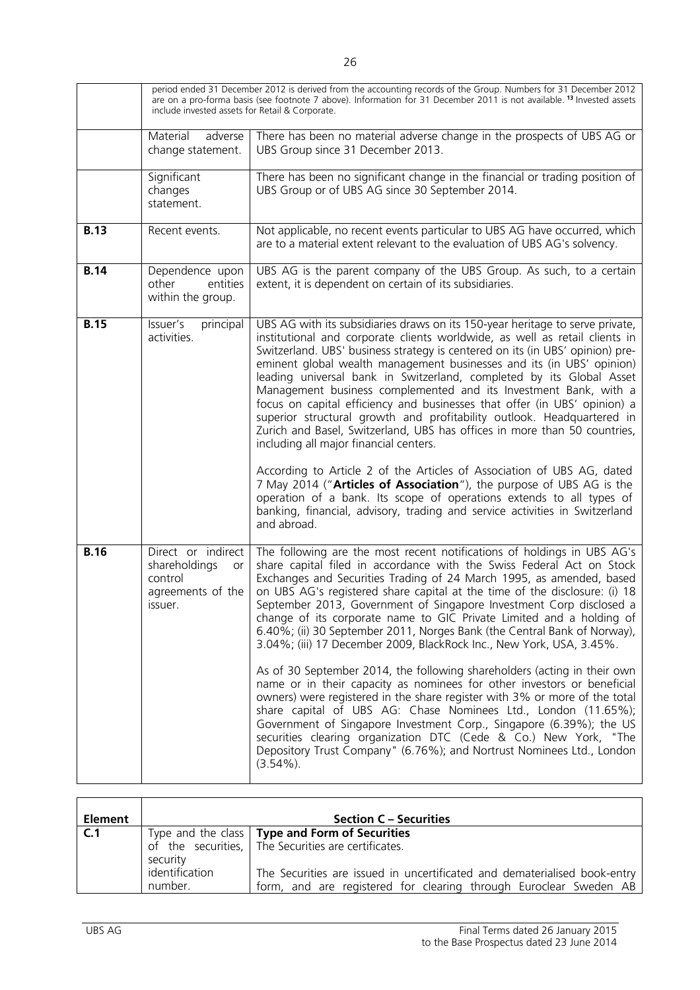|             | period ended 31 December 2012 is derived from the accounting records of the Group. Numbers for 31 December 2012<br>are on a pro-forma basis (see footnote 7 above). Information for 31 December 2011 is not available. <sup>13</sup> Invested assets<br>include invested assets for Retail & Corporate. |                                                                                                                                                                                                                                                                                                                                                                                                                                                                                                                                                                                                                                                                                                                                                                                                                                                                                                                                                                                                                                                                                                                                                      |  |
|-------------|---------------------------------------------------------------------------------------------------------------------------------------------------------------------------------------------------------------------------------------------------------------------------------------------------------|------------------------------------------------------------------------------------------------------------------------------------------------------------------------------------------------------------------------------------------------------------------------------------------------------------------------------------------------------------------------------------------------------------------------------------------------------------------------------------------------------------------------------------------------------------------------------------------------------------------------------------------------------------------------------------------------------------------------------------------------------------------------------------------------------------------------------------------------------------------------------------------------------------------------------------------------------------------------------------------------------------------------------------------------------------------------------------------------------------------------------------------------------|--|
|             | adverse<br>Material<br>change statement.                                                                                                                                                                                                                                                                | There has been no material adverse change in the prospects of UBS AG or<br>UBS Group since 31 December 2013.                                                                                                                                                                                                                                                                                                                                                                                                                                                                                                                                                                                                                                                                                                                                                                                                                                                                                                                                                                                                                                         |  |
|             | Significant<br>changes<br>statement.                                                                                                                                                                                                                                                                    | There has been no significant change in the financial or trading position of<br>UBS Group or of UBS AG since 30 September 2014.                                                                                                                                                                                                                                                                                                                                                                                                                                                                                                                                                                                                                                                                                                                                                                                                                                                                                                                                                                                                                      |  |
| <b>B.13</b> | Recent events.                                                                                                                                                                                                                                                                                          | Not applicable, no recent events particular to UBS AG have occurred, which<br>are to a material extent relevant to the evaluation of UBS AG's solvency.                                                                                                                                                                                                                                                                                                                                                                                                                                                                                                                                                                                                                                                                                                                                                                                                                                                                                                                                                                                              |  |
| <b>B.14</b> | Dependence upon<br>other<br>entities<br>within the group.                                                                                                                                                                                                                                               | UBS AG is the parent company of the UBS Group. As such, to a certain<br>extent, it is dependent on certain of its subsidiaries.                                                                                                                                                                                                                                                                                                                                                                                                                                                                                                                                                                                                                                                                                                                                                                                                                                                                                                                                                                                                                      |  |
| <b>B.15</b> | Issuer's<br>principal<br>activities.                                                                                                                                                                                                                                                                    | UBS AG with its subsidiaries draws on its 150-year heritage to serve private,<br>institutional and corporate clients worldwide, as well as retail clients in<br>Switzerland. UBS' business strategy is centered on its (in UBS' opinion) pre-<br>eminent global wealth management businesses and its (in UBS' opinion)<br>leading universal bank in Switzerland, completed by its Global Asset<br>Management business complemented and its Investment Bank, with a<br>focus on capital efficiency and businesses that offer (in UBS' opinion) a<br>superior structural growth and profitability outlook. Headquartered in<br>Zurich and Basel, Switzerland, UBS has offices in more than 50 countries,<br>including all major financial centers.<br>According to Article 2 of the Articles of Association of UBS AG, dated<br>7 May 2014 ("Articles of Association"), the purpose of UBS AG is the<br>operation of a bank. Its scope of operations extends to all types of<br>banking, financial, advisory, trading and service activities in Switzerland<br>and abroad.                                                                             |  |
| <b>B.16</b> | Direct or indirect<br>shareholdings<br>or<br>control<br>agreements of the<br>issuer.                                                                                                                                                                                                                    | The following are the most recent notifications of holdings in UBS AG's<br>share capital filed in accordance with the Swiss Federal Act on Stock<br>Exchanges and Securities Trading of 24 March 1995, as amended, based<br>on UBS AG's registered share capital at the time of the disclosure: (i) 18<br>September 2013, Government of Singapore Investment Corp disclosed a<br>change of its corporate name to GIC Private Limited and a holding of<br>6.40%; (ii) 30 September 2011, Norges Bank (the Central Bank of Norway),<br>3.04%; (iii) 17 December 2009, BlackRock Inc., New York, USA, 3.45%.<br>As of 30 September 2014, the following shareholders (acting in their own<br>name or in their capacity as nominees for other investors or beneficial<br>owners) were registered in the share register with 3% or more of the total<br>share capital of UBS AG: Chase Nominees Ltd., London (11.65%);<br>Government of Singapore Investment Corp., Singapore (6.39%); the US<br>securities clearing organization DTC (Cede & Co.) New York, "The<br>Depository Trust Company" (6.76%); and Nortrust Nominees Ltd., London<br>$(3.54\%)$ . |  |

| <b>Element</b> |                                       | <b>Section C – Securities</b>                                                                                                                  |
|----------------|---------------------------------------|------------------------------------------------------------------------------------------------------------------------------------------------|
| C.1            |                                       | Type and the class $\vert$ Type and Form of Securities<br>of the securities, The Securities are certificates.                                  |
|                | security<br>identification<br>number. | The Securities are issued in uncertificated and dematerialised book-entry<br>form, and are registered for clearing through Euroclear Sweden AB |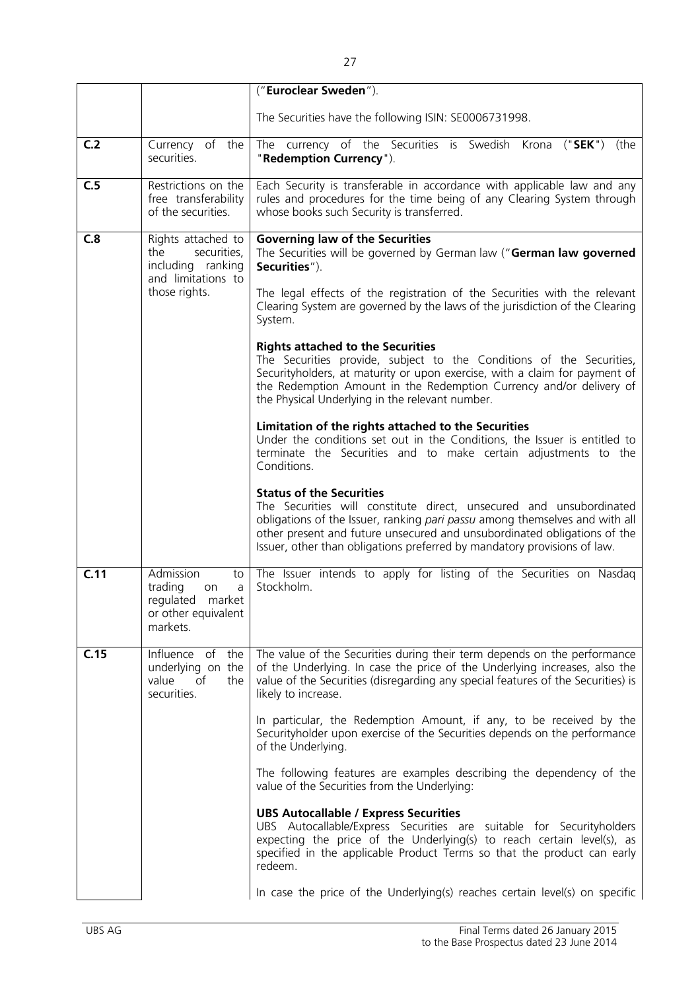|      |                                                                                                 | ("Euroclear Sweden").                                                                                                                                                                                                                                                                                                                         |
|------|-------------------------------------------------------------------------------------------------|-----------------------------------------------------------------------------------------------------------------------------------------------------------------------------------------------------------------------------------------------------------------------------------------------------------------------------------------------|
|      |                                                                                                 | The Securities have the following ISIN: SE0006731998.                                                                                                                                                                                                                                                                                         |
| C.2  | Currency of the<br>securities.                                                                  | The currency of the Securities is Swedish Krona ("SEK")<br>(the<br>"Redemption Currency").                                                                                                                                                                                                                                                    |
| C.5  | Restrictions on the<br>free transferability<br>of the securities.                               | Each Security is transferable in accordance with applicable law and any<br>rules and procedures for the time being of any Clearing System through<br>whose books such Security is transferred.                                                                                                                                                |
| C.8  | Rights attached to<br>securities,<br>the<br>including ranking<br>and limitations to             | <b>Governing law of the Securities</b><br>The Securities will be governed by German law ("German law governed<br>Securities").                                                                                                                                                                                                                |
|      | those rights.                                                                                   | The legal effects of the registration of the Securities with the relevant<br>Clearing System are governed by the laws of the jurisdiction of the Clearing<br>System.                                                                                                                                                                          |
|      |                                                                                                 | <b>Rights attached to the Securities</b><br>The Securities provide, subject to the Conditions of the Securities,<br>Securityholders, at maturity or upon exercise, with a claim for payment of<br>the Redemption Amount in the Redemption Currency and/or delivery of<br>the Physical Underlying in the relevant number.                      |
|      |                                                                                                 | Limitation of the rights attached to the Securities<br>Under the conditions set out in the Conditions, the Issuer is entitled to<br>terminate the Securities and to make certain adjustments to the<br>Conditions.                                                                                                                            |
|      |                                                                                                 | <b>Status of the Securities</b><br>The Securities will constitute direct, unsecured and unsubordinated<br>obligations of the Issuer, ranking pari passu among themselves and with all<br>other present and future unsecured and unsubordinated obligations of the<br>Issuer, other than obligations preferred by mandatory provisions of law. |
| C.11 | Admission<br>to<br>trading<br>a<br>on<br>regulated<br>market<br>or other equivalent<br>markets. | The Issuer intends to apply for listing of the Securities on Nasdaq<br>Stockholm.                                                                                                                                                                                                                                                             |
| C.15 | Influence of<br>the<br>underlying on the<br>of<br>value<br>the<br>securities.                   | The value of the Securities during their term depends on the performance<br>of the Underlying. In case the price of the Underlying increases, also the<br>value of the Securities (disregarding any special features of the Securities) is<br>likely to increase.                                                                             |
|      |                                                                                                 | In particular, the Redemption Amount, if any, to be received by the<br>Securityholder upon exercise of the Securities depends on the performance<br>of the Underlying.                                                                                                                                                                        |
|      |                                                                                                 | The following features are examples describing the dependency of the<br>value of the Securities from the Underlying:                                                                                                                                                                                                                          |
|      |                                                                                                 | <b>UBS Autocallable / Express Securities</b><br>UBS Autocallable/Express Securities are suitable for Securityholders<br>expecting the price of the Underlying(s) to reach certain level(s), as<br>specified in the applicable Product Terms so that the product can early<br>redeem.                                                          |
|      |                                                                                                 | In case the price of the Underlying(s) reaches certain level(s) on specific                                                                                                                                                                                                                                                                   |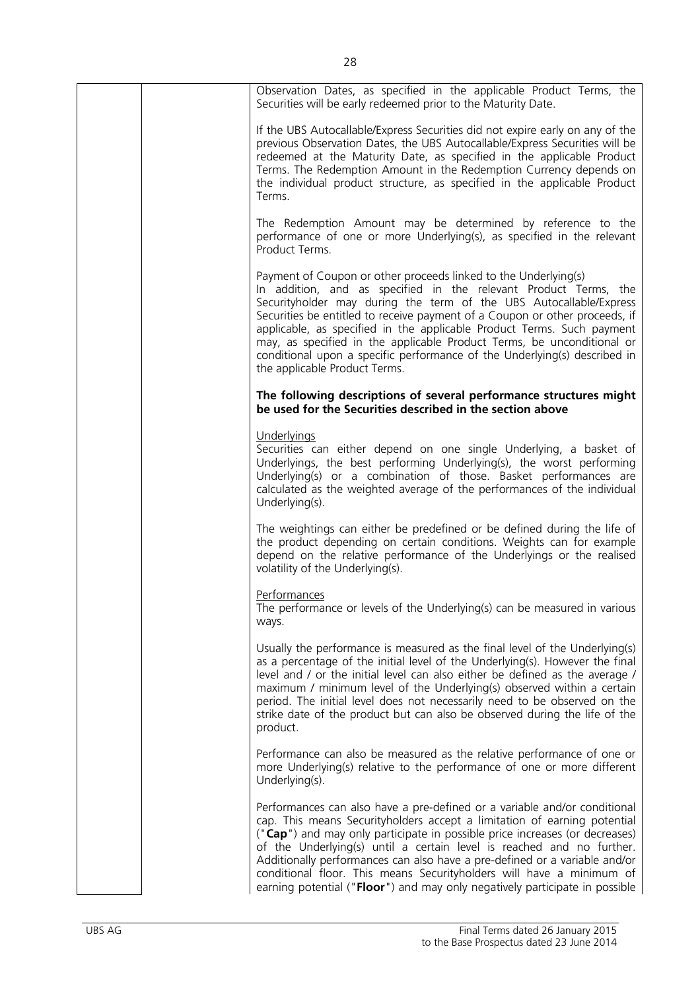| Observation Dates, as specified in the applicable Product Terms, the<br>Securities will be early redeemed prior to the Maturity Date.                                                                                                                                                                                                                                                                                                                                                                                                                      |
|------------------------------------------------------------------------------------------------------------------------------------------------------------------------------------------------------------------------------------------------------------------------------------------------------------------------------------------------------------------------------------------------------------------------------------------------------------------------------------------------------------------------------------------------------------|
| If the UBS Autocallable/Express Securities did not expire early on any of the<br>previous Observation Dates, the UBS Autocallable/Express Securities will be<br>redeemed at the Maturity Date, as specified in the applicable Product<br>Terms. The Redemption Amount in the Redemption Currency depends on<br>the individual product structure, as specified in the applicable Product<br>Terms.                                                                                                                                                          |
| The Redemption Amount may be determined by reference to the<br>performance of one or more Underlying(s), as specified in the relevant<br>Product Terms.                                                                                                                                                                                                                                                                                                                                                                                                    |
| Payment of Coupon or other proceeds linked to the Underlying(s)<br>In addition, and as specified in the relevant Product Terms, the<br>Securityholder may during the term of the UBS Autocallable/Express<br>Securities be entitled to receive payment of a Coupon or other proceeds, if<br>applicable, as specified in the applicable Product Terms. Such payment<br>may, as specified in the applicable Product Terms, be unconditional or<br>conditional upon a specific performance of the Underlying(s) described in<br>the applicable Product Terms. |
| The following descriptions of several performance structures might<br>be used for the Securities described in the section above                                                                                                                                                                                                                                                                                                                                                                                                                            |
| Underlyings<br>Securities can either depend on one single Underlying, a basket of<br>Underlyings, the best performing Underlying(s), the worst performing<br>Underlying(s) or a combination of those. Basket performances are<br>calculated as the weighted average of the performances of the individual<br>Underlying(s).                                                                                                                                                                                                                                |
| The weightings can either be predefined or be defined during the life of<br>the product depending on certain conditions. Weights can for example<br>depend on the relative performance of the Underlyings or the realised<br>volatility of the Underlying(s).                                                                                                                                                                                                                                                                                              |
| Performances<br>The performance or levels of the Underlying(s) can be measured in various<br>ways.                                                                                                                                                                                                                                                                                                                                                                                                                                                         |
| Usually the performance is measured as the final level of the Underlying(s)<br>as a percentage of the initial level of the Underlying(s). However the final<br>level and / or the initial level can also either be defined as the average /<br>maximum / minimum level of the Underlying(s) observed within a certain<br>period. The initial level does not necessarily need to be observed on the<br>strike date of the product but can also be observed during the life of the<br>product.                                                               |
| Performance can also be measured as the relative performance of one or<br>more Underlying(s) relative to the performance of one or more different<br>Underlying(s).                                                                                                                                                                                                                                                                                                                                                                                        |
| Performances can also have a pre-defined or a variable and/or conditional<br>cap. This means Securityholders accept a limitation of earning potential<br>("Cap") and may only participate in possible price increases (or decreases)<br>of the Underlying(s) until a certain level is reached and no further.<br>Additionally performances can also have a pre-defined or a variable and/or<br>conditional floor. This means Securityholders will have a minimum of<br>earning potential ("Floor") and may only negatively participate in possible         |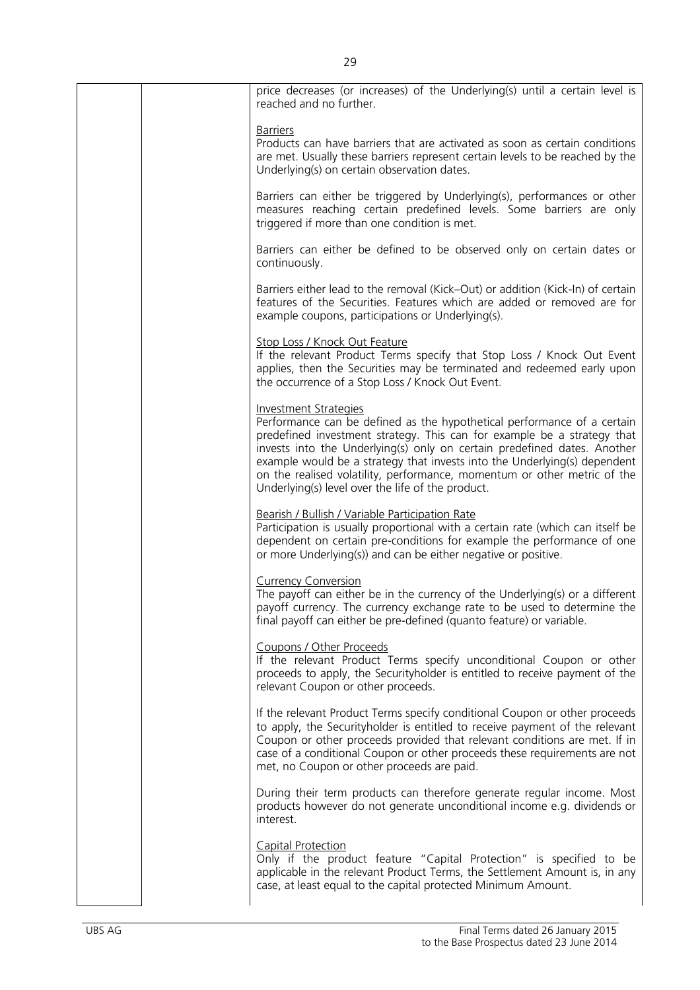| price decreases (or increases) of the Underlying(s) until a certain level is<br>reached and no further.                                                                                                                                                                                                                                                                                                                                                                      |
|------------------------------------------------------------------------------------------------------------------------------------------------------------------------------------------------------------------------------------------------------------------------------------------------------------------------------------------------------------------------------------------------------------------------------------------------------------------------------|
| <u>Barriers</u><br>Products can have barriers that are activated as soon as certain conditions<br>are met. Usually these barriers represent certain levels to be reached by the<br>Underlying(s) on certain observation dates.                                                                                                                                                                                                                                               |
| Barriers can either be triggered by Underlying(s), performances or other<br>measures reaching certain predefined levels. Some barriers are only<br>triggered if more than one condition is met.                                                                                                                                                                                                                                                                              |
| Barriers can either be defined to be observed only on certain dates or<br>continuously.                                                                                                                                                                                                                                                                                                                                                                                      |
| Barriers either lead to the removal (Kick–Out) or addition (Kick-In) of certain<br>features of the Securities. Features which are added or removed are for<br>example coupons, participations or Underlying(s).                                                                                                                                                                                                                                                              |
| Stop Loss / Knock Out Feature<br>If the relevant Product Terms specify that Stop Loss / Knock Out Event<br>applies, then the Securities may be terminated and redeemed early upon<br>the occurrence of a Stop Loss / Knock Out Event.                                                                                                                                                                                                                                        |
| <b>Investment Strategies</b><br>Performance can be defined as the hypothetical performance of a certain<br>predefined investment strategy. This can for example be a strategy that<br>invests into the Underlying(s) only on certain predefined dates. Another<br>example would be a strategy that invests into the Underlying(s) dependent<br>on the realised volatility, performance, momentum or other metric of the<br>Underlying(s) level over the life of the product. |
| Bearish / Bullish / Variable Participation Rate<br>Participation is usually proportional with a certain rate (which can itself be<br>dependent on certain pre-conditions for example the performance of one<br>or more Underlying(s)) and can be either negative or positive.                                                                                                                                                                                                |
| <b>Currency Conversion</b><br>The payoff can either be in the currency of the Underlying(s) or a different<br>payoff currency. The currency exchange rate to be used to determine the<br>final payoff can either be pre-defined (quanto feature) or variable.                                                                                                                                                                                                                |
| Coupons / Other Proceeds<br>If the relevant Product Terms specify unconditional Coupon or other<br>proceeds to apply, the Securityholder is entitled to receive payment of the<br>relevant Coupon or other proceeds.                                                                                                                                                                                                                                                         |
| If the relevant Product Terms specify conditional Coupon or other proceeds<br>to apply, the Securityholder is entitled to receive payment of the relevant<br>Coupon or other proceeds provided that relevant conditions are met. If in<br>case of a conditional Coupon or other proceeds these requirements are not<br>met, no Coupon or other proceeds are paid.                                                                                                            |
| During their term products can therefore generate regular income. Most<br>products however do not generate unconditional income e.g. dividends or<br>interest.                                                                                                                                                                                                                                                                                                               |
| Capital Protection<br>Only if the product feature "Capital Protection" is specified to be<br>applicable in the relevant Product Terms, the Settlement Amount is, in any<br>case, at least equal to the capital protected Minimum Amount.                                                                                                                                                                                                                                     |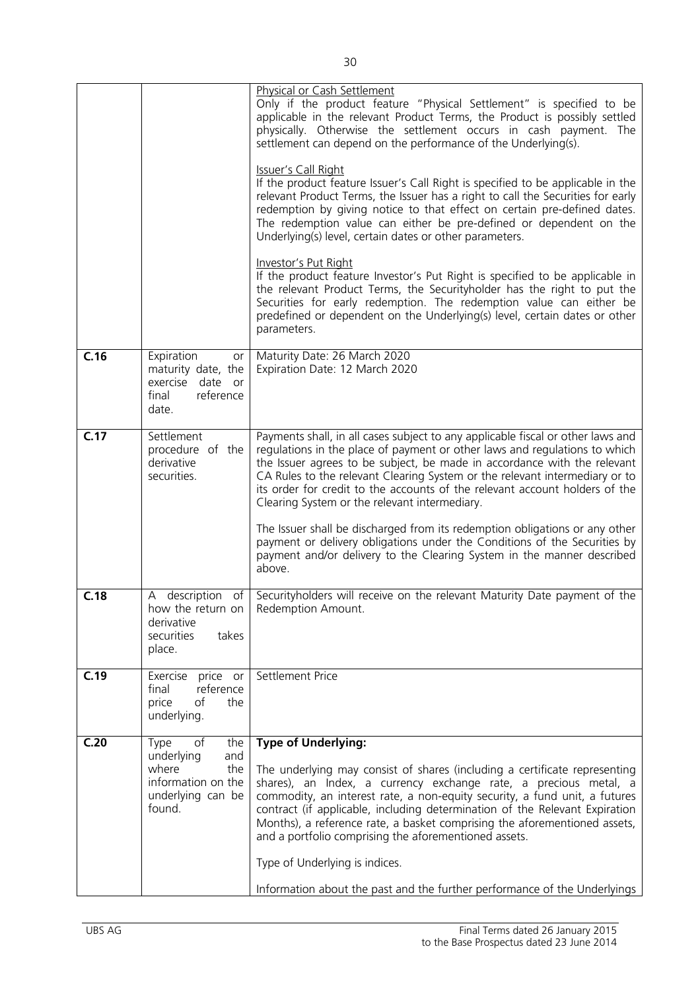|      |                                                                                                             | <b>Physical or Cash Settlement</b><br>Only if the product feature "Physical Settlement" is specified to be<br>applicable in the relevant Product Terms, the Product is possibly settled<br>physically. Otherwise the settlement occurs in cash payment. The<br>settlement can depend on the performance of the Underlying(s).<br><b>Issuer's Call Right</b><br>If the product feature Issuer's Call Right is specified to be applicable in the<br>relevant Product Terms, the Issuer has a right to call the Securities for early<br>redemption by giving notice to that effect on certain pre-defined dates.<br>The redemption value can either be pre-defined or dependent on the<br>Underlying(s) level, certain dates or other parameters.<br><b>Investor's Put Right</b><br>If the product feature Investor's Put Right is specified to be applicable in<br>the relevant Product Terms, the Securityholder has the right to put the<br>Securities for early redemption. The redemption value can either be<br>predefined or dependent on the Underlying(s) level, certain dates or other<br>parameters. |
|------|-------------------------------------------------------------------------------------------------------------|--------------------------------------------------------------------------------------------------------------------------------------------------------------------------------------------------------------------------------------------------------------------------------------------------------------------------------------------------------------------------------------------------------------------------------------------------------------------------------------------------------------------------------------------------------------------------------------------------------------------------------------------------------------------------------------------------------------------------------------------------------------------------------------------------------------------------------------------------------------------------------------------------------------------------------------------------------------------------------------------------------------------------------------------------------------------------------------------------------------|
| C.16 | Expiration<br>or<br>maturity date, the<br>exercise<br>date or<br>final<br>reference<br>date.                | Maturity Date: 26 March 2020<br>Expiration Date: 12 March 2020                                                                                                                                                                                                                                                                                                                                                                                                                                                                                                                                                                                                                                                                                                                                                                                                                                                                                                                                                                                                                                               |
| C.17 | Settlement<br>procedure of the<br>derivative<br>securities.                                                 | Payments shall, in all cases subject to any applicable fiscal or other laws and<br>regulations in the place of payment or other laws and regulations to which<br>the Issuer agrees to be subject, be made in accordance with the relevant<br>CA Rules to the relevant Clearing System or the relevant intermediary or to<br>its order for credit to the accounts of the relevant account holders of the<br>Clearing System or the relevant intermediary.<br>The Issuer shall be discharged from its redemption obligations or any other<br>payment or delivery obligations under the Conditions of the Securities by<br>payment and/or delivery to the Clearing System in the manner described<br>above.                                                                                                                                                                                                                                                                                                                                                                                                     |
| C.18 | A description of<br>derivative<br>securities<br>takes<br>place.                                             | Securityholders will receive on the relevant Maturity Date payment of the<br>how the return on   Redemption Amount.                                                                                                                                                                                                                                                                                                                                                                                                                                                                                                                                                                                                                                                                                                                                                                                                                                                                                                                                                                                          |
| C.19 | price or<br>Exercise<br>reference<br>final<br>of<br>the<br>price<br>underlying.                             | Settlement Price                                                                                                                                                                                                                                                                                                                                                                                                                                                                                                                                                                                                                                                                                                                                                                                                                                                                                                                                                                                                                                                                                             |
| C.20 | of<br>Type<br>the<br>underlying<br>and<br>where<br>the<br>information on the<br>underlying can be<br>found. | <b>Type of Underlying:</b><br>The underlying may consist of shares (including a certificate representing<br>shares), an Index, a currency exchange rate, a precious metal, a<br>commodity, an interest rate, a non-equity security, a fund unit, a futures<br>contract (if applicable, including determination of the Relevant Expiration<br>Months), a reference rate, a basket comprising the aforementioned assets,<br>and a portfolio comprising the aforementioned assets.<br>Type of Underlying is indices.<br>Information about the past and the further performance of the Underlyings                                                                                                                                                                                                                                                                                                                                                                                                                                                                                                               |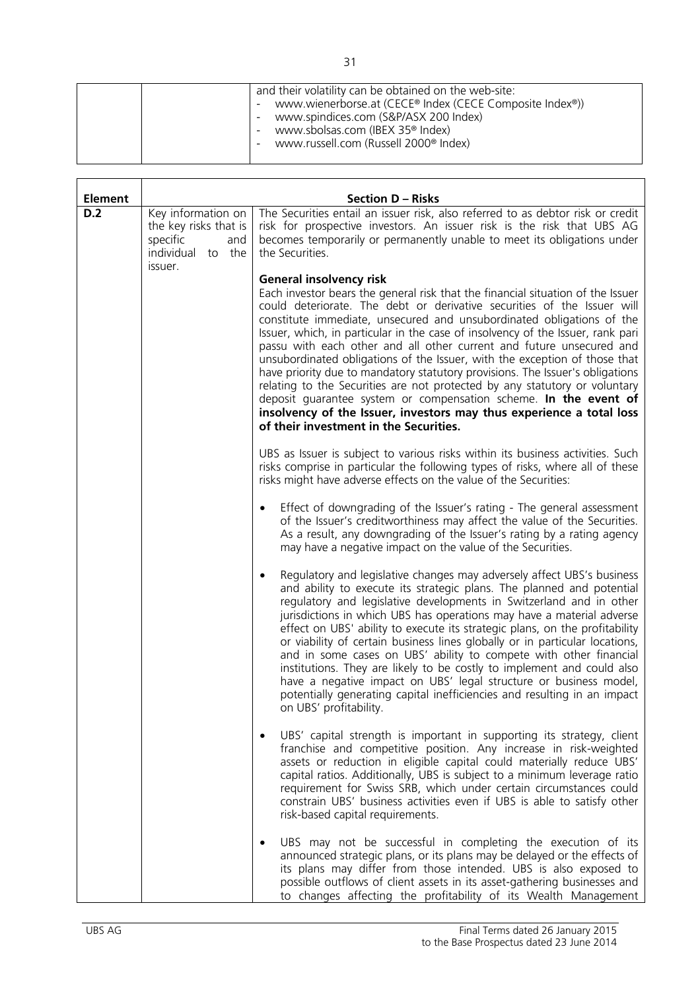| and their volatility can be obtained on the web-site:<br>www.wienerborse.at (CECE® Index (CECE Composite Index®))<br>www.spindices.com (S&P/ASX 200 Index)<br>www.sbolsas.com (IBEX 35 <sup>®</sup> Index)<br>$\sim$<br>www.russell.com (Russell 2000 <sup>®</sup> Index) |
|---------------------------------------------------------------------------------------------------------------------------------------------------------------------------------------------------------------------------------------------------------------------------|

| <b>Element</b> |                                                                                                   | <b>Section D - Risks</b>                                                                                                                                                                                                                                                                                                                                                                                                                                                                                                                                                                                                                                                                                                                                                                                                                                            |
|----------------|---------------------------------------------------------------------------------------------------|---------------------------------------------------------------------------------------------------------------------------------------------------------------------------------------------------------------------------------------------------------------------------------------------------------------------------------------------------------------------------------------------------------------------------------------------------------------------------------------------------------------------------------------------------------------------------------------------------------------------------------------------------------------------------------------------------------------------------------------------------------------------------------------------------------------------------------------------------------------------|
| D.2            | Key information on<br>the key risks that is<br>specific<br>and<br>individual<br>to the<br>issuer. | The Securities entail an issuer risk, also referred to as debtor risk or credit<br>risk for prospective investors. An issuer risk is the risk that UBS AG<br>becomes temporarily or permanently unable to meet its obligations under<br>the Securities.                                                                                                                                                                                                                                                                                                                                                                                                                                                                                                                                                                                                             |
|                |                                                                                                   | <b>General insolvency risk</b><br>Each investor bears the general risk that the financial situation of the Issuer<br>could deteriorate. The debt or derivative securities of the Issuer will<br>constitute immediate, unsecured and unsubordinated obligations of the<br>Issuer, which, in particular in the case of insolvency of the Issuer, rank pari<br>passu with each other and all other current and future unsecured and<br>unsubordinated obligations of the Issuer, with the exception of those that<br>have priority due to mandatory statutory provisions. The Issuer's obligations<br>relating to the Securities are not protected by any statutory or voluntary<br>deposit guarantee system or compensation scheme. In the event of<br>insolvency of the Issuer, investors may thus experience a total loss<br>of their investment in the Securities. |
|                |                                                                                                   | UBS as Issuer is subject to various risks within its business activities. Such<br>risks comprise in particular the following types of risks, where all of these<br>risks might have adverse effects on the value of the Securities:                                                                                                                                                                                                                                                                                                                                                                                                                                                                                                                                                                                                                                 |
|                |                                                                                                   | Effect of downgrading of the Issuer's rating - The general assessment<br>$\bullet$<br>of the Issuer's creditworthiness may affect the value of the Securities.<br>As a result, any downgrading of the Issuer's rating by a rating agency<br>may have a negative impact on the value of the Securities.                                                                                                                                                                                                                                                                                                                                                                                                                                                                                                                                                              |
|                |                                                                                                   | Regulatory and legislative changes may adversely affect UBS's business<br>$\bullet$<br>and ability to execute its strategic plans. The planned and potential<br>regulatory and legislative developments in Switzerland and in other<br>jurisdictions in which UBS has operations may have a material adverse<br>effect on UBS' ability to execute its strategic plans, on the profitability<br>or viability of certain business lines globally or in particular locations,<br>and in some cases on UBS' ability to compete with other financial<br>institutions. They are likely to be costly to implement and could also<br>have a negative impact on UBS' legal structure or business model,<br>potentially generating capital inefficiencies and resulting in an impact<br>on UBS' profitability.                                                                |
|                |                                                                                                   | UBS' capital strength is important in supporting its strategy, client<br>franchise and competitive position. Any increase in risk-weighted<br>assets or reduction in eligible capital could materially reduce UBS'<br>capital ratios. Additionally, UBS is subject to a minimum leverage ratio<br>requirement for Swiss SRB, which under certain circumstances could<br>constrain UBS' business activities even if UBS is able to satisfy other<br>risk-based capital requirements.                                                                                                                                                                                                                                                                                                                                                                                 |
|                |                                                                                                   | UBS may not be successful in completing the execution of its<br>٠<br>announced strategic plans, or its plans may be delayed or the effects of<br>its plans may differ from those intended. UBS is also exposed to<br>possible outflows of client assets in its asset-gathering businesses and<br>to changes affecting the profitability of its Wealth Management                                                                                                                                                                                                                                                                                                                                                                                                                                                                                                    |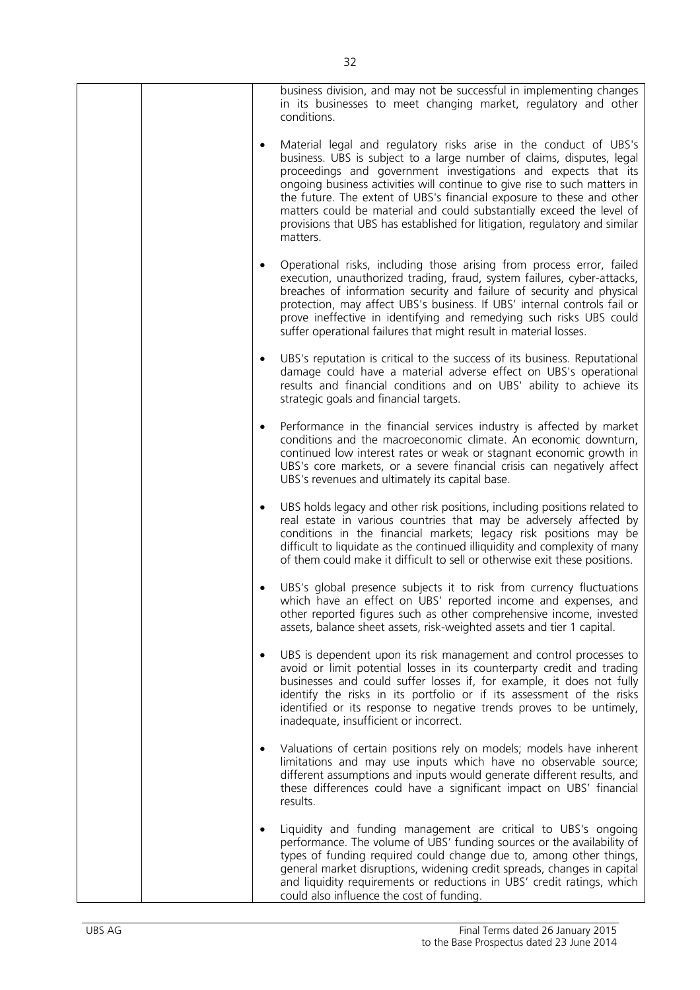|           | business division, and may not be successful in implementing changes<br>in its businesses to meet changing market, regulatory and other<br>conditions.                                                                                                                                                                                                                                                                                                                                                                                |
|-----------|---------------------------------------------------------------------------------------------------------------------------------------------------------------------------------------------------------------------------------------------------------------------------------------------------------------------------------------------------------------------------------------------------------------------------------------------------------------------------------------------------------------------------------------|
| $\bullet$ | Material legal and regulatory risks arise in the conduct of UBS's<br>business. UBS is subject to a large number of claims, disputes, legal<br>proceedings and government investigations and expects that its<br>ongoing business activities will continue to give rise to such matters in<br>the future. The extent of UBS's financial exposure to these and other<br>matters could be material and could substantially exceed the level of<br>provisions that UBS has established for litigation, regulatory and similar<br>matters. |
| $\bullet$ | Operational risks, including those arising from process error, failed<br>execution, unauthorized trading, fraud, system failures, cyber-attacks,<br>breaches of information security and failure of security and physical<br>protection, may affect UBS's business. If UBS' internal controls fail or<br>prove ineffective in identifying and remedying such risks UBS could<br>suffer operational failures that might result in material losses.                                                                                     |
| $\bullet$ | UBS's reputation is critical to the success of its business. Reputational<br>damage could have a material adverse effect on UBS's operational<br>results and financial conditions and on UBS' ability to achieve its<br>strategic goals and financial targets.                                                                                                                                                                                                                                                                        |
| $\bullet$ | Performance in the financial services industry is affected by market<br>conditions and the macroeconomic climate. An economic downturn,<br>continued low interest rates or weak or stagnant economic growth in<br>UBS's core markets, or a severe financial crisis can negatively affect<br>UBS's revenues and ultimately its capital base.                                                                                                                                                                                           |
| $\bullet$ | UBS holds legacy and other risk positions, including positions related to<br>real estate in various countries that may be adversely affected by<br>conditions in the financial markets; legacy risk positions may be<br>difficult to liquidate as the continued illiquidity and complexity of many<br>of them could make it difficult to sell or otherwise exit these positions.                                                                                                                                                      |
|           | UBS's global presence subjects it to risk from currency fluctuations<br>which have an effect on UBS' reported income and expenses, and<br>other reported figures such as other comprehensive income, invested<br>assets, balance sheet assets, risk-weighted assets and tier 1 capital.                                                                                                                                                                                                                                               |
| $\bullet$ | UBS is dependent upon its risk management and control processes to<br>avoid or limit potential losses in its counterparty credit and trading<br>businesses and could suffer losses if, for example, it does not fully<br>identify the risks in its portfolio or if its assessment of the risks<br>identified or its response to negative trends proves to be untimely,<br>inadequate, insufficient or incorrect.                                                                                                                      |
|           | Valuations of certain positions rely on models; models have inherent<br>limitations and may use inputs which have no observable source;<br>different assumptions and inputs would generate different results, and<br>these differences could have a significant impact on UBS' financial<br>results.                                                                                                                                                                                                                                  |
| ٠         | Liquidity and funding management are critical to UBS's ongoing<br>performance. The volume of UBS' funding sources or the availability of<br>types of funding required could change due to, among other things,<br>general market disruptions, widening credit spreads, changes in capital<br>and liquidity requirements or reductions in UBS' credit ratings, which<br>could also influence the cost of funding.                                                                                                                      |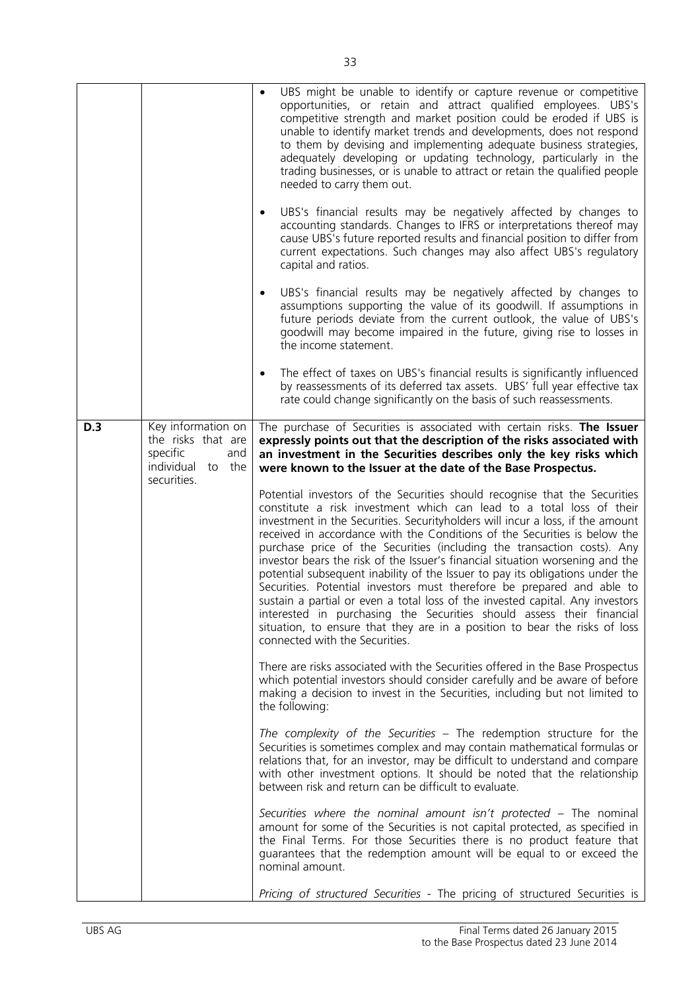|     |                                                                                                       | UBS might be unable to identify or capture revenue or competitive                                                                                                                                                                                                                                                                                                                                                                                                                                                                                                                                                                                                                                                                                                                                                                                                                                                                                                                                                                                                                                                                                                                                                                                                                                                                                                                                                                                                                                                                                                                                                                                                                                                                                                                          |
|-----|-------------------------------------------------------------------------------------------------------|--------------------------------------------------------------------------------------------------------------------------------------------------------------------------------------------------------------------------------------------------------------------------------------------------------------------------------------------------------------------------------------------------------------------------------------------------------------------------------------------------------------------------------------------------------------------------------------------------------------------------------------------------------------------------------------------------------------------------------------------------------------------------------------------------------------------------------------------------------------------------------------------------------------------------------------------------------------------------------------------------------------------------------------------------------------------------------------------------------------------------------------------------------------------------------------------------------------------------------------------------------------------------------------------------------------------------------------------------------------------------------------------------------------------------------------------------------------------------------------------------------------------------------------------------------------------------------------------------------------------------------------------------------------------------------------------------------------------------------------------------------------------------------------------|
|     |                                                                                                       | opportunities, or retain and attract qualified employees. UBS's<br>competitive strength and market position could be eroded if UBS is<br>unable to identify market trends and developments, does not respond<br>to them by devising and implementing adequate business strategies,<br>adequately developing or updating technology, particularly in the<br>trading businesses, or is unable to attract or retain the qualified people<br>needed to carry them out.                                                                                                                                                                                                                                                                                                                                                                                                                                                                                                                                                                                                                                                                                                                                                                                                                                                                                                                                                                                                                                                                                                                                                                                                                                                                                                                         |
|     |                                                                                                       | UBS's financial results may be negatively affected by changes to<br>$\bullet$<br>accounting standards. Changes to IFRS or interpretations thereof may<br>cause UBS's future reported results and financial position to differ from<br>current expectations. Such changes may also affect UBS's regulatory<br>capital and ratios.                                                                                                                                                                                                                                                                                                                                                                                                                                                                                                                                                                                                                                                                                                                                                                                                                                                                                                                                                                                                                                                                                                                                                                                                                                                                                                                                                                                                                                                           |
|     |                                                                                                       | UBS's financial results may be negatively affected by changes to<br>$\bullet$<br>assumptions supporting the value of its goodwill. If assumptions in<br>future periods deviate from the current outlook, the value of UBS's<br>goodwill may become impaired in the future, giving rise to losses in<br>the income statement.                                                                                                                                                                                                                                                                                                                                                                                                                                                                                                                                                                                                                                                                                                                                                                                                                                                                                                                                                                                                                                                                                                                                                                                                                                                                                                                                                                                                                                                               |
|     |                                                                                                       | The effect of taxes on UBS's financial results is significantly influenced<br>$\bullet$<br>by reassessments of its deferred tax assets. UBS' full year effective tax<br>rate could change significantly on the basis of such reassessments.                                                                                                                                                                                                                                                                                                                                                                                                                                                                                                                                                                                                                                                                                                                                                                                                                                                                                                                                                                                                                                                                                                                                                                                                                                                                                                                                                                                                                                                                                                                                                |
| D.3 | Key information on<br>the risks that are<br>specific<br>and<br>individual<br>to<br>the<br>securities. | The purchase of Securities is associated with certain risks. The Issuer<br>expressly points out that the description of the risks associated with<br>an investment in the Securities describes only the key risks which<br>were known to the Issuer at the date of the Base Prospectus.<br>Potential investors of the Securities should recognise that the Securities<br>constitute a risk investment which can lead to a total loss of their<br>investment in the Securities. Securityholders will incur a loss, if the amount<br>received in accordance with the Conditions of the Securities is below the<br>purchase price of the Securities (including the transaction costs). Any<br>investor bears the risk of the Issuer's financial situation worsening and the<br>potential subsequent inability of the Issuer to pay its obligations under the<br>Securities. Potential investors must therefore be prepared and able to<br>sustain a partial or even a total loss of the invested capital. Any investors<br>interested in purchasing the Securities should assess their financial<br>situation, to ensure that they are in a position to bear the risks of loss<br>connected with the Securities.<br>There are risks associated with the Securities offered in the Base Prospectus<br>which potential investors should consider carefully and be aware of before<br>making a decision to invest in the Securities, including but not limited to<br>the following:<br>The complexity of the Securities - The redemption structure for the<br>Securities is sometimes complex and may contain mathematical formulas or<br>relations that, for an investor, may be difficult to understand and compare<br>with other investment options. It should be noted that the relationship |
|     |                                                                                                       | between risk and return can be difficult to evaluate.<br>Securities where the nominal amount isn't protected – The nominal<br>amount for some of the Securities is not capital protected, as specified in<br>the Final Terms. For those Securities there is no product feature that<br>guarantees that the redemption amount will be equal to or exceed the<br>nominal amount.                                                                                                                                                                                                                                                                                                                                                                                                                                                                                                                                                                                                                                                                                                                                                                                                                                                                                                                                                                                                                                                                                                                                                                                                                                                                                                                                                                                                             |
|     |                                                                                                       | Pricing of structured Securities - The pricing of structured Securities is                                                                                                                                                                                                                                                                                                                                                                                                                                                                                                                                                                                                                                                                                                                                                                                                                                                                                                                                                                                                                                                                                                                                                                                                                                                                                                                                                                                                                                                                                                                                                                                                                                                                                                                 |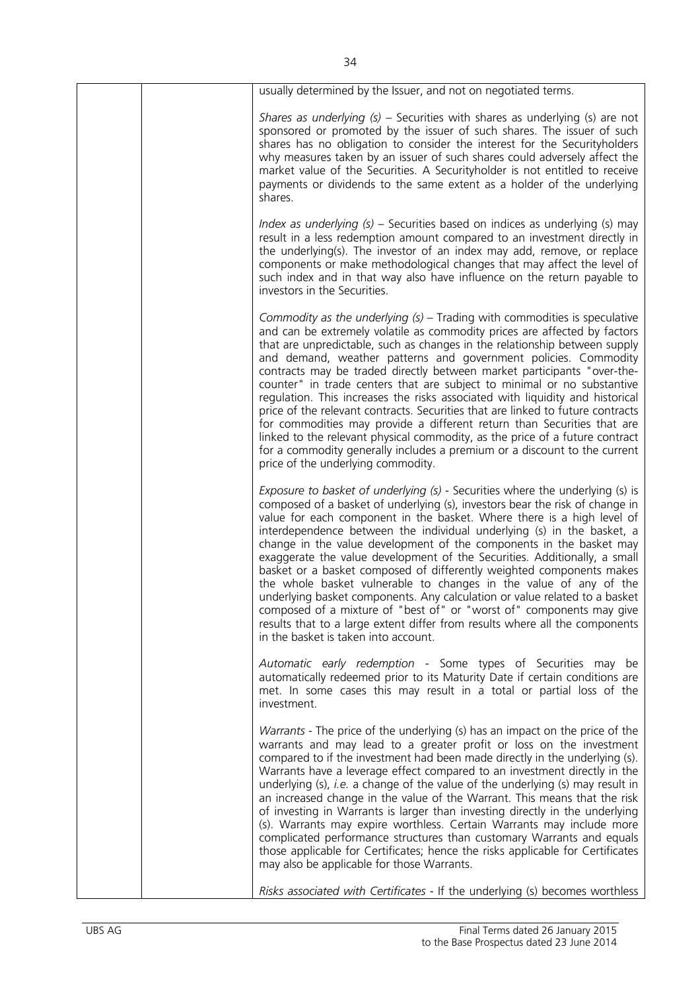| usually determined by the Issuer, and not on negotiated terms.                                                                                                                                                                                                                                                                                                                                                                                                                                                                                                                                                                                                                                                                                                                                                                                                                                                    |
|-------------------------------------------------------------------------------------------------------------------------------------------------------------------------------------------------------------------------------------------------------------------------------------------------------------------------------------------------------------------------------------------------------------------------------------------------------------------------------------------------------------------------------------------------------------------------------------------------------------------------------------------------------------------------------------------------------------------------------------------------------------------------------------------------------------------------------------------------------------------------------------------------------------------|
| Shares as underlying $(s)$ – Securities with shares as underlying $(s)$ are not<br>sponsored or promoted by the issuer of such shares. The issuer of such<br>shares has no obligation to consider the interest for the Securityholders<br>why measures taken by an issuer of such shares could adversely affect the<br>market value of the Securities. A Securityholder is not entitled to receive<br>payments or dividends to the same extent as a holder of the underlying<br>shares.                                                                                                                                                                                                                                                                                                                                                                                                                           |
| Index as underlying $(s)$ – Securities based on indices as underlying $(s)$ may<br>result in a less redemption amount compared to an investment directly in<br>the underlying(s). The investor of an index may add, remove, or replace<br>components or make methodological changes that may affect the level of<br>such index and in that way also have influence on the return payable to<br>investors in the Securities.                                                                                                                                                                                                                                                                                                                                                                                                                                                                                       |
| Commodity as the underlying $(s)$ – Trading with commodities is speculative<br>and can be extremely volatile as commodity prices are affected by factors<br>that are unpredictable, such as changes in the relationship between supply<br>and demand, weather patterns and government policies. Commodity<br>contracts may be traded directly between market participants "over-the-<br>counter" in trade centers that are subject to minimal or no substantive<br>regulation. This increases the risks associated with liquidity and historical<br>price of the relevant contracts. Securities that are linked to future contracts<br>for commodities may provide a different return than Securities that are<br>linked to the relevant physical commodity, as the price of a future contract<br>for a commodity generally includes a premium or a discount to the current<br>price of the underlying commodity. |
| Exposure to basket of underlying (s) - Securities where the underlying (s) is<br>composed of a basket of underlying (s), investors bear the risk of change in<br>value for each component in the basket. Where there is a high level of<br>interdependence between the individual underlying (s) in the basket, a<br>change in the value development of the components in the basket may<br>exaggerate the value development of the Securities. Additionally, a small<br>basket or a basket composed of differently weighted components makes<br>the whole basket vulnerable to changes in the value of any of the<br>underlying basket components. Any calculation or value related to a basket<br>composed of a mixture of "best of" or "worst of" components may give<br>results that to a large extent differ from results where all the components<br>in the basket is taken into account.                   |
| Automatic early redemption - Some types of Securities may be<br>automatically redeemed prior to its Maturity Date if certain conditions are<br>met. In some cases this may result in a total or partial loss of the<br>investment.                                                                                                                                                                                                                                                                                                                                                                                                                                                                                                                                                                                                                                                                                |
| Warrants - The price of the underlying (s) has an impact on the price of the<br>warrants and may lead to a greater profit or loss on the investment<br>compared to if the investment had been made directly in the underlying (s).<br>Warrants have a leverage effect compared to an investment directly in the<br>underlying $(s)$ , <i>i.e.</i> a change of the value of the underlying $(s)$ may result in<br>an increased change in the value of the Warrant. This means that the risk<br>of investing in Warrants is larger than investing directly in the underlying<br>(s). Warrants may expire worthless. Certain Warrants may include more<br>complicated performance structures than customary Warrants and equals<br>those applicable for Certificates; hence the risks applicable for Certificates<br>may also be applicable for those Warrants.                                                      |
| Risks associated with Certificates - If the underlying (s) becomes worthless                                                                                                                                                                                                                                                                                                                                                                                                                                                                                                                                                                                                                                                                                                                                                                                                                                      |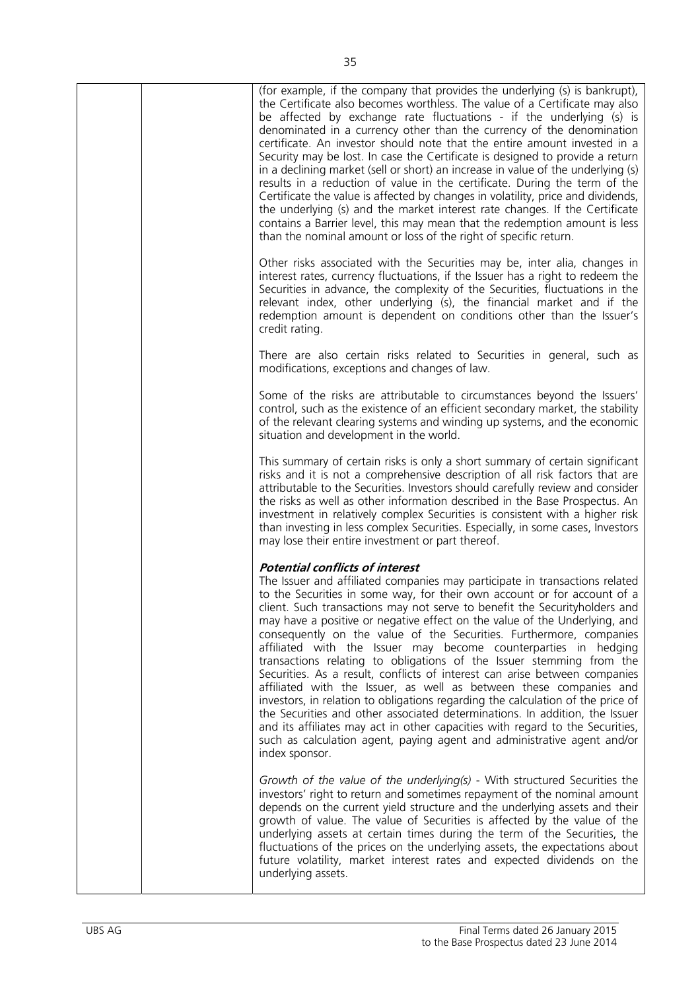| (for example, if the company that provides the underlying (s) is bankrupt),<br>the Certificate also becomes worthless. The value of a Certificate may also<br>be affected by exchange rate fluctuations - if the underlying (s) is<br>denominated in a currency other than the currency of the denomination<br>certificate. An investor should note that the entire amount invested in a<br>Security may be lost. In case the Certificate is designed to provide a return<br>in a declining market (sell or short) an increase in value of the underlying (s)<br>results in a reduction of value in the certificate. During the term of the<br>Certificate the value is affected by changes in volatility, price and dividends,<br>the underlying (s) and the market interest rate changes. If the Certificate<br>contains a Barrier level, this may mean that the redemption amount is less<br>than the nominal amount or loss of the right of specific return.                                                                                                                    |
|-------------------------------------------------------------------------------------------------------------------------------------------------------------------------------------------------------------------------------------------------------------------------------------------------------------------------------------------------------------------------------------------------------------------------------------------------------------------------------------------------------------------------------------------------------------------------------------------------------------------------------------------------------------------------------------------------------------------------------------------------------------------------------------------------------------------------------------------------------------------------------------------------------------------------------------------------------------------------------------------------------------------------------------------------------------------------------------|
| Other risks associated with the Securities may be, inter alia, changes in<br>interest rates, currency fluctuations, if the Issuer has a right to redeem the<br>Securities in advance, the complexity of the Securities, fluctuations in the<br>relevant index, other underlying (s), the financial market and if the<br>redemption amount is dependent on conditions other than the Issuer's<br>credit rating.                                                                                                                                                                                                                                                                                                                                                                                                                                                                                                                                                                                                                                                                      |
| There are also certain risks related to Securities in general, such as<br>modifications, exceptions and changes of law.                                                                                                                                                                                                                                                                                                                                                                                                                                                                                                                                                                                                                                                                                                                                                                                                                                                                                                                                                             |
| Some of the risks are attributable to circumstances beyond the Issuers'<br>control, such as the existence of an efficient secondary market, the stability<br>of the relevant clearing systems and winding up systems, and the economic<br>situation and development in the world.                                                                                                                                                                                                                                                                                                                                                                                                                                                                                                                                                                                                                                                                                                                                                                                                   |
| This summary of certain risks is only a short summary of certain significant<br>risks and it is not a comprehensive description of all risk factors that are<br>attributable to the Securities. Investors should carefully review and consider<br>the risks as well as other information described in the Base Prospectus. An<br>investment in relatively complex Securities is consistent with a higher risk<br>than investing in less complex Securities. Especially, in some cases, Investors<br>may lose their entire investment or part thereof.                                                                                                                                                                                                                                                                                                                                                                                                                                                                                                                               |
| <b>Potential conflicts of interest</b><br>The Issuer and affiliated companies may participate in transactions related<br>to the Securities in some way, for their own account or for account of a<br>client. Such transactions may not serve to benefit the Securityholders and<br>may have a positive or negative effect on the value of the Underlying, and<br>consequently on the value of the Securities. Furthermore, companies<br>affiliated with the Issuer may become counterparties in hedging<br>transactions relating to obligations of the Issuer stemming from the<br>Securities. As a result, conflicts of interest can arise between companies<br>affiliated with the Issuer, as well as between these companies and<br>investors, in relation to obligations regarding the calculation of the price of<br>the Securities and other associated determinations. In addition, the Issuer<br>and its affiliates may act in other capacities with regard to the Securities,<br>such as calculation agent, paying agent and administrative agent and/or<br>index sponsor. |
| Growth of the value of the underlying(s) - With structured Securities the<br>investors' right to return and sometimes repayment of the nominal amount<br>depends on the current yield structure and the underlying assets and their<br>growth of value. The value of Securities is affected by the value of the<br>underlying assets at certain times during the term of the Securities, the<br>fluctuations of the prices on the underlying assets, the expectations about<br>future volatility, market interest rates and expected dividends on the<br>underlying assets.                                                                                                                                                                                                                                                                                                                                                                                                                                                                                                         |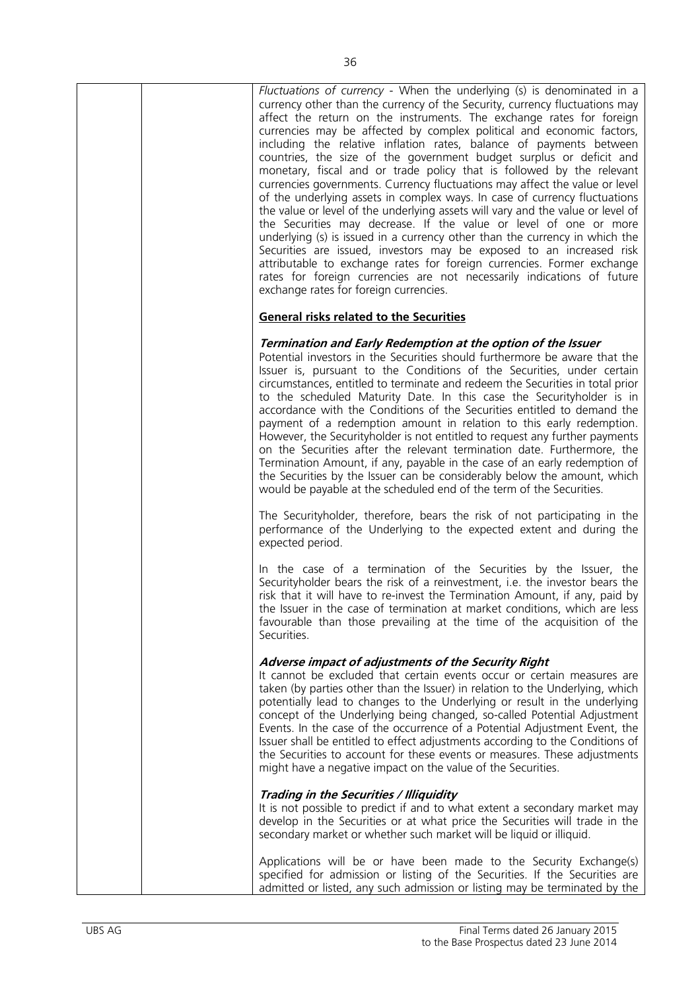| Fluctuations of currency - When the underlying (s) is denominated in a<br>currency other than the currency of the Security, currency fluctuations may<br>affect the return on the instruments. The exchange rates for foreign<br>currencies may be affected by complex political and economic factors,<br>including the relative inflation rates, balance of payments between<br>countries, the size of the government budget surplus or deficit and<br>monetary, fiscal and or trade policy that is followed by the relevant<br>currencies governments. Currency fluctuations may affect the value or level<br>of the underlying assets in complex ways. In case of currency fluctuations<br>the value or level of the underlying assets will vary and the value or level of<br>the Securities may decrease. If the value or level of one or more<br>underlying (s) is issued in a currency other than the currency in which the<br>Securities are issued, investors may be exposed to an increased risk<br>attributable to exchange rates for foreign currencies. Former exchange<br>rates for foreign currencies are not necessarily indications of future<br>exchange rates for foreign currencies. |
|---------------------------------------------------------------------------------------------------------------------------------------------------------------------------------------------------------------------------------------------------------------------------------------------------------------------------------------------------------------------------------------------------------------------------------------------------------------------------------------------------------------------------------------------------------------------------------------------------------------------------------------------------------------------------------------------------------------------------------------------------------------------------------------------------------------------------------------------------------------------------------------------------------------------------------------------------------------------------------------------------------------------------------------------------------------------------------------------------------------------------------------------------------------------------------------------------------|
| <b>General risks related to the Securities</b>                                                                                                                                                                                                                                                                                                                                                                                                                                                                                                                                                                                                                                                                                                                                                                                                                                                                                                                                                                                                                                                                                                                                                          |
| Termination and Early Redemption at the option of the Issuer<br>Potential investors in the Securities should furthermore be aware that the<br>Issuer is, pursuant to the Conditions of the Securities, under certain<br>circumstances, entitled to terminate and redeem the Securities in total prior<br>to the scheduled Maturity Date. In this case the Securityholder is in<br>accordance with the Conditions of the Securities entitled to demand the<br>payment of a redemption amount in relation to this early redemption.<br>However, the Securityholder is not entitled to request any further payments<br>on the Securities after the relevant termination date. Furthermore, the<br>Termination Amount, if any, payable in the case of an early redemption of<br>the Securities by the Issuer can be considerably below the amount, which<br>would be payable at the scheduled end of the term of the Securities.                                                                                                                                                                                                                                                                            |
| The Securityholder, therefore, bears the risk of not participating in the<br>performance of the Underlying to the expected extent and during the<br>expected period.                                                                                                                                                                                                                                                                                                                                                                                                                                                                                                                                                                                                                                                                                                                                                                                                                                                                                                                                                                                                                                    |
| In the case of a termination of the Securities by the Issuer, the<br>Securityholder bears the risk of a reinvestment, i.e. the investor bears the<br>risk that it will have to re-invest the Termination Amount, if any, paid by<br>the Issuer in the case of termination at market conditions, which are less<br>favourable than those prevailing at the time of the acquisition of the<br>Securities.                                                                                                                                                                                                                                                                                                                                                                                                                                                                                                                                                                                                                                                                                                                                                                                                 |
| Adverse impact of adjustments of the Security Right<br>It cannot be excluded that certain events occur or certain measures are<br>taken (by parties other than the Issuer) in relation to the Underlying, which<br>potentially lead to changes to the Underlying or result in the underlying<br>concept of the Underlying being changed, so-called Potential Adjustment<br>Events. In the case of the occurrence of a Potential Adjustment Event, the<br>Issuer shall be entitled to effect adjustments according to the Conditions of<br>the Securities to account for these events or measures. These adjustments<br>might have a negative impact on the value of the Securities.                                                                                                                                                                                                                                                                                                                                                                                                                                                                                                                     |
| Trading in the Securities / Illiquidity<br>It is not possible to predict if and to what extent a secondary market may<br>develop in the Securities or at what price the Securities will trade in the<br>secondary market or whether such market will be liquid or illiquid.                                                                                                                                                                                                                                                                                                                                                                                                                                                                                                                                                                                                                                                                                                                                                                                                                                                                                                                             |
| Applications will be or have been made to the Security Exchange(s)<br>specified for admission or listing of the Securities. If the Securities are<br>admitted or listed, any such admission or listing may be terminated by the                                                                                                                                                                                                                                                                                                                                                                                                                                                                                                                                                                                                                                                                                                                                                                                                                                                                                                                                                                         |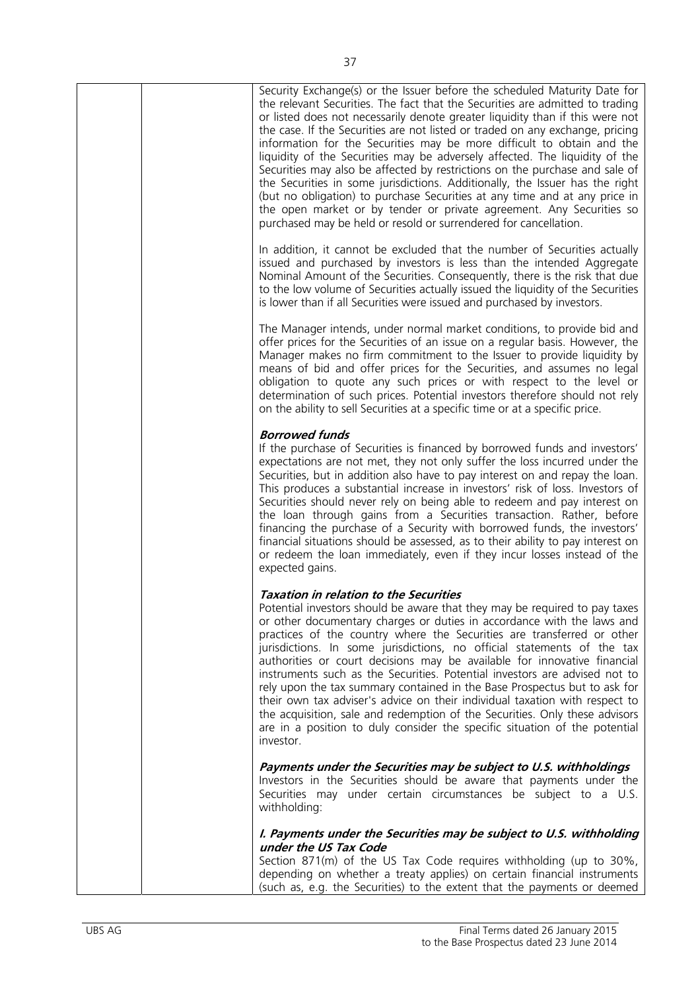|  | Security Exchange(s) or the Issuer before the scheduled Maturity Date for<br>the relevant Securities. The fact that the Securities are admitted to trading<br>or listed does not necessarily denote greater liquidity than if this were not<br>the case. If the Securities are not listed or traded on any exchange, pricing<br>information for the Securities may be more difficult to obtain and the<br>liquidity of the Securities may be adversely affected. The liquidity of the<br>Securities may also be affected by restrictions on the purchase and sale of<br>the Securities in some jurisdictions. Additionally, the Issuer has the right<br>(but no obligation) to purchase Securities at any time and at any price in<br>the open market or by tender or private agreement. Any Securities so<br>purchased may be held or resold or surrendered for cancellation. |
|--|--------------------------------------------------------------------------------------------------------------------------------------------------------------------------------------------------------------------------------------------------------------------------------------------------------------------------------------------------------------------------------------------------------------------------------------------------------------------------------------------------------------------------------------------------------------------------------------------------------------------------------------------------------------------------------------------------------------------------------------------------------------------------------------------------------------------------------------------------------------------------------|
|  | In addition, it cannot be excluded that the number of Securities actually<br>issued and purchased by investors is less than the intended Aggregate<br>Nominal Amount of the Securities. Consequently, there is the risk that due<br>to the low volume of Securities actually issued the liquidity of the Securities<br>is lower than if all Securities were issued and purchased by investors.                                                                                                                                                                                                                                                                                                                                                                                                                                                                                 |
|  | The Manager intends, under normal market conditions, to provide bid and<br>offer prices for the Securities of an issue on a regular basis. However, the<br>Manager makes no firm commitment to the Issuer to provide liquidity by<br>means of bid and offer prices for the Securities, and assumes no legal<br>obligation to quote any such prices or with respect to the level or<br>determination of such prices. Potential investors therefore should not rely<br>on the ability to sell Securities at a specific time or at a specific price.                                                                                                                                                                                                                                                                                                                              |
|  | <b>Borrowed funds</b><br>If the purchase of Securities is financed by borrowed funds and investors'<br>expectations are not met, they not only suffer the loss incurred under the<br>Securities, but in addition also have to pay interest on and repay the loan.<br>This produces a substantial increase in investors' risk of loss. Investors of<br>Securities should never rely on being able to redeem and pay interest on<br>the loan through gains from a Securities transaction. Rather, before<br>financing the purchase of a Security with borrowed funds, the investors'<br>financial situations should be assessed, as to their ability to pay interest on<br>or redeem the loan immediately, even if they incur losses instead of the<br>expected gains.                                                                                                           |
|  | <b>Taxation in relation to the Securities</b><br>Potential investors should be aware that they may be required to pay taxes<br>or other documentary charges or duties in accordance with the laws and<br>practices of the country where the Securities are transferred or other<br>jurisdictions. In some jurisdictions, no official statements of the tax<br>authorities or court decisions may be available for innovative financial<br>instruments such as the Securities. Potential investors are advised not to<br>rely upon the tax summary contained in the Base Prospectus but to ask for<br>their own tax adviser's advice on their individual taxation with respect to<br>the acquisition, sale and redemption of the Securities. Only these advisors<br>are in a position to duly consider the specific situation of the potential<br>investor.                     |
|  | Payments under the Securities may be subject to U.S. withholdings<br>Investors in the Securities should be aware that payments under the<br>Securities may under certain circumstances be subject to a U.S.<br>withholding:                                                                                                                                                                                                                                                                                                                                                                                                                                                                                                                                                                                                                                                    |
|  | I. Payments under the Securities may be subject to U.S. withholding<br>under the US Tax Code<br>Section 871(m) of the US Tax Code requires withholding (up to 30%,<br>depending on whether a treaty applies) on certain financial instruments<br>(such as, e.g. the Securities) to the extent that the payments or deemed                                                                                                                                                                                                                                                                                                                                                                                                                                                                                                                                                      |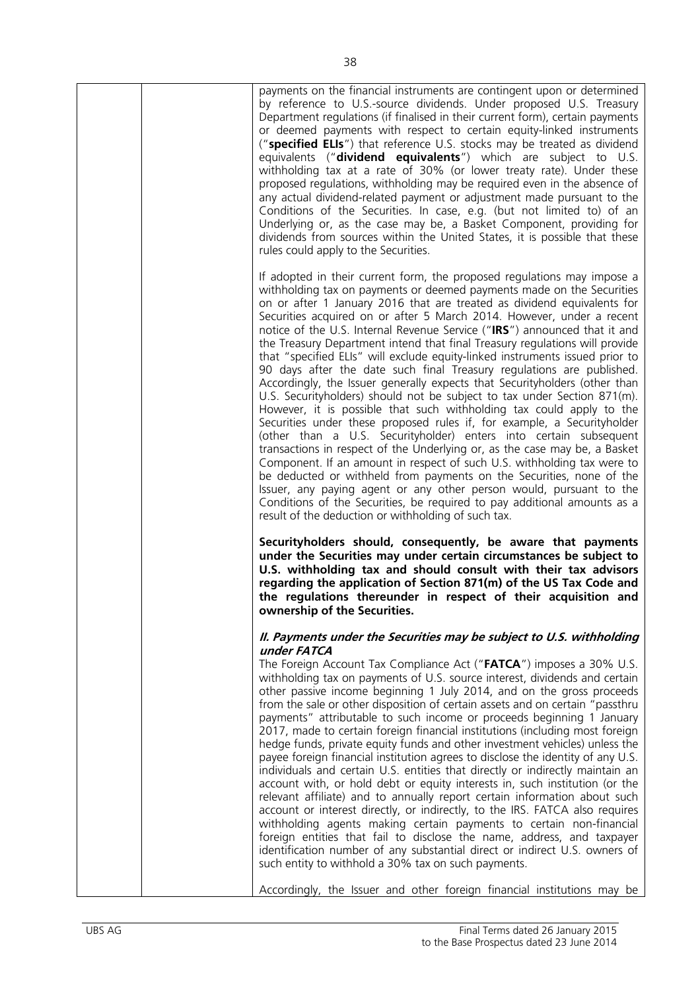|  | payments on the financial instruments are contingent upon or determined<br>by reference to U.S.-source dividends. Under proposed U.S. Treasury<br>Department regulations (if finalised in their current form), certain payments<br>or deemed payments with respect to certain equity-linked instruments<br>("specified ELIs") that reference U.S. stocks may be treated as dividend<br>equivalents (" <b>dividend equivalents</b> ") which are subject to U.S.<br>withholding tax at a rate of 30% (or lower treaty rate). Under these<br>proposed regulations, withholding may be required even in the absence of<br>any actual dividend-related payment or adjustment made pursuant to the<br>Conditions of the Securities. In case, e.g. (but not limited to) of an<br>Underlying or, as the case may be, a Basket Component, providing for<br>dividends from sources within the United States, it is possible that these<br>rules could apply to the Securities.                                                                                                                                                                                                                                                                                                                                                                                                                                                                                   |
|--|--------------------------------------------------------------------------------------------------------------------------------------------------------------------------------------------------------------------------------------------------------------------------------------------------------------------------------------------------------------------------------------------------------------------------------------------------------------------------------------------------------------------------------------------------------------------------------------------------------------------------------------------------------------------------------------------------------------------------------------------------------------------------------------------------------------------------------------------------------------------------------------------------------------------------------------------------------------------------------------------------------------------------------------------------------------------------------------------------------------------------------------------------------------------------------------------------------------------------------------------------------------------------------------------------------------------------------------------------------------------------------------------------------------------------------------------------------|
|  | If adopted in their current form, the proposed regulations may impose a<br>withholding tax on payments or deemed payments made on the Securities<br>on or after 1 January 2016 that are treated as dividend equivalents for<br>Securities acquired on or after 5 March 2014. However, under a recent<br>notice of the U.S. Internal Revenue Service ("IRS") announced that it and<br>the Treasury Department intend that final Treasury regulations will provide<br>that "specified ELIs" will exclude equity-linked instruments issued prior to<br>90 days after the date such final Treasury regulations are published.<br>Accordingly, the Issuer generally expects that Securityholders (other than<br>U.S. Securityholders) should not be subject to tax under Section 871(m).<br>However, it is possible that such withholding tax could apply to the<br>Securities under these proposed rules if, for example, a Securityholder<br>(other than a U.S. Securityholder) enters into certain subsequent<br>transactions in respect of the Underlying or, as the case may be, a Basket<br>Component. If an amount in respect of such U.S. withholding tax were to<br>be deducted or withheld from payments on the Securities, none of the<br>Issuer, any paying agent or any other person would, pursuant to the<br>Conditions of the Securities, be required to pay additional amounts as a<br>result of the deduction or withholding of such tax. |
|  | Securityholders should, consequently, be aware that payments<br>under the Securities may under certain circumstances be subject to<br>U.S. withholding tax and should consult with their tax advisors<br>regarding the application of Section 871(m) of the US Tax Code and<br>the regulations thereunder in respect of their acquisition and<br>ownership of the Securities.                                                                                                                                                                                                                                                                                                                                                                                                                                                                                                                                                                                                                                                                                                                                                                                                                                                                                                                                                                                                                                                                          |
|  | II. Payments under the Securities may be subject to U.S. withholding<br>under FATCA<br>The Foreign Account Tax Compliance Act ("FATCA") imposes a 30% U.S.<br>withholding tax on payments of U.S. source interest, dividends and certain<br>other passive income beginning 1 July 2014, and on the gross proceeds<br>from the sale or other disposition of certain assets and on certain "passthru<br>payments" attributable to such income or proceeds beginning 1 January<br>2017, made to certain foreign financial institutions (including most foreign<br>hedge funds, private equity funds and other investment vehicles) unless the<br>payee foreign financial institution agrees to disclose the identity of any U.S.<br>individuals and certain U.S. entities that directly or indirectly maintain an<br>account with, or hold debt or equity interests in, such institution (or the<br>relevant affiliate) and to annually report certain information about such<br>account or interest directly, or indirectly, to the IRS. FATCA also requires<br>withholding agents making certain payments to certain non-financial<br>foreign entities that fail to disclose the name, address, and taxpayer<br>identification number of any substantial direct or indirect U.S. owners of<br>such entity to withhold a 30% tax on such payments.                                                                                                       |
|  | Accordingly, the Issuer and other foreign financial institutions may be                                                                                                                                                                                                                                                                                                                                                                                                                                                                                                                                                                                                                                                                                                                                                                                                                                                                                                                                                                                                                                                                                                                                                                                                                                                                                                                                                                                |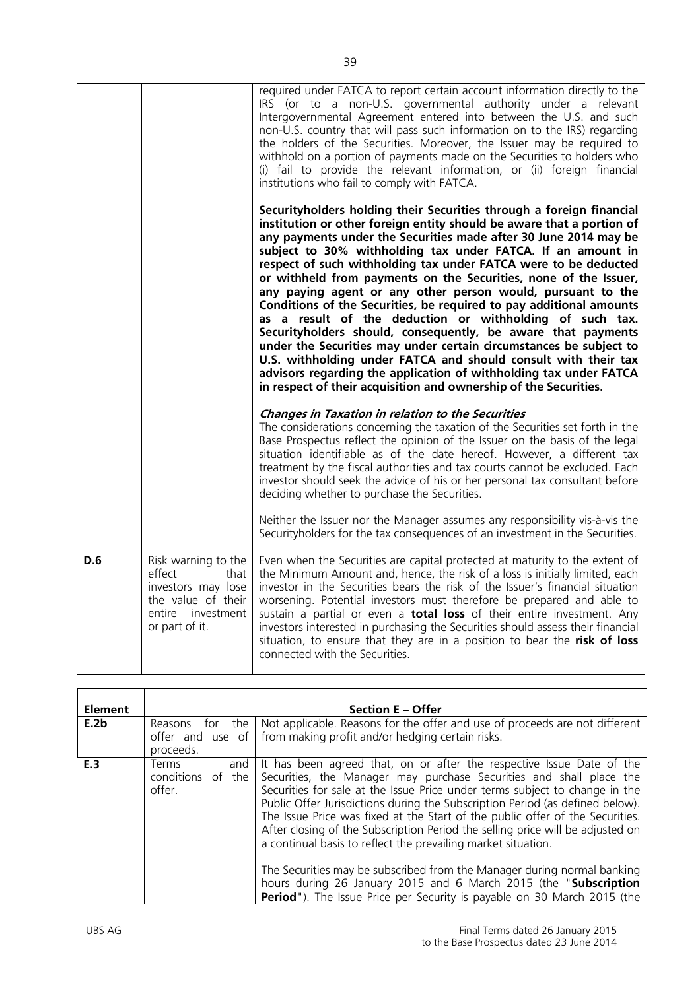| D.6 | Risk warning to the<br>that<br>effect<br>investors may lose<br>the value of their<br>entire investment<br>or part of it. | Even when the Securities are capital protected at maturity to the extent of<br>the Minimum Amount and, hence, the risk of a loss is initially limited, each<br>investor in the Securities bears the risk of the Issuer's financial situation<br>worsening. Potential investors must therefore be prepared and able to<br>sustain a partial or even a <b>total loss</b> of their entire investment. Any<br>investors interested in purchasing the Securities should assess their financial<br>situation, to ensure that they are in a position to bear the risk of loss<br>connected with the Securities.                                                                                                                                                                                                                                                                                                                                                                   |
|-----|--------------------------------------------------------------------------------------------------------------------------|----------------------------------------------------------------------------------------------------------------------------------------------------------------------------------------------------------------------------------------------------------------------------------------------------------------------------------------------------------------------------------------------------------------------------------------------------------------------------------------------------------------------------------------------------------------------------------------------------------------------------------------------------------------------------------------------------------------------------------------------------------------------------------------------------------------------------------------------------------------------------------------------------------------------------------------------------------------------------|
|     |                                                                                                                          | <b>Changes in Taxation in relation to the Securities</b><br>The considerations concerning the taxation of the Securities set forth in the<br>Base Prospectus reflect the opinion of the Issuer on the basis of the legal<br>situation identifiable as of the date hereof. However, a different tax<br>treatment by the fiscal authorities and tax courts cannot be excluded. Each<br>investor should seek the advice of his or her personal tax consultant before<br>deciding whether to purchase the Securities.<br>Neither the Issuer nor the Manager assumes any responsibility vis-à-vis the<br>Securityholders for the tax consequences of an investment in the Securities.                                                                                                                                                                                                                                                                                           |
|     |                                                                                                                          | Securityholders holding their Securities through a foreign financial<br>institution or other foreign entity should be aware that a portion of<br>any payments under the Securities made after 30 June 2014 may be<br>subject to 30% withholding tax under FATCA. If an amount in<br>respect of such withholding tax under FATCA were to be deducted<br>or withheld from payments on the Securities, none of the Issuer,<br>any paying agent or any other person would, pursuant to the<br>Conditions of the Securities, be required to pay additional amounts<br>as a result of the deduction or withholding of such tax.<br>Securityholders should, consequently, be aware that payments<br>under the Securities may under certain circumstances be subject to<br>U.S. withholding under FATCA and should consult with their tax<br>advisors regarding the application of withholding tax under FATCA<br>in respect of their acquisition and ownership of the Securities. |
|     |                                                                                                                          | required under FATCA to report certain account information directly to the<br>IRS (or to a non-U.S. governmental authority under a relevant<br>Intergovernmental Agreement entered into between the U.S. and such<br>non-U.S. country that will pass such information on to the IRS) regarding<br>the holders of the Securities. Moreover, the Issuer may be required to<br>withhold on a portion of payments made on the Securities to holders who<br>(i) fail to provide the relevant information, or (ii) foreign financial<br>institutions who fail to comply with FATCA.                                                                                                                                                                                                                                                                                                                                                                                              |

| <b>Element</b> |                                                        | <b>Section E – Offer</b>                                                                                                                                                                                                                                                                                                                                                                                                                                                                                                                                                                                                                                                                                                                                                           |
|----------------|--------------------------------------------------------|------------------------------------------------------------------------------------------------------------------------------------------------------------------------------------------------------------------------------------------------------------------------------------------------------------------------------------------------------------------------------------------------------------------------------------------------------------------------------------------------------------------------------------------------------------------------------------------------------------------------------------------------------------------------------------------------------------------------------------------------------------------------------------|
| E.2b           | Reasons<br>the<br>tor<br>offer and use of<br>proceeds. | Not applicable. Reasons for the offer and use of proceeds are not different<br>from making profit and/or hedging certain risks.                                                                                                                                                                                                                                                                                                                                                                                                                                                                                                                                                                                                                                                    |
| E.3            | Terms<br>and<br>conditions of the<br>offer.            | It has been agreed that, on or after the respective Issue Date of the<br>Securities, the Manager may purchase Securities and shall place the<br>Securities for sale at the Issue Price under terms subject to change in the<br>Public Offer Jurisdictions during the Subscription Period (as defined below).<br>The Issue Price was fixed at the Start of the public offer of the Securities.<br>After closing of the Subscription Period the selling price will be adjusted on<br>a continual basis to reflect the prevailing market situation.<br>The Securities may be subscribed from the Manager during normal banking<br>hours during 26 January 2015 and 6 March 2015 (the "Subscription<br><b>Period</b> "). The Issue Price per Security is payable on 30 March 2015 (the |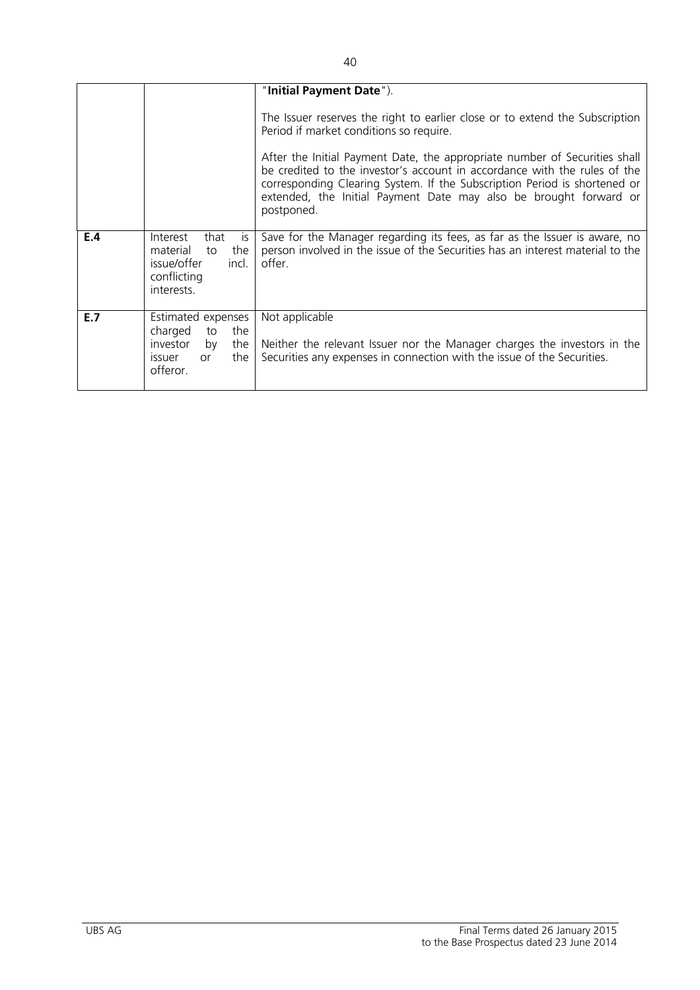|     |                                                                                                        | "Initial Payment Date").                                                                                                                                                                                                                                                                                                                                                                                                                           |
|-----|--------------------------------------------------------------------------------------------------------|----------------------------------------------------------------------------------------------------------------------------------------------------------------------------------------------------------------------------------------------------------------------------------------------------------------------------------------------------------------------------------------------------------------------------------------------------|
|     |                                                                                                        | The Issuer reserves the right to earlier close or to extend the Subscription<br>Period if market conditions so require.<br>After the Initial Payment Date, the appropriate number of Securities shall<br>be credited to the investor's account in accordance with the rules of the<br>corresponding Clearing System. If the Subscription Period is shortened or<br>extended, the Initial Payment Date may also be brought forward or<br>postponed. |
|     |                                                                                                        |                                                                                                                                                                                                                                                                                                                                                                                                                                                    |
| E.4 | Interest<br>that<br>is.<br>the<br>material<br>to<br>incl.<br>issue/offer<br>conflicting<br>interests.  | Save for the Manager regarding its fees, as far as the Issuer is aware, no<br>person involved in the issue of the Securities has an interest material to the<br>offer.                                                                                                                                                                                                                                                                             |
| E.7 | Estimated expenses<br>charged<br>the<br>to<br>investor<br>the<br>by<br>the<br>issuer<br>or<br>offeror. | Not applicable<br>Neither the relevant Issuer nor the Manager charges the investors in the<br>Securities any expenses in connection with the issue of the Securities.                                                                                                                                                                                                                                                                              |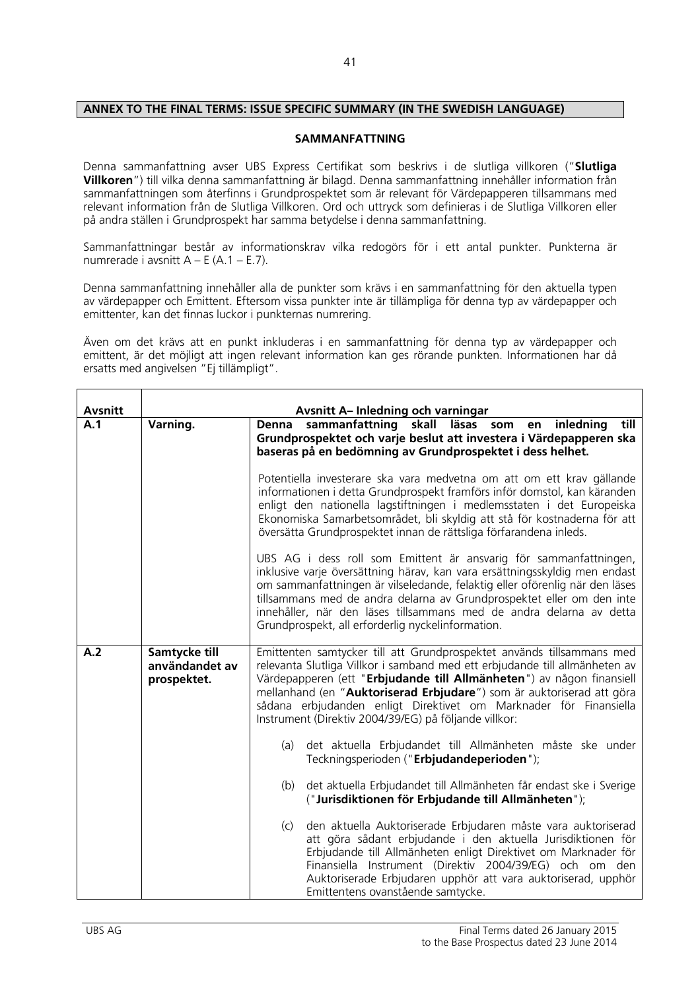# **ANNEX TO THE FINAL TERMS: ISSUE SPECIFIC SUMMARY (IN THE SWEDISH LANGUAGE)**

#### **SAMMANFATTNING**

Denna sammanfattning avser UBS Express Certifikat som beskrivs i de slutliga villkoren ("**Slutliga Villkoren**") till vilka denna sammanfattning är bilagd. Denna sammanfattning innehåller information från sammanfattningen som återfinns i Grundprospektet som är relevant för Värdepapperen tillsammans med relevant information från de Slutliga Villkoren. Ord och uttryck som definieras i de Slutliga Villkoren eller på andra ställen i Grundprospekt har samma betydelse i denna sammanfattning.

Sammanfattningar består av informationskrav vilka redogörs för i ett antal punkter. Punkterna är numrerade i avsnitt  $A - E (A.1 - E.7)$ .

Denna sammanfattning innehåller alla de punkter som krävs i en sammanfattning för den aktuella typen av värdepapper och Emittent. Eftersom vissa punkter inte är tillämpliga för denna typ av värdepapper och emittenter, kan det finnas luckor i punkternas numrering.

Även om det krävs att en punkt inkluderas i en sammanfattning för denna typ av värdepapper och emittent, är det möjligt att ingen relevant information kan ges rörande punkten. Informationen har då ersatts med angivelsen "Ej tillämpligt".

| <b>Avsnitt</b> |                                                | <b>Avsnitt A-Inledning och varningar</b>                                                                                                                                                                                                                                                                                                                                                                                             |
|----------------|------------------------------------------------|--------------------------------------------------------------------------------------------------------------------------------------------------------------------------------------------------------------------------------------------------------------------------------------------------------------------------------------------------------------------------------------------------------------------------------------|
| A.1            | Varning.                                       | sammanfattning skall läsas som<br>en inledning<br>till<br>Denna<br>Grundprospektet och varje beslut att investera i Värdepapperen ska<br>baseras på en bedömning av Grundprospektet i dess helhet.                                                                                                                                                                                                                                   |
|                |                                                | Potentiella investerare ska vara medvetna om att om ett krav gällande<br>informationen i detta Grundprospekt framförs inför domstol, kan käranden<br>enligt den nationella lagstiftningen i medlemsstaten i det Europeiska<br>Ekonomiska Samarbetsområdet, bli skyldig att stå för kostnaderna för att<br>översätta Grundprospektet innan de rättsliga förfarandena inleds.                                                          |
|                |                                                | UBS AG i dess roll som Emittent är ansvarig för sammanfattningen,<br>inklusive varje översättning härav, kan vara ersättningsskyldig men endast<br>om sammanfattningen är vilseledande, felaktig eller oförenlig när den läses<br>tillsammans med de andra delarna av Grundprospektet eller om den inte<br>innehåller, när den läses tillsammans med de andra delarna av detta<br>Grundprospekt, all erforderlig nyckelinformation.  |
| A.2            | Samtycke till<br>användandet av<br>prospektet. | Emittenten samtycker till att Grundprospektet används tillsammans med<br>relevanta Slutliga Villkor i samband med ett erbjudande till allmänheten av<br>Värdepapperen (ett "Erbjudande till Allmänheten") av någon finansiell<br>mellanhand (en "Auktoriserad Erbjudare") som är auktoriserad att göra<br>sådana erbjudanden enligt Direktivet om Marknader för Finansiella<br>Instrument (Direktiv 2004/39/EG) på följande villkor: |
|                |                                                | det aktuella Erbjudandet till Allmänheten måste ske under<br>(a)<br>Teckningsperioden ("Erbjudandeperioden");                                                                                                                                                                                                                                                                                                                        |
|                |                                                | det aktuella Erbjudandet till Allmänheten får endast ske i Sverige<br>(b)<br>("Jurisdiktionen för Erbjudande till Allmänheten");                                                                                                                                                                                                                                                                                                     |
|                |                                                | den aktuella Auktoriserade Erbjudaren måste vara auktoriserad<br>(c)<br>att göra sådant erbjudande i den aktuella Jurisdiktionen för<br>Erbjudande till Allmänheten enligt Direktivet om Marknader för<br>Finansiella Instrument (Direktiv 2004/39/EG) och om den<br>Auktoriserade Erbjudaren upphör att vara auktoriserad, upphör<br>Emittentens ovanstående samtycke.                                                              |

 $\overline{\mathsf{T}}$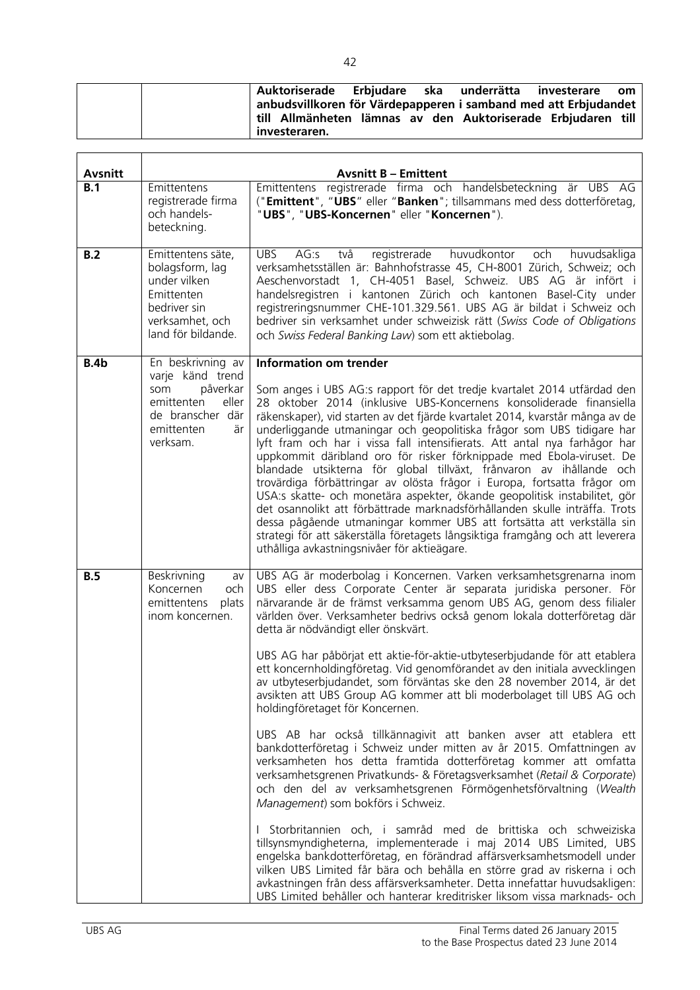|  | Auktoriserade Erbjudare ska underrätta                                        |  | investerare | om |
|--|-------------------------------------------------------------------------------|--|-------------|----|
|  | anbudsvillkoren för Värdepapperen i samband med att Erbjudandet               |  |             |    |
|  | till Allmänheten lämnas av den Auktoriserade Erbjudaren till<br>investeraren. |  |             |    |

| <b>Avsnitt</b> |                                                                                                                                     | <b>Avsnitt B - Emittent</b>                                                                                                                                                                                                                                                                                                                                                                                                                                                                                                                                                                                                                                                                                                                                                                                                                                                                                                                                                                                                                                                                                                                                                                                                                                                                                                                                                                                                                                                                                                                       |
|----------------|-------------------------------------------------------------------------------------------------------------------------------------|---------------------------------------------------------------------------------------------------------------------------------------------------------------------------------------------------------------------------------------------------------------------------------------------------------------------------------------------------------------------------------------------------------------------------------------------------------------------------------------------------------------------------------------------------------------------------------------------------------------------------------------------------------------------------------------------------------------------------------------------------------------------------------------------------------------------------------------------------------------------------------------------------------------------------------------------------------------------------------------------------------------------------------------------------------------------------------------------------------------------------------------------------------------------------------------------------------------------------------------------------------------------------------------------------------------------------------------------------------------------------------------------------------------------------------------------------------------------------------------------------------------------------------------------------|
| B.1            | Emittentens<br>registrerade firma<br>och handels-<br>beteckning.                                                                    | Emittentens registrerade firma och handelsbeteckning är UBS AG<br>("Emittent", "UBS" eller "Banken"; tillsammans med dess dotterföretag,<br>"UBS", "UBS-Koncernen" eller "Koncernen").                                                                                                                                                                                                                                                                                                                                                                                                                                                                                                                                                                                                                                                                                                                                                                                                                                                                                                                                                                                                                                                                                                                                                                                                                                                                                                                                                            |
| B.2            | Emittentens säte,<br>bolagsform, lag<br>under vilken<br>Emittenten<br>bedriver sin<br>verksamhet, och<br>land för bildande.         | <b>UBS</b><br>två<br>registrerade huvudkontor<br>AG:s<br>och<br>huvudsakliga<br>verksamhetsställen är: Bahnhofstrasse 45, CH-8001 Zürich, Schweiz; och<br>Aeschenvorstadt 1, CH-4051 Basel, Schweiz. UBS AG är infört i<br>handelsregistren i kantonen Zürich och kantonen Basel-City under<br>registreringsnummer CHE-101.329.561. UBS AG är bildat i Schweiz och<br>bedriver sin verksamhet under schweizisk rätt (Swiss Code of Obligations<br>och Swiss Federal Banking Law) som ett aktiebolag.                                                                                                                                                                                                                                                                                                                                                                                                                                                                                                                                                                                                                                                                                                                                                                                                                                                                                                                                                                                                                                              |
| <b>B.4b</b>    | En beskrivning av<br>varje känd trend<br>påverkar<br>som<br>emittenten<br>eller<br>de branscher där<br>emittenten<br>är<br>verksam. | <b>Information om trender</b><br>Som anges i UBS AG:s rapport för det tredje kvartalet 2014 utfärdad den<br>28 oktober 2014 (inklusive UBS-Koncernens konsoliderade finansiella<br>räkenskaper), vid starten av det fjärde kvartalet 2014, kvarstår många av de<br>underliggande utmaningar och geopolitiska frågor som UBS tidigare har<br>lyft fram och har i vissa fall intensifierats. Att antal nya farhågor har<br>uppkommit däribland oro för risker förknippade med Ebola-viruset. De<br>blandade utsikterna för global tillväxt, frånvaron av ihållande och<br>trovärdiga förbättringar av olösta frågor i Europa, fortsatta frågor om<br>USA:s skatte- och monetära aspekter, ökande geopolitisk instabilitet, gör<br>det osannolikt att förbättrade marknadsförhållanden skulle inträffa. Trots<br>dessa pågående utmaningar kommer UBS att fortsätta att verkställa sin<br>strategi för att säkerställa företagets långsiktiga framgång och att leverera<br>uthålliga avkastningsnivåer för aktieägare.                                                                                                                                                                                                                                                                                                                                                                                                                                                                                                                               |
| <b>B.5</b>     | Beskrivning<br>av<br>Koncernen<br>och<br>emittentens<br>plats<br>inom koncernen.                                                    | UBS AG är moderbolag i Koncernen. Varken verksamhetsgrenarna inom<br>UBS eller dess Corporate Center är separata juridiska personer. För<br>närvarande är de främst verksamma genom UBS AG, genom dess filialer<br>världen över. Verksamheter bedrivs också genom lokala dotterföretag där<br>detta är nödvändigt eller önskvärt.<br>UBS AG har påbörjat ett aktie-för-aktie-utbyteserbjudande för att etablera<br>ett koncernholdingföretag. Vid genomförandet av den initiala avvecklingen<br>av utbyteserbjudandet, som förväntas ske den 28 november 2014, är det<br>avsikten att UBS Group AG kommer att bli moderbolaget till UBS AG och<br>holdingföretaget för Koncernen.<br>UBS AB har också tillkännagivit att banken avser att etablera ett<br>bankdotterföretag i Schweiz under mitten av år 2015. Omfattningen av<br>verksamheten hos detta framtida dotterföretag kommer att omfatta<br>verksamhetsgrenen Privatkunds- & Företagsverksamhet (Retail & Corporate)<br>och den del av verksamhetsgrenen Förmögenhetsförvaltning (Wealth<br>Management) som bokförs i Schweiz.<br>I Storbritannien och, i samråd med de brittiska och schweiziska<br>tillsynsmyndigheterna, implementerade i maj 2014 UBS Limited, UBS<br>engelska bankdotterföretag, en förändrad affärsverksamhetsmodell under<br>vilken UBS Limited får bära och behålla en större grad av riskerna i och<br>avkastningen från dess affärsverksamheter. Detta innefattar huvudsakligen:<br>UBS Limited behåller och hanterar kreditrisker liksom vissa marknads- och |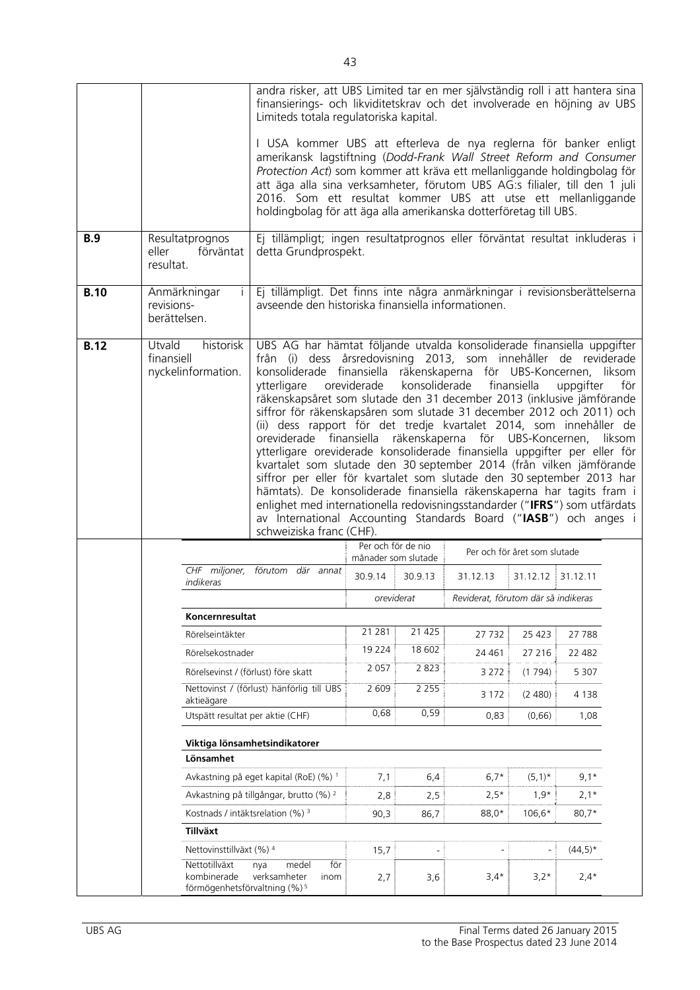|             |                                                                        |                                                                          | andra risker, att UBS Limited tar en mer självständig roll i att hantera sina<br>finansierings- och likviditetskrav och det involverade en höjning av UBS<br>Limiteds totala regulatoriska kapital.                                                                                                                                                                                                                                     |                                                                                                                                                                                                                                                                                                                                                                                                                                                                                                                                                                                                                                                                                                                                                                                                                                                                                                                                                                                                                                                                                         |                                |                                     |                   |           |  |
|-------------|------------------------------------------------------------------------|--------------------------------------------------------------------------|-----------------------------------------------------------------------------------------------------------------------------------------------------------------------------------------------------------------------------------------------------------------------------------------------------------------------------------------------------------------------------------------------------------------------------------------|-----------------------------------------------------------------------------------------------------------------------------------------------------------------------------------------------------------------------------------------------------------------------------------------------------------------------------------------------------------------------------------------------------------------------------------------------------------------------------------------------------------------------------------------------------------------------------------------------------------------------------------------------------------------------------------------------------------------------------------------------------------------------------------------------------------------------------------------------------------------------------------------------------------------------------------------------------------------------------------------------------------------------------------------------------------------------------------------|--------------------------------|-------------------------------------|-------------------|-----------|--|
|             |                                                                        |                                                                          | I USA kommer UBS att efterleva de nya reglerna för banker enligt<br>amerikansk lagstiftning (Dodd-Frank Wall Street Reform and Consumer<br>Protection Act) som kommer att kräva ett mellanliggande holdingbolag för<br>att äga alla sina verksamheter, förutom UBS AG:s filialer, till den 1 juli<br>2016. Som ett resultat kommer UBS att utse ett mellanliggande<br>holdingbolag för att äga alla amerikanska dotterföretag till UBS. |                                                                                                                                                                                                                                                                                                                                                                                                                                                                                                                                                                                                                                                                                                                                                                                                                                                                                                                                                                                                                                                                                         |                                |                                     |                   |           |  |
| <b>B.9</b>  | eller<br>resultat.                                                     | Resultatprognos<br>förväntat<br>detta Grundprospekt.                     |                                                                                                                                                                                                                                                                                                                                                                                                                                         | Ej tillämpligt; ingen resultatprognos eller förväntat resultat inkluderas i                                                                                                                                                                                                                                                                                                                                                                                                                                                                                                                                                                                                                                                                                                                                                                                                                                                                                                                                                                                                             |                                |                                     |                   |           |  |
| <b>B.10</b> |                                                                        | Anmärkningar<br>revisions-<br>berättelsen.                               |                                                                                                                                                                                                                                                                                                                                                                                                                                         | Ej tillämpligt. Det finns inte några anmärkningar i revisionsberättelserna<br>avseende den historiska finansiella informationen.                                                                                                                                                                                                                                                                                                                                                                                                                                                                                                                                                                                                                                                                                                                                                                                                                                                                                                                                                        |                                |                                     |                   |           |  |
| <b>B.12</b> | Utvald<br>historisk<br>finansiell<br>nyckelinformation.<br>ytterligare |                                                                          |                                                                                                                                                                                                                                                                                                                                                                                                                                         | UBS AG har hämtat följande utvalda konsoliderade finansiella uppgifter<br>från (i) dess årsredovisning 2013, som innehåller de reviderade<br>konsoliderade finansiella räkenskaperna för UBS-Koncernen, liksom<br>oreviderade<br>konsoliderade<br>finansiella<br>uppgifter<br>för<br>räkenskapsåret som slutade den 31 december 2013 (inklusive jämförande<br>siffror för räkenskapsåren som slutade 31 december 2012 och 2011) och<br>(ii) dess rapport för det tredje kvartalet 2014, som innehåller de<br>oreviderade finansiella räkenskaperna för UBS-Koncernen, liksom<br>ytterligare oreviderade konsoliderade finansiella uppgifter per eller för<br>kvartalet som slutade den 30 september 2014 (från vilken jämförande<br>siffror per eller för kvartalet som slutade den 30 september 2013 har<br>hämtats). De konsoliderade finansiella räkenskaperna har tagits fram i<br>enlighet med internationella redovisningsstandarder ("IFRS") som utfärdats<br>av International Accounting Standards Board ("IASB") och anges i<br>schweiziska franc (CHF).<br>Per och för de nio |                                |                                     |                   |           |  |
|             |                                                                        | indikeras                                                                | CHF miljoner, förutom där annat                                                                                                                                                                                                                                                                                                                                                                                                         | 30.9.14                                                                                                                                                                                                                                                                                                                                                                                                                                                                                                                                                                                                                                                                                                                                                                                                                                                                                                                                                                                                                                                                                 | månader som slutade<br>30.9.13 | 31.12.13                            | 31.12.12 31.12.11 |           |  |
|             |                                                                        |                                                                          |                                                                                                                                                                                                                                                                                                                                                                                                                                         |                                                                                                                                                                                                                                                                                                                                                                                                                                                                                                                                                                                                                                                                                                                                                                                                                                                                                                                                                                                                                                                                                         | oreviderat                     | Reviderat, förutom där så indikeras |                   |           |  |
|             |                                                                        | Koncernresultat                                                          |                                                                                                                                                                                                                                                                                                                                                                                                                                         |                                                                                                                                                                                                                                                                                                                                                                                                                                                                                                                                                                                                                                                                                                                                                                                                                                                                                                                                                                                                                                                                                         |                                |                                     |                   |           |  |
|             |                                                                        | Rörelseintäkter                                                          |                                                                                                                                                                                                                                                                                                                                                                                                                                         | 21 281                                                                                                                                                                                                                                                                                                                                                                                                                                                                                                                                                                                                                                                                                                                                                                                                                                                                                                                                                                                                                                                                                  | 21 4 25                        | 27 7 32                             | 25 4 23           | 27 788    |  |
|             |                                                                        | Rörelsekostnader                                                         |                                                                                                                                                                                                                                                                                                                                                                                                                                         | 19 2 2 4                                                                                                                                                                                                                                                                                                                                                                                                                                                                                                                                                                                                                                                                                                                                                                                                                                                                                                                                                                                                                                                                                | 18 602                         | 24 4 61                             | 27 216            | 22 482    |  |
|             |                                                                        | Rörelsevinst / (förlust) före skatt                                      |                                                                                                                                                                                                                                                                                                                                                                                                                                         | 2 0 5 7                                                                                                                                                                                                                                                                                                                                                                                                                                                                                                                                                                                                                                                                                                                                                                                                                                                                                                                                                                                                                                                                                 | 2 8 2 3                        | 3 2 7 2                             | (1794)            | 5 3 0 7   |  |
|             |                                                                        | aktieägare                                                               | Nettovinst / (förlust) hänförlig till UBS                                                                                                                                                                                                                                                                                                                                                                                               | 2 6 0 9                                                                                                                                                                                                                                                                                                                                                                                                                                                                                                                                                                                                                                                                                                                                                                                                                                                                                                                                                                                                                                                                                 | 2 2 5 5                        | 3 1 7 2                             | (2, 480)          | 4 1 3 8   |  |
|             |                                                                        | Utspätt resultat per aktie (CHF)                                         |                                                                                                                                                                                                                                                                                                                                                                                                                                         | 0,68                                                                                                                                                                                                                                                                                                                                                                                                                                                                                                                                                                                                                                                                                                                                                                                                                                                                                                                                                                                                                                                                                    | 0,59                           | 0,83                                | (0,66)            | 1,08      |  |
|             |                                                                        |                                                                          | Viktiga lönsamhetsindikatorer                                                                                                                                                                                                                                                                                                                                                                                                           |                                                                                                                                                                                                                                                                                                                                                                                                                                                                                                                                                                                                                                                                                                                                                                                                                                                                                                                                                                                                                                                                                         |                                |                                     |                   |           |  |
|             |                                                                        | Lönsamhet                                                                |                                                                                                                                                                                                                                                                                                                                                                                                                                         |                                                                                                                                                                                                                                                                                                                                                                                                                                                                                                                                                                                                                                                                                                                                                                                                                                                                                                                                                                                                                                                                                         |                                |                                     |                   |           |  |
|             |                                                                        |                                                                          | Avkastning på eget kapital (RoE) (%) <sup>1</sup>                                                                                                                                                                                                                                                                                                                                                                                       | 7,1                                                                                                                                                                                                                                                                                                                                                                                                                                                                                                                                                                                                                                                                                                                                                                                                                                                                                                                                                                                                                                                                                     | 6,4                            | $6,7*$                              | $(5,1)^*$         | $9,1*$    |  |
|             |                                                                        |                                                                          | Avkastning på tillgångar, brutto (%) 2                                                                                                                                                                                                                                                                                                                                                                                                  | 2,8                                                                                                                                                                                                                                                                                                                                                                                                                                                                                                                                                                                                                                                                                                                                                                                                                                                                                                                                                                                                                                                                                     | 2,5                            | $2,5*$                              | $1,9*$            | $2,1*$    |  |
|             |                                                                        | Kostnads / intäktsrelation (%) <sup>3</sup>                              |                                                                                                                                                                                                                                                                                                                                                                                                                                         | 90,3                                                                                                                                                                                                                                                                                                                                                                                                                                                                                                                                                                                                                                                                                                                                                                                                                                                                                                                                                                                                                                                                                    | 86,7                           | 88,0*                               | $106,6*$          | $80,7*$   |  |
|             |                                                                        | Tillväxt                                                                 |                                                                                                                                                                                                                                                                                                                                                                                                                                         |                                                                                                                                                                                                                                                                                                                                                                                                                                                                                                                                                                                                                                                                                                                                                                                                                                                                                                                                                                                                                                                                                         |                                |                                     |                   |           |  |
|             |                                                                        | Nettovinsttillväxt (%) 4                                                 |                                                                                                                                                                                                                                                                                                                                                                                                                                         | 15,7                                                                                                                                                                                                                                                                                                                                                                                                                                                                                                                                                                                                                                                                                                                                                                                                                                                                                                                                                                                                                                                                                    | $\blacksquare$                 |                                     | $\overline{a}$    | $(44,5)*$ |  |
|             |                                                                        | Nettotillväxt<br>kombinerade<br>förmögenhetsförvaltning (%) <sup>5</sup> | för<br>medel<br>nya<br>verksamheter<br>inom                                                                                                                                                                                                                                                                                                                                                                                             | 2,7                                                                                                                                                                                                                                                                                                                                                                                                                                                                                                                                                                                                                                                                                                                                                                                                                                                                                                                                                                                                                                                                                     | 3,6                            | $3,4*$                              | $3,2*$            | $2,4*$    |  |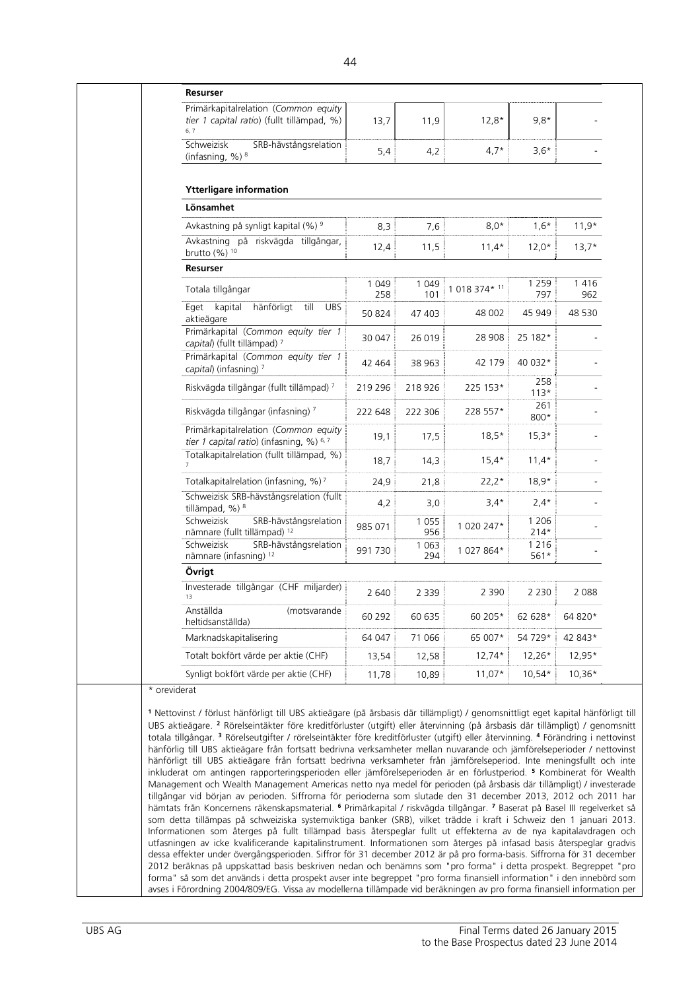| Resurser                                                                                                   |               |                |               |                              |               |
|------------------------------------------------------------------------------------------------------------|---------------|----------------|---------------|------------------------------|---------------|
| Primärkapitalrelation (Common equity<br>tier 1 capital ratio) (fullt tillämpad, %)<br>6, 7                 | 13,7          | 11,9           | $12.8*$       | $9,8*$                       |               |
| Schweizisk<br>SRB-hävstångsrelation<br>(infasning, %) 8                                                    | 5,4           | 4,2            | $4,7*$        | $3,6*$                       |               |
| <b>Ytterligare information</b>                                                                             |               |                |               |                              |               |
| Lönsamhet                                                                                                  |               |                |               |                              |               |
| Avkastning på synligt kapital (%) <sup>9</sup>                                                             | 8,3           | 7,6            | $8,0*$        | $1,6*$                       | $11,9*$       |
| Avkastning på riskvägda tillgångar,<br>brutto (%) 10                                                       | 12,4          | 11,5           | $11,4*$       | $12,0*$                      | $13,7*$       |
| Resurser                                                                                                   |               |                |               |                              |               |
| Totala tillgångar                                                                                          | 1 0 4 9       | 1 0 4 9        | 1 018 374* 11 | 1 2 5 9                      | 1416          |
| kapital<br>hänförligt<br>till<br>Eget<br><b>UBS</b><br>aktieägare                                          | 258<br>50 824 | 101<br>47 403  | 48 002        | 797<br>45 949                | 962<br>48 530 |
| Primärkapital (Common equity tier 1<br>capital) (fullt tillämpad) 7                                        | 30 047        | 26 019         | 28 908        | 25 182*                      |               |
| Primärkapital (Common equity tier 1<br>capital) (infasning) 7                                              | 42 464        | 38 963         | 42 179        | 40 032*                      |               |
| Riskvägda tillgångar (fullt tillämpad) 7                                                                   | 219 296       | 218 926        | 225 153*      | 258<br>$113*$<br>261         |               |
| Riskvägda tillgångar (infasning) 7                                                                         | 222 648       | 222 306        | 228 557*      | 800*                         |               |
| Primärkapitalrelation (Common equity<br>tier 1 capital ratio) (infasning, %) 6, 7                          | 19,1          | 17,5           | $18,5*$       | $15,3*$                      |               |
| Totalkapitalrelation (fullt tillämpad, %)<br>$\overline{7}$                                                | 18,7          | 14,3           | $15,4*$       | $11,4*$                      |               |
| Totalkapitalrelation (infasning, %) <sup>7</sup>                                                           | 24,9          | 21,8           | $22,2*$       | $18,9*$                      |               |
| Schweizisk SRB-hävstångsrelation (fullt<br>tillämpad, %) 8                                                 | 4,2           | 3,0            | $3,4*$        | $2,4*$                       |               |
| Schweizisk<br>SRB-hävstångsrelation<br>nämnare (fullt tillämpad) 12<br>Schweizisk<br>SRB-hävstångsrelation | 985 071       | 1 0 5 5<br>956 | 1 020 247*    | 1 2 0 6<br>$214*$<br>1 2 1 6 |               |
| nämnare (infasning) 12                                                                                     | 991 730       | 1 0 6 3<br>294 | 1 027 864*    | 561*                         |               |
| Övrigt                                                                                                     |               |                |               |                              |               |
| Investerade tillgångar (CHF miljarder)<br>13                                                               | 2 640         | 2 3 3 9        | 2 3 9 0       | 2 2 3 0                      | 2 0 8 8       |
| Anställda<br>(motsvarande<br>heltidsanställda)                                                             | 60 292        | 60 635         | 60 205*       | 62 628*                      | 64 820*       |
| Marknadskapitalisering                                                                                     | 64 047        | 71 066         | 65 007*       | 54 729*                      | 42 843*       |
| Totalt bokfört värde per aktie (CHF)                                                                       | 13,54         | 12,58          | $12,74*$      | 12,26*                       | 12,95*        |
| Synligt bokfört värde per aktie (CHF)                                                                      | 11,78         | 10,89          | $11,07*$      | $10,54*$                     | $10,36*$      |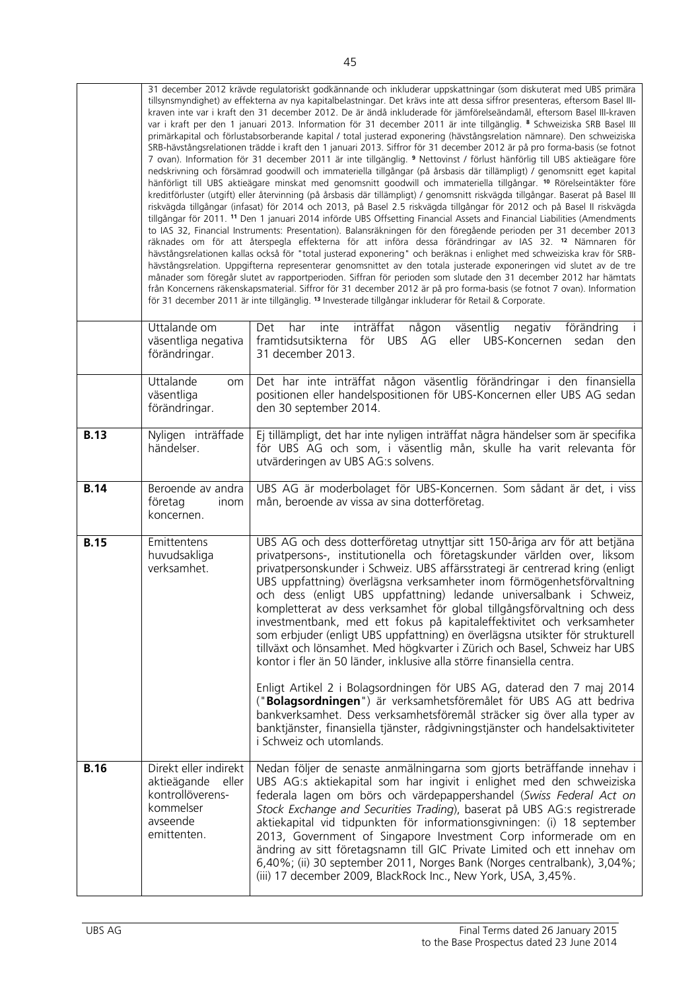|             | 31 december 2012 krävde regulatoriskt godkännande och inkluderar uppskattningar (som diskuterat med UBS primära<br>tillsynsmyndighet) av effekterna av nya kapitalbelastningar. Det krävs inte att dessa siffror presenteras, eftersom Basel III-<br>kraven inte var i kraft den 31 december 2012. De är ändå inkluderade för jämförelseändamål, eftersom Basel III-kraven<br>var i kraft per den 1 januari 2013. Information för 31 december 2011 är inte tillgänglig. 8 Schweiziska SRB Basel III<br>primärkapital och förlustabsorberande kapital / total justerad exponering (hävstångsrelation nämnare). Den schweiziska<br>SRB-hävstångsrelationen trädde i kraft den 1 januari 2013. Siffror för 31 december 2012 är på pro forma-basis (se fotnot<br>7 ovan). Information för 31 december 2011 är inte tillgänglig. 9 Nettovinst / förlust hänförlig till UBS aktieägare före<br>nedskrivning och försämrad goodwill och immateriella tillgångar (på årsbasis där tillämpligt) / genomsnitt eget kapital<br>hänförligt till UBS aktieägare minskat med genomsnitt goodwill och immateriella tillgångar. <sup>10</sup> Rörelseintäkter före<br>kreditförluster (utgift) eller återvinning (på årsbasis där tillämpligt) / genomsnitt riskvägda tillgångar. Baserat på Basel III<br>riskvägda tillgångar (infasat) för 2014 och 2013, på Basel 2.5 riskvägda tillgångar för 2012 och på Basel II riskvägda<br>tillgångar för 2011. <sup>11</sup> Den 1 januari 2014 införde UBS Offsetting Financial Assets and Financial Liabilities (Amendments<br>to IAS 32, Financial Instruments: Presentation). Balansräkningen för den föregående perioden per 31 december 2013<br>räknades om för att återspegla effekterna för att införa dessa förändringar av IAS 32. <sup>12</sup> Nämnaren för<br>hävstångsrelationen kallas också för "total justerad exponering" och beräknas i enlighet med schweiziska krav för SRB-<br>hävstångsrelation. Uppgifterna representerar genomsnittet av den totala justerade exponeringen vid slutet av de tre<br>månader som föregår slutet av rapportperioden. Siffran för perioden som slutade den 31 december 2012 har hämtats<br>från Koncernens räkenskapsmaterial. Siffror för 31 december 2012 är på pro forma-basis (se fotnot 7 ovan). Information<br>för 31 december 2011 är inte tillgänglig. <sup>13</sup> Investerade tillgångar inkluderar för Retail & Corporate. |                                                                                                                                                                                                                                                                                                                                                                                                                                                                                                                                                                                                                                                                                                                                                                                                                                                                                                                                                                                                                                                                                                                          |  |  |
|-------------|-----------------------------------------------------------------------------------------------------------------------------------------------------------------------------------------------------------------------------------------------------------------------------------------------------------------------------------------------------------------------------------------------------------------------------------------------------------------------------------------------------------------------------------------------------------------------------------------------------------------------------------------------------------------------------------------------------------------------------------------------------------------------------------------------------------------------------------------------------------------------------------------------------------------------------------------------------------------------------------------------------------------------------------------------------------------------------------------------------------------------------------------------------------------------------------------------------------------------------------------------------------------------------------------------------------------------------------------------------------------------------------------------------------------------------------------------------------------------------------------------------------------------------------------------------------------------------------------------------------------------------------------------------------------------------------------------------------------------------------------------------------------------------------------------------------------------------------------------------------------------------------------------------------------------------------------------------------------------------------------------------------------------------------------------------------------------------------------------------------------------------------------------------------------------------------------------------------------------------------------------------------------------------------------------------------------------------------------------------------------------------------------------------------------------|--------------------------------------------------------------------------------------------------------------------------------------------------------------------------------------------------------------------------------------------------------------------------------------------------------------------------------------------------------------------------------------------------------------------------------------------------------------------------------------------------------------------------------------------------------------------------------------------------------------------------------------------------------------------------------------------------------------------------------------------------------------------------------------------------------------------------------------------------------------------------------------------------------------------------------------------------------------------------------------------------------------------------------------------------------------------------------------------------------------------------|--|--|
|             | Uttalande om<br>väsentliga negativa<br>förändringar.                                                                                                                                                                                                                                                                                                                                                                                                                                                                                                                                                                                                                                                                                                                                                                                                                                                                                                                                                                                                                                                                                                                                                                                                                                                                                                                                                                                                                                                                                                                                                                                                                                                                                                                                                                                                                                                                                                                                                                                                                                                                                                                                                                                                                                                                                                                                                                  | inträffat någon väsentlig<br>negativ<br>förändring<br>inte<br>Det<br>har<br>framtidsutsikterna för UBS AG eller UBS-Koncernen sedan den<br>31 december 2013.                                                                                                                                                                                                                                                                                                                                                                                                                                                                                                                                                                                                                                                                                                                                                                                                                                                                                                                                                             |  |  |
|             | Uttalande<br>om<br>väsentliga<br>förändringar.                                                                                                                                                                                                                                                                                                                                                                                                                                                                                                                                                                                                                                                                                                                                                                                                                                                                                                                                                                                                                                                                                                                                                                                                                                                                                                                                                                                                                                                                                                                                                                                                                                                                                                                                                                                                                                                                                                                                                                                                                                                                                                                                                                                                                                                                                                                                                                        | Det har inte inträffat någon väsentlig förändringar i den finansiella<br>positionen eller handelspositionen för UBS-Koncernen eller UBS AG sedan<br>den 30 september 2014.                                                                                                                                                                                                                                                                                                                                                                                                                                                                                                                                                                                                                                                                                                                                                                                                                                                                                                                                               |  |  |
| <b>B.13</b> | Nyligen inträffade<br>händelser.                                                                                                                                                                                                                                                                                                                                                                                                                                                                                                                                                                                                                                                                                                                                                                                                                                                                                                                                                                                                                                                                                                                                                                                                                                                                                                                                                                                                                                                                                                                                                                                                                                                                                                                                                                                                                                                                                                                                                                                                                                                                                                                                                                                                                                                                                                                                                                                      | Ej tillämpligt, det har inte nyligen inträffat några händelser som är specifika<br>för UBS AG och som, i väsentlig mån, skulle ha varit relevanta för<br>utvärderingen av UBS AG:s solvens.                                                                                                                                                                                                                                                                                                                                                                                                                                                                                                                                                                                                                                                                                                                                                                                                                                                                                                                              |  |  |
| <b>B.14</b> | Beroende av andra<br>företag<br>inom<br>koncernen.                                                                                                                                                                                                                                                                                                                                                                                                                                                                                                                                                                                                                                                                                                                                                                                                                                                                                                                                                                                                                                                                                                                                                                                                                                                                                                                                                                                                                                                                                                                                                                                                                                                                                                                                                                                                                                                                                                                                                                                                                                                                                                                                                                                                                                                                                                                                                                    | UBS AG är moderbolaget för UBS-Koncernen. Som sådant är det, i viss<br>mån, beroende av vissa av sina dotterföretag.                                                                                                                                                                                                                                                                                                                                                                                                                                                                                                                                                                                                                                                                                                                                                                                                                                                                                                                                                                                                     |  |  |
| <b>B.15</b> | Emittentens<br>huvudsakliga<br>verksamhet.                                                                                                                                                                                                                                                                                                                                                                                                                                                                                                                                                                                                                                                                                                                                                                                                                                                                                                                                                                                                                                                                                                                                                                                                                                                                                                                                                                                                                                                                                                                                                                                                                                                                                                                                                                                                                                                                                                                                                                                                                                                                                                                                                                                                                                                                                                                                                                            | UBS AG och dess dotterföretag utnyttjar sitt 150-åriga arv för att betjäna<br>privatpersons-, institutionella och företagskunder världen over, liksom<br>privatpersonskunder i Schweiz. UBS affärsstrategi är centrerad kring (enligt<br>UBS uppfattning) överlägsna verksamheter inom förmögenhetsförvaltning<br>och dess (enligt UBS uppfattning) ledande universalbank i Schweiz,<br>kompletterat av dess verksamhet för global tillgångsförvaltning och dess<br>investmentbank, med ett fokus på kapitaleffektivitet och verksamheter<br>som erbjuder (enligt UBS uppfattning) en överlägsna utsikter för strukturell<br>tillväxt och lönsamhet. Med högkvarter i Zürich och Basel, Schweiz har UBS<br>kontor i fler än 50 länder, inklusive alla större finansiella centra.<br>Enligt Artikel 2 i Bolagsordningen för UBS AG, daterad den 7 maj 2014<br>("Bolagsordningen") är verksamhetsföremålet för UBS AG att bedriva<br>bankverksamhet. Dess verksamhetsföremål sträcker sig över alla typer av<br>banktjänster, finansiella tjänster, rådgivningstjänster och handelsaktiviteter<br>i Schweiz och utomlands. |  |  |
| <b>B.16</b> | Direkt eller indirekt<br>aktieägande<br>eller<br>kontrollöverens-<br>kommelser<br>avseende<br>emittenten.                                                                                                                                                                                                                                                                                                                                                                                                                                                                                                                                                                                                                                                                                                                                                                                                                                                                                                                                                                                                                                                                                                                                                                                                                                                                                                                                                                                                                                                                                                                                                                                                                                                                                                                                                                                                                                                                                                                                                                                                                                                                                                                                                                                                                                                                                                             | Nedan följer de senaste anmälningarna som gjorts beträffande innehav i<br>UBS AG:s aktiekapital som har ingivit i enlighet med den schweiziska<br>federala lagen om börs och värdepappershandel (Swiss Federal Act on<br>Stock Exchange and Securities Trading), baserat på UBS AG:s registrerade<br>aktiekapital vid tidpunkten för informationsgivningen: (i) 18 september<br>2013, Government of Singapore Investment Corp informerade om en<br>ändring av sitt företagsnamn till GIC Private Limited och ett innehav om<br>6,40%; (ii) 30 september 2011, Norges Bank (Norges centralbank), 3,04%;<br>(iii) 17 december 2009, BlackRock Inc., New York, USA, 3,45%.                                                                                                                                                                                                                                                                                                                                                                                                                                                  |  |  |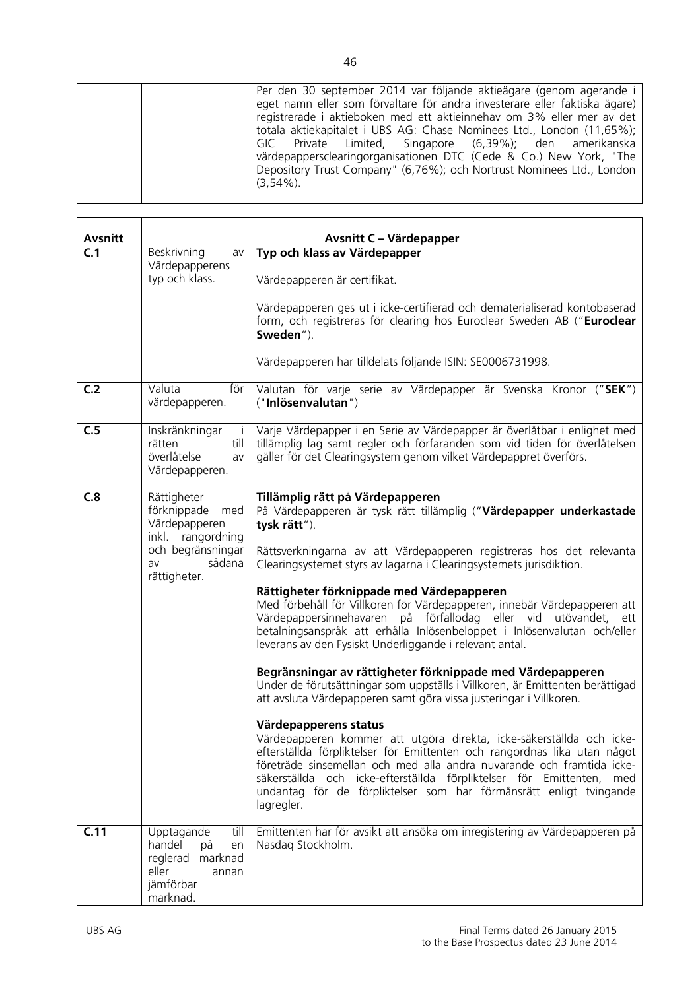| <b>Avsnitt</b> |                                                                                                                              | <b>Avsnitt C - Värdepapper</b>                                                                                                                                                                                                                                                                                                                                                                                                                                                                                                                                                                                                                                                                                                                                                                                                                                                                                                                                                                                                                                                                                                                                                                                                                     |
|----------------|------------------------------------------------------------------------------------------------------------------------------|----------------------------------------------------------------------------------------------------------------------------------------------------------------------------------------------------------------------------------------------------------------------------------------------------------------------------------------------------------------------------------------------------------------------------------------------------------------------------------------------------------------------------------------------------------------------------------------------------------------------------------------------------------------------------------------------------------------------------------------------------------------------------------------------------------------------------------------------------------------------------------------------------------------------------------------------------------------------------------------------------------------------------------------------------------------------------------------------------------------------------------------------------------------------------------------------------------------------------------------------------|
| C.1            | Beskrivning<br>av<br>Värdepapperens<br>typ och klass.                                                                        | Typ och klass av Värdepapper<br>Värdepapperen är certifikat.<br>Värdepapperen ges ut i icke-certifierad och dematerialiserad kontobaserad<br>form, och registreras för clearing hos Euroclear Sweden AB ("Euroclear<br>Sweden").<br>Värdepapperen har tilldelats följande ISIN: SE0006731998.                                                                                                                                                                                                                                                                                                                                                                                                                                                                                                                                                                                                                                                                                                                                                                                                                                                                                                                                                      |
| C <sub>2</sub> | Valuta<br>för I<br>värdepapperen.                                                                                            | Valutan för varje serie av Värdepapper är Svenska Kronor ("SEK")<br>("Inlösenvalutan")                                                                                                                                                                                                                                                                                                                                                                                                                                                                                                                                                                                                                                                                                                                                                                                                                                                                                                                                                                                                                                                                                                                                                             |
| C.5            | Inskränkningar<br>rätten<br>till<br>överlåtelse<br>av<br>Värdepapperen.                                                      | Varje Värdepapper i en Serie av Värdepapper är överlåtbar i enlighet med<br>tillämplig lag samt regler och förfaranden som vid tiden för överlåtelsen<br>gäller för det Clearingsystem genom vilket Värdepappret överförs.                                                                                                                                                                                                                                                                                                                                                                                                                                                                                                                                                                                                                                                                                                                                                                                                                                                                                                                                                                                                                         |
| C.8            | Rättigheter<br>förknippade<br>med<br>Värdepapperen<br>inkl. rangordning<br>och begränsningar<br>sådana<br>av<br>rättigheter. | Tillämplig rätt på Värdepapperen<br>På Värdepapperen är tysk rätt tillämplig ("Värdepapper underkastade<br>tysk rätt").<br>Rättsverkningarna av att Värdepapperen registreras hos det relevanta<br>Clearingsystemet styrs av lagarna i Clearingsystemets jurisdiktion.<br>Rättigheter förknippade med Värdepapperen<br>Med förbehåll för Villkoren för Värdepapperen, innebär Värdepapperen att<br>Värdepappersinnehavaren på förfallodag eller vid utövandet, ett<br>betalningsanspråk att erhålla Inlösenbeloppet i Inlösenvalutan och/eller<br>leverans av den Fysiskt Underliggande i relevant antal.<br>Begränsningar av rättigheter förknippade med Värdepapperen<br>Under de förutsättningar som uppställs i Villkoren, är Emittenten berättigad<br>att avsluta Värdepapperen samt göra vissa justeringar i Villkoren.<br>Värdepapperens status<br>Värdepapperen kommer att utgöra direkta, icke-säkerställda och icke-<br>efterställda förpliktelser för Emittenten och rangordnas lika utan något<br>företräde sinsemellan och med alla andra nuvarande och framtida icke-<br>säkerställda och icke-efterställda förpliktelser för Emittenten,<br>med<br>undantag för de förpliktelser som har förmånsrätt enligt tvingande<br>lagregler. |
| C.11           | Upptagande<br>till<br>handel<br>på<br>en<br>reglerad<br>marknad<br>eller<br>annan<br>jämförbar<br>marknad.                   | Emittenten har för avsikt att ansöka om inregistering av Värdepapperen på<br>Nasdag Stockholm.                                                                                                                                                                                                                                                                                                                                                                                                                                                                                                                                                                                                                                                                                                                                                                                                                                                                                                                                                                                                                                                                                                                                                     |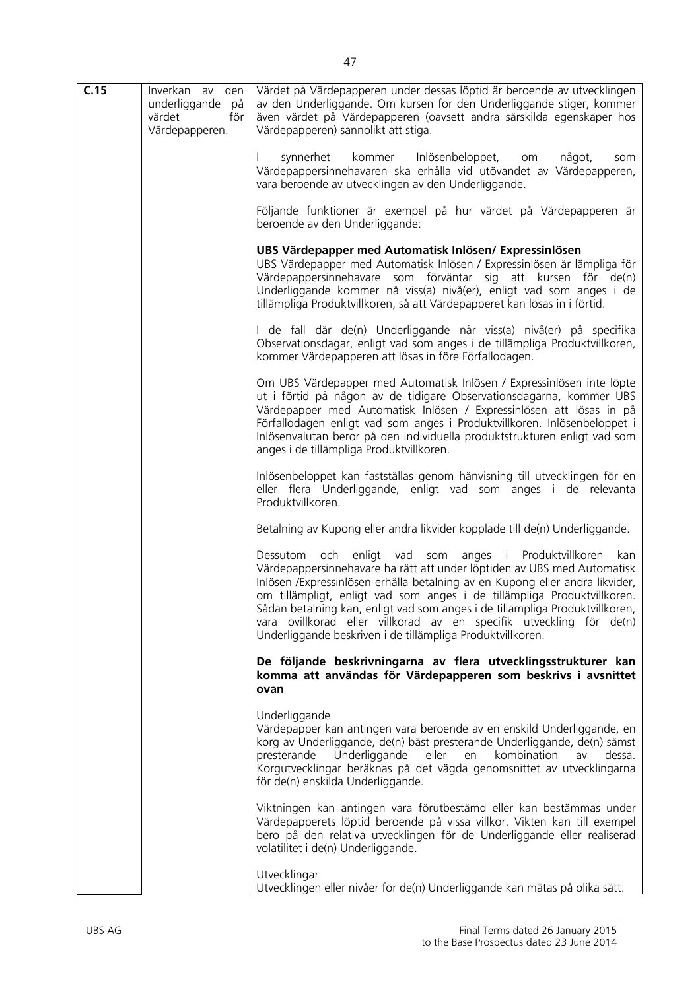| C.15 | Inverkan av den                                        | Värdet på Värdepapperen under dessas löptid är beroende av utvecklingen                                                                                                                                                                                                                                                                                                                                                                                                                                                 |
|------|--------------------------------------------------------|-------------------------------------------------------------------------------------------------------------------------------------------------------------------------------------------------------------------------------------------------------------------------------------------------------------------------------------------------------------------------------------------------------------------------------------------------------------------------------------------------------------------------|
|      | underliggande<br>på<br>värdet<br>för<br>Värdepapperen. | av den Underliggande. Om kursen för den Underliggande stiger, kommer<br>även värdet på Värdepapperen (oavsett andra särskilda egenskaper hos<br>Värdepapperen) sannolikt att stiga.                                                                                                                                                                                                                                                                                                                                     |
|      |                                                        | synnerhet kommer Inlösenbeloppet,<br>något,<br>om<br>som<br>Värdepappersinnehavaren ska erhålla vid utövandet av Värdepapperen,<br>vara beroende av utvecklingen av den Underliggande.                                                                                                                                                                                                                                                                                                                                  |
|      |                                                        | Följande funktioner är exempel på hur värdet på Värdepapperen är<br>beroende av den Underliggande:                                                                                                                                                                                                                                                                                                                                                                                                                      |
|      |                                                        | UBS Värdepapper med Automatisk Inlösen/ Expressinlösen<br>UBS Värdepapper med Automatisk Inlösen / Expressinlösen är lämpliga för<br>Värdepappersinnehavare som förväntar sig att kursen för de(n)<br>Underliggande kommer nå viss(a) nivå(er), enligt vad som anges i de<br>tillämpliga Produktvillkoren, så att Värdepapperet kan lösas in i förtid.                                                                                                                                                                  |
|      |                                                        | I de fall där de(n) Underliggande når viss(a) nivå(er) på specifika<br>Observationsdagar, enligt vad som anges i de tillämpliga Produktvillkoren,<br>kommer Värdepapperen att lösas in före Förfallodagen.                                                                                                                                                                                                                                                                                                              |
|      |                                                        | Om UBS Värdepapper med Automatisk Inlösen / Expressinlösen inte löpte<br>ut i förtid på någon av de tidigare Observationsdagarna, kommer UBS<br>Värdepapper med Automatisk Inlösen / Expressinlösen att lösas in på<br>Förfallodagen enligt vad som anges i Produktvillkoren. Inlösenbeloppet i<br>Inlösenvalutan beror på den individuella produktstrukturen enligt vad som<br>anges i de tillämpliga Produktvillkoren.                                                                                                |
|      |                                                        | Inlösenbeloppet kan fastställas genom hänvisning till utvecklingen för en<br>eller flera Underliggande, enligt vad som anges i de relevanta<br>Produktvillkoren.                                                                                                                                                                                                                                                                                                                                                        |
|      |                                                        | Betalning av Kupong eller andra likvider kopplade till de(n) Underliggande.                                                                                                                                                                                                                                                                                                                                                                                                                                             |
|      |                                                        | Dessutom och enligt vad som anges i Produktvillkoren<br>kan<br>Värdepappersinnehavare ha rätt att under löptiden av UBS med Automatisk<br>Inlösen / Expressinlösen erhålla betalning av en Kupong eller andra likvider,<br>om tillämpligt, enligt vad som anges i de tillämpliga Produktvillkoren.<br>Sådan betalning kan, enligt vad som anges i de tillämpliga Produktvillkoren,<br>vara ovillkorad eller villkorad av en specifik utveckling för de(n)<br>Underliggande beskriven i de tillämpliga Produktvillkoren. |
|      |                                                        | De följande beskrivningarna av flera utvecklingsstrukturer kan<br>komma att användas för Värdepapperen som beskrivs i avsnittet<br>ovan                                                                                                                                                                                                                                                                                                                                                                                 |
|      |                                                        | Underliggande<br>Värdepapper kan antingen vara beroende av en enskild Underliggande, en<br>korg av Underliggande, de(n) bäst presterande Underliggande, de(n) sämst<br>presterande<br>Underliggande<br>eller<br>kombination<br>dessa.<br>en<br>av<br>Korgutvecklingar beräknas på det vägda genomsnittet av utvecklingarna<br>för de(n) enskilda Underliggande.                                                                                                                                                         |
|      |                                                        | Viktningen kan antingen vara förutbestämd eller kan bestämmas under<br>Värdepapperets löptid beroende på vissa villkor. Vikten kan till exempel<br>bero på den relativa utvecklingen för de Underliggande eller realiserad<br>volatilitet i de(n) Underliggande.                                                                                                                                                                                                                                                        |
|      |                                                        | Utvecklingar<br>Utvecklingen eller nivåer för de(n) Underliggande kan mätas på olika sätt.                                                                                                                                                                                                                                                                                                                                                                                                                              |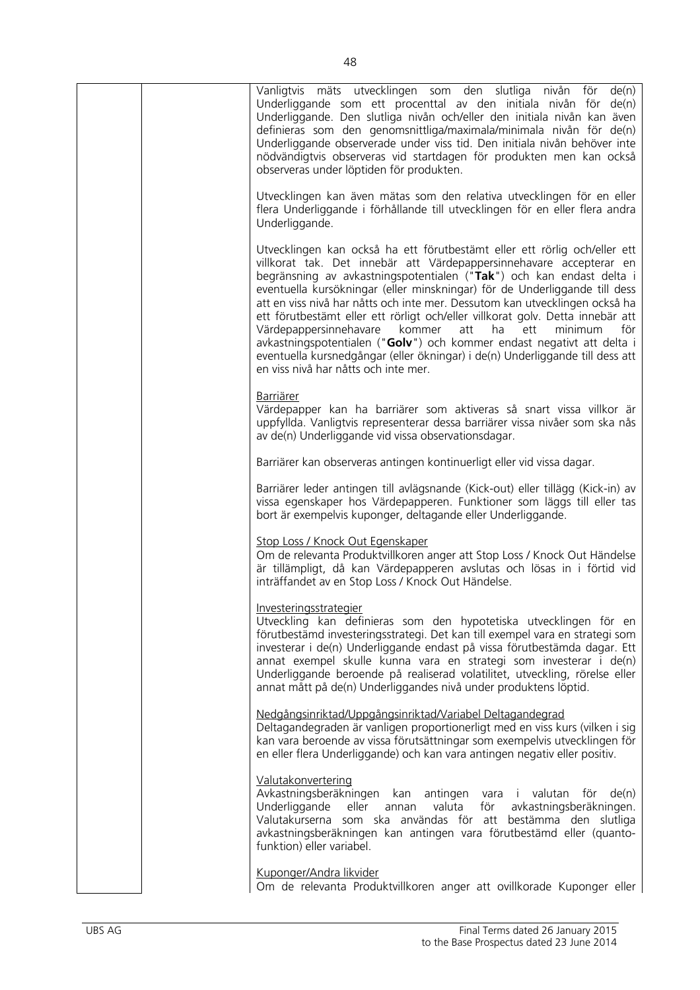| Vanligtvis mäts utvecklingen som den slutliga nivån för<br>de(n)<br>Underliggande som ett procenttal av den initiala nivån för de(n)<br>Underliggande. Den slutliga nivån och/eller den initiala nivån kan även<br>definieras som den genomsnittliga/maximala/minimala nivån för de(n)<br>Underliggande observerade under viss tid. Den initiala nivån behöver inte<br>nödvändigtvis observeras vid startdagen för produkten men kan också<br>observeras under löptiden för produkten.                                                                                                                                                                                                                                                            |
|---------------------------------------------------------------------------------------------------------------------------------------------------------------------------------------------------------------------------------------------------------------------------------------------------------------------------------------------------------------------------------------------------------------------------------------------------------------------------------------------------------------------------------------------------------------------------------------------------------------------------------------------------------------------------------------------------------------------------------------------------|
| Utvecklingen kan även mätas som den relativa utvecklingen för en eller<br>flera Underliggande i förhållande till utvecklingen för en eller flera andra<br>Underliggande.                                                                                                                                                                                                                                                                                                                                                                                                                                                                                                                                                                          |
| Utvecklingen kan också ha ett förutbestämt eller ett rörlig och/eller ett<br>villkorat tak. Det innebär att Värdepappersinnehavare accepterar en<br>begränsning av avkastningspotentialen ("Tak") och kan endast delta i<br>eventuella kursökningar (eller minskningar) för de Underliggande till dess<br>att en viss nivå har nåtts och inte mer. Dessutom kan utvecklingen också ha<br>ett förutbestämt eller ett rörligt och/eller villkorat golv. Detta innebär att<br>Värdepappersinnehavare kommer<br>att<br>ha<br>ett<br>minimum<br>för<br>avkastningspotentialen ("Golv") och kommer endast negativt att delta i<br>eventuella kursnedgångar (eller ökningar) i de(n) Underliggande till dess att<br>en viss nivå har nåtts och inte mer. |
| <b>Barriärer</b><br>Värdepapper kan ha barriärer som aktiveras så snart vissa villkor är<br>uppfyllda. Vanligtvis representerar dessa barriärer vissa nivåer som ska nås<br>av de(n) Underliggande vid vissa observationsdagar.                                                                                                                                                                                                                                                                                                                                                                                                                                                                                                                   |
| Barriärer kan observeras antingen kontinuerligt eller vid vissa dagar.                                                                                                                                                                                                                                                                                                                                                                                                                                                                                                                                                                                                                                                                            |
| Barriärer leder antingen till avlägsnande (Kick-out) eller tillägg (Kick-in) av<br>vissa egenskaper hos Värdepapperen. Funktioner som läggs till eller tas<br>bort är exempelvis kuponger, deltagande eller Underliggande.                                                                                                                                                                                                                                                                                                                                                                                                                                                                                                                        |
| Stop Loss / Knock Out Egenskaper<br>Om de relevanta Produktvillkoren anger att Stop Loss / Knock Out Händelse<br>är tillämpligt, då kan Värdepapperen avslutas och lösas in i förtid vid<br>inträffandet av en Stop Loss / Knock Out Händelse.                                                                                                                                                                                                                                                                                                                                                                                                                                                                                                    |
| Investeringsstrategier<br>Utveckling kan definieras som den hypotetiska utvecklingen för en<br>förutbestämd investeringsstrategi. Det kan till exempel vara en strategi som<br>investerar i de(n) Underliggande endast på vissa förutbestämda dagar. Ett<br>annat exempel skulle kunna vara en strategi som investerar i de(n)<br>Underliggande beroende på realiserad volatilitet, utveckling, rörelse eller<br>annat mått på de(n) Underliggandes nivå under produktens löptid.                                                                                                                                                                                                                                                                 |
| Nedgångsinriktad/Uppgångsinriktad/Variabel Deltagandegrad<br>Deltagandegraden är vanligen proportionerligt med en viss kurs (vilken i sig<br>kan vara beroende av vissa förutsättningar som exempelvis utvecklingen för<br>en eller flera Underliggande) och kan vara antingen negativ eller positiv.                                                                                                                                                                                                                                                                                                                                                                                                                                             |
| Valutakonvertering<br>Avkastningsberäkningen kan<br>antingen<br>valutan<br>för<br>de(n)<br>vara i<br>Underliggande<br>eller<br>valuta<br>för<br>avkastningsberäkningen.<br>annan<br>Valutakurserna som ska användas för att bestämma den slutliga<br>avkastningsberäkningen kan antingen vara förutbestämd eller (quanto-<br>funktion) eller variabel.                                                                                                                                                                                                                                                                                                                                                                                            |
| Kuponger/Andra likvider<br>Om de relevanta Produktvillkoren anger att ovillkorade Kuponger eller                                                                                                                                                                                                                                                                                                                                                                                                                                                                                                                                                                                                                                                  |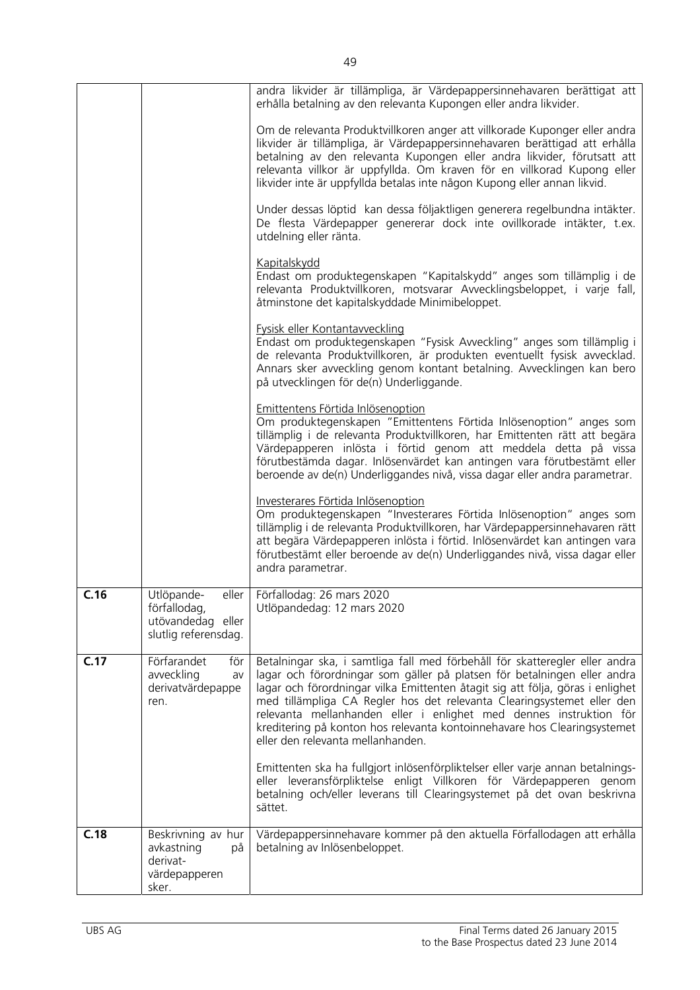|      |                                                                                  | andra likvider är tillämpliga, är Värdepappersinnehavaren berättigat att<br>erhålla betalning av den relevanta Kupongen eller andra likvider.                                                                                                                                                                                                                                                                                                                                                              |
|------|----------------------------------------------------------------------------------|------------------------------------------------------------------------------------------------------------------------------------------------------------------------------------------------------------------------------------------------------------------------------------------------------------------------------------------------------------------------------------------------------------------------------------------------------------------------------------------------------------|
|      |                                                                                  | Om de relevanta Produktvillkoren anger att villkorade Kuponger eller andra<br>likvider är tillämpliga, är Värdepappersinnehavaren berättigad att erhålla<br>betalning av den relevanta Kupongen eller andra likvider, förutsatt att<br>relevanta villkor är uppfyllda. Om kraven för en villkorad Kupong eller<br>likvider inte är uppfyllda betalas inte någon Kupong eller annan likvid.                                                                                                                 |
|      |                                                                                  | Under dessas löptid kan dessa följaktligen generera regelbundna intäkter.<br>De flesta Värdepapper genererar dock inte ovillkorade intäkter, t.ex.<br>utdelning eller ränta.                                                                                                                                                                                                                                                                                                                               |
|      |                                                                                  | <b>Kapitalskydd</b><br>Endast om produktegenskapen "Kapitalskydd" anges som tillämplig i de<br>relevanta Produktvillkoren, motsvarar Avvecklingsbeloppet, i varje fall,<br>åtminstone det kapitalskyddade Minimibeloppet.                                                                                                                                                                                                                                                                                  |
|      |                                                                                  | Fysisk eller Kontantavveckling<br>Endast om produktegenskapen "Fysisk Avveckling" anges som tillämplig i<br>de relevanta Produktvillkoren, är produkten eventuellt fysisk avvecklad.<br>Annars sker avveckling genom kontant betalning. Avvecklingen kan bero<br>på utvecklingen för de(n) Underliggande.                                                                                                                                                                                                  |
|      |                                                                                  | Emittentens Förtida Inlösenoption<br>Om produktegenskapen "Emittentens Förtida Inlösenoption" anges som<br>tillämplig i de relevanta Produktvillkoren, har Emittenten rätt att begära<br>Värdepapperen inlösta i förtid genom att meddela detta på vissa<br>förutbestämda dagar. Inlösenvärdet kan antingen vara förutbestämt eller<br>beroende av de(n) Underliggandes nivå, vissa dagar eller andra parametrar.                                                                                          |
|      |                                                                                  | Investerares Förtida Inlösenoption<br>Om produktegenskapen "Investerares Förtida Inlösenoption" anges som<br>tillämplig i de relevanta Produktvillkoren, har Värdepappersinnehavaren rätt<br>att begära Värdepapperen inlösta i förtid. Inlösenvärdet kan antingen vara<br>förutbestämt eller beroende av de(n) Underliggandes nivå, vissa dagar eller<br>andra parametrar.                                                                                                                                |
| C.16 | eller<br>Utlöpande-<br>förfallodag,<br>utövandedag eller<br>slutlig referensdag. | Förfallodag: 26 mars 2020<br>Utlöpandedag: 12 mars 2020                                                                                                                                                                                                                                                                                                                                                                                                                                                    |
| C.17 | Förfarandet<br>för<br>avveckling<br>av<br>derivatvärdepappe<br>ren.              | Betalningar ska, i samtliga fall med förbehåll för skatteregler eller andra<br>lagar och förordningar som gäller på platsen för betalningen eller andra<br>lagar och förordningar vilka Emittenten åtagit sig att följa, göras i enlighet<br>med tillämpliga CA Regler hos det relevanta Clearingsystemet eller den<br>relevanta mellanhanden eller i enlighet med dennes instruktion för<br>kreditering på konton hos relevanta kontoinnehavare hos Clearingsystemet<br>eller den relevanta mellanhanden. |
|      |                                                                                  | Emittenten ska ha fullgjort inlösenförpliktelser eller varje annan betalnings-<br>eller leveransförpliktelse enligt Villkoren för Värdepapperen genom<br>betalning och/eller leverans till Clearingsystemet på det ovan beskrivna<br>sättet.                                                                                                                                                                                                                                                               |
| C.18 | Beskrivning av hur<br>avkastning<br>på<br>derivat-<br>värdepapperen<br>sker.     | Värdepappersinnehavare kommer på den aktuella Förfallodagen att erhålla<br>betalning av Inlösenbeloppet.                                                                                                                                                                                                                                                                                                                                                                                                   |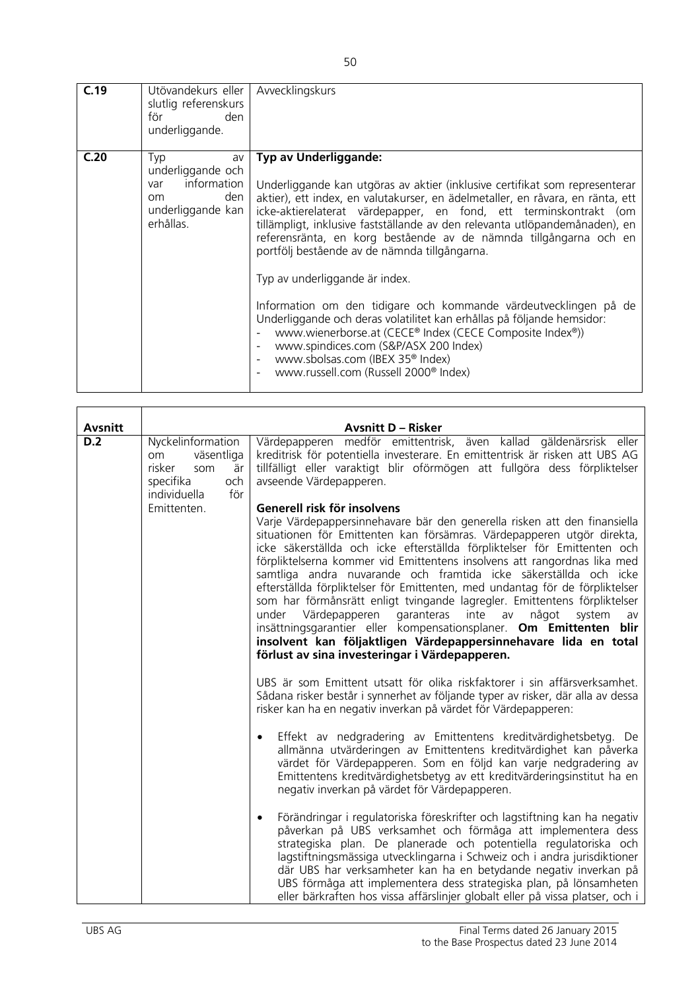| C.19 | Utövandekurs eller   Avvecklingskurs<br>slutlig referenskurs<br>för<br>den<br>underliggande.                   |                                                                                                                                                                                                                                                                                                                                                                                                                                                                                                                                                                                                                                                                                                                                                                                                                                                                                |
|------|----------------------------------------------------------------------------------------------------------------|--------------------------------------------------------------------------------------------------------------------------------------------------------------------------------------------------------------------------------------------------------------------------------------------------------------------------------------------------------------------------------------------------------------------------------------------------------------------------------------------------------------------------------------------------------------------------------------------------------------------------------------------------------------------------------------------------------------------------------------------------------------------------------------------------------------------------------------------------------------------------------|
| C.20 | Typ<br>av<br>underliggande och<br>information<br>var<br>den<br><sub>om</sub><br>underliggande kan<br>erhållas. | Typ av Underliggande:<br>Underliggande kan utgöras av aktier (inklusive certifikat som representerar<br>aktier), ett index, en valutakurser, en ädelmetaller, en råvara, en ränta, ett<br>icke-aktierelaterat värdepapper, en fond, ett terminskontrakt (om<br>tillämpligt, inklusive fastställande av den relevanta utlöpandemånaden), en<br>referensränta, en korg bestående av de nämnda tillgångarna och en<br>portfölj bestående av de nämnda tillgångarna.<br>Typ av underliggande är index.<br>Information om den tidigare och kommande värdeutvecklingen på de<br>Underliggande och deras volatilitet kan erhållas på följande hemsidor:<br>www.wienerborse.at (CECE® Index (CECE Composite Index®))<br>www.spindices.com (S&P/ASX 200 Index)<br>www.sbolsas.com (IBEX 35 <sup>®</sup> Index)<br>$\sim$<br>www.russell.com (Russell 2000 <sup>®</sup> Index)<br>$\sim$ |

| <b>Avsnitt</b> |                                                                                                         | <b>Avsnitt D - Risker</b>                                                                                                                                                                                                                                                                                                                                                                                                                                                                                                                                                                                                                                                                                                                                                                                                                       |
|----------------|---------------------------------------------------------------------------------------------------------|-------------------------------------------------------------------------------------------------------------------------------------------------------------------------------------------------------------------------------------------------------------------------------------------------------------------------------------------------------------------------------------------------------------------------------------------------------------------------------------------------------------------------------------------------------------------------------------------------------------------------------------------------------------------------------------------------------------------------------------------------------------------------------------------------------------------------------------------------|
| D.2            | Nyckelinformation<br>väsentliga<br>om<br>risker<br>är<br>som<br>specifika<br>och<br>individuella<br>för | Värdepapperen medför emittentrisk, även kallad gäldenärsrisk eller<br>kreditrisk för potentiella investerare. En emittentrisk är risken att UBS AG<br>tillfälligt eller varaktigt blir oförmögen att fullgöra dess förpliktelser<br>avseende Värdepapperen.                                                                                                                                                                                                                                                                                                                                                                                                                                                                                                                                                                                     |
|                | Emittenten.                                                                                             | Generell risk för insolvens<br>Varje Värdepappersinnehavare bär den generella risken att den finansiella<br>situationen för Emittenten kan försämras. Värdepapperen utgör direkta,<br>icke säkerställda och icke efterställda förpliktelser för Emittenten och<br>förpliktelserna kommer vid Emittentens insolvens att rangordnas lika med<br>samtliga andra nuvarande och framtida icke säkerställda och icke<br>efterställda förpliktelser för Emittenten, med undantag för de förpliktelser<br>som har förmånsrätt enligt tvingande lagregler. Emittentens förpliktelser<br>garanteras inte<br>under Värdepapperen<br>något<br>av<br>system<br>av<br>insättningsgarantier eller kompensationsplaner. Om Emittenten blir<br>insolvent kan följaktligen Värdepappersinnehavare lida en total<br>förlust av sina investeringar i Värdepapperen. |
|                |                                                                                                         | UBS är som Emittent utsatt för olika riskfaktorer i sin affärsverksamhet.<br>Sådana risker består i synnerhet av följande typer av risker, där alla av dessa<br>risker kan ha en negativ inverkan på värdet för Värdepapperen:                                                                                                                                                                                                                                                                                                                                                                                                                                                                                                                                                                                                                  |
|                |                                                                                                         | Effekt av nedgradering av Emittentens kreditvärdighetsbetyg. De<br>$\bullet$<br>allmänna utvärderingen av Emittentens kreditvärdighet kan påverka<br>värdet för Värdepapperen. Som en följd kan varje nedgradering av<br>Emittentens kreditvärdighetsbetyg av ett kreditvärderingsinstitut ha en<br>negativ inverkan på värdet för Värdepapperen.                                                                                                                                                                                                                                                                                                                                                                                                                                                                                               |
|                |                                                                                                         | Förändringar i regulatoriska föreskrifter och lagstiftning kan ha negativ<br>$\bullet$<br>påverkan på UBS verksamhet och förmåga att implementera dess<br>strategiska plan. De planerade och potentiella regulatoriska och<br>lagstiftningsmässiga utvecklingarna i Schweiz och i andra jurisdiktioner<br>där UBS har verksamheter kan ha en betydande negativ inverkan på<br>UBS förmåga att implementera dess strategiska plan, på lönsamheten<br>eller bärkraften hos vissa affärslinjer globalt eller på vissa platser, och i                                                                                                                                                                                                                                                                                                               |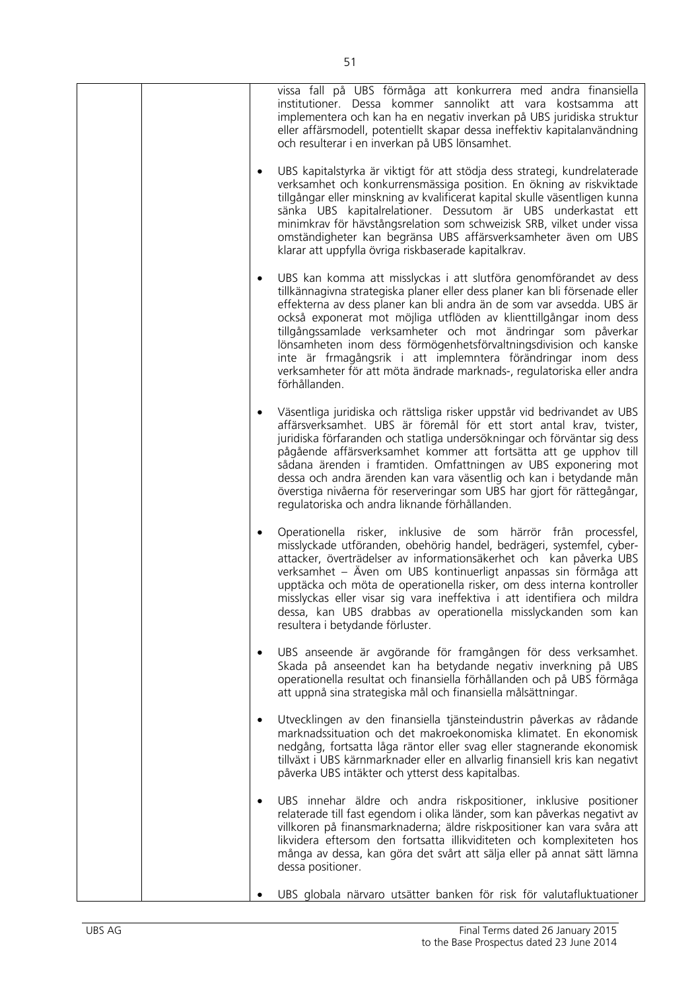| vissa fall på UBS förmåga att konkurrera med andra finansiella<br>institutioner. Dessa kommer sannolikt att vara kostsamma att<br>implementera och kan ha en negativ inverkan på UBS juridiska struktur<br>eller affärsmodell, potentiellt skapar dessa ineffektiv kapitalanvändning<br>och resulterar i en inverkan på UBS lönsamhet.                                                                                                                                                                                                                                                                        |
|---------------------------------------------------------------------------------------------------------------------------------------------------------------------------------------------------------------------------------------------------------------------------------------------------------------------------------------------------------------------------------------------------------------------------------------------------------------------------------------------------------------------------------------------------------------------------------------------------------------|
| UBS kapitalstyrka är viktigt för att stödja dess strategi, kundrelaterade<br>verksamhet och konkurrensmässiga position. En ökning av riskviktade<br>tillgångar eller minskning av kvalificerat kapital skulle väsentligen kunna<br>sänka UBS kapitalrelationer. Dessutom är UBS underkastat ett<br>minimkrav för hävstångsrelation som schweizisk SRB, vilket under vissa<br>omständigheter kan begränsa UBS affärsverksamheter även om UBS<br>klarar att uppfylla övriga riskbaserade kapitalkrav.                                                                                                           |
| UBS kan komma att misslyckas i att slutföra genomförandet av dess<br>$\bullet$<br>tillkännagivna strategiska planer eller dess planer kan bli försenade eller<br>effekterna av dess planer kan bli andra än de som var avsedda. UBS är<br>också exponerat mot möjliga utflöden av klienttillgångar inom dess<br>tillgångssamlade verksamheter och mot ändringar som påverkar<br>lönsamheten inom dess förmögenhetsförvaltningsdivision och kanske<br>inte är frmagångsrik i att implemntera förändringar inom dess<br>verksamheter för att möta ändrade marknads-, regulatoriska eller andra<br>förhållanden. |
| Väsentliga juridiska och rättsliga risker uppstår vid bedrivandet av UBS<br>affärsverksamhet. UBS är föremål för ett stort antal krav, tvister,<br>juridiska förfaranden och statliga undersökningar och förväntar sig dess<br>pågående affärsverksamhet kommer att fortsätta att ge upphov till<br>sådana ärenden i framtiden. Omfattningen av UBS exponering mot<br>dessa och andra ärenden kan vara väsentlig och kan i betydande mån<br>överstiga nivåerna för reserveringar som UBS har gjort för rättegångar,<br>regulatoriska och andra liknande förhållanden.                                         |
| Operationella risker, inklusive de som härrör från processfel,<br>$\bullet$<br>misslyckade utföranden, obehörig handel, bedrägeri, systemfel, cyber-<br>attacker, överträdelser av informationsäkerhet och kan påverka UBS<br>verksamhet – Även om UBS kontinuerligt anpassas sin förmåga att<br>upptäcka och möta de operationella risker, om dess interna kontroller<br>misslyckas eller visar sig vara ineffektiva i att identifiera och mildra<br>dessa, kan UBS drabbas av operationella misslyckanden som kan<br>resultera i betydande förluster.                                                       |
| UBS anseende är avgörande för framgången för dess verksamhet.<br>٠<br>Skada på anseendet kan ha betydande negativ inverkning på UBS<br>operationella resultat och finansiella förhållanden och på UBS förmåga<br>att uppnå sina strategiska mål och finansiella målsättningar.                                                                                                                                                                                                                                                                                                                                |
| Utvecklingen av den finansiella tjänsteindustrin påverkas av rådande<br>$\bullet$<br>marknadssituation och det makroekonomiska klimatet. En ekonomisk<br>nedgång, fortsatta låga räntor eller svag eller stagnerande ekonomisk<br>tillväxt i UBS kärnmarknader eller en allvarlig finansiell kris kan negativt<br>påverka UBS intäkter och ytterst dess kapitalbas.                                                                                                                                                                                                                                           |
| UBS innehar äldre och andra riskpositioner, inklusive positioner<br>$\bullet$<br>relaterade till fast egendom i olika länder, som kan påverkas negativt av<br>villkoren på finansmarknaderna; äldre riskpositioner kan vara svåra att<br>likvidera eftersom den fortsatta illikviditeten och komplexiteten hos<br>många av dessa, kan göra det svårt att sälja eller på annat sätt lämna<br>dessa positioner.                                                                                                                                                                                                 |
| UBS globala närvaro utsätter banken för risk för valutafluktuationer                                                                                                                                                                                                                                                                                                                                                                                                                                                                                                                                          |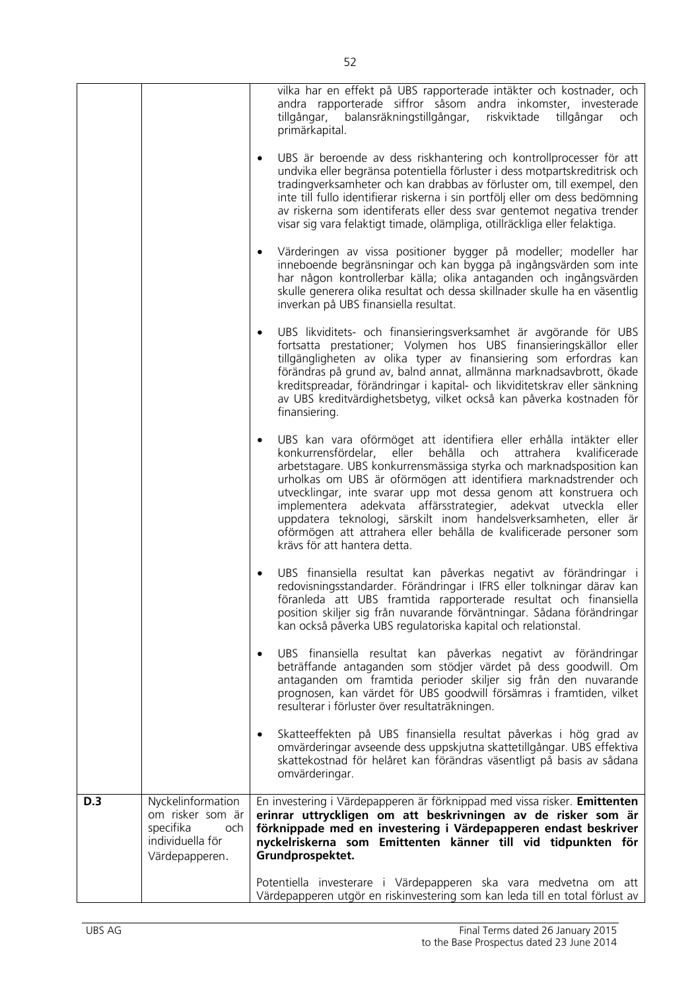|     |                                                                                                 | vilka har en effekt på UBS rapporterade intäkter och kostnader, och<br>andra rapporterade siffror såsom andra inkomster, investerade<br>tillgångar, balansräkningstillgångar, riskviktade<br>tillgångar<br>och<br>primärkapital.<br>UBS är beroende av dess riskhantering och kontrollprocesser för att<br>$\bullet$<br>undvika eller begränsa potentiella förluster i dess motpartskreditrisk och<br>tradingverksamheter och kan drabbas av förluster om, till exempel, den<br>inte till fullo identifierar riskerna i sin portfölj eller om dess bedömning<br>av riskerna som identiferats eller dess svar gentemot negativa trender<br>visar sig vara felaktigt timade, olämpliga, otillräckliga eller felaktiga. |
|-----|-------------------------------------------------------------------------------------------------|----------------------------------------------------------------------------------------------------------------------------------------------------------------------------------------------------------------------------------------------------------------------------------------------------------------------------------------------------------------------------------------------------------------------------------------------------------------------------------------------------------------------------------------------------------------------------------------------------------------------------------------------------------------------------------------------------------------------|
|     |                                                                                                 | Värderingen av vissa positioner bygger på modeller; modeller har<br>inneboende begränsningar och kan bygga på ingångsvärden som inte<br>har någon kontrollerbar källa; olika antaganden och ingångsvärden<br>skulle generera olika resultat och dessa skillnader skulle ha en väsentlig<br>inverkan på UBS finansiella resultat.                                                                                                                                                                                                                                                                                                                                                                                     |
|     |                                                                                                 | UBS likviditets- och finansieringsverksamhet är avgörande för UBS<br>$\bullet$<br>fortsatta prestationer; Volymen hos UBS finansieringskällor eller<br>tillgängligheten av olika typer av finansiering som erfordras kan<br>förändras på grund av, balnd annat, allmänna marknadsavbrott, ökade<br>kreditspreadar, förändringar i kapital- och likviditetskrav eller sänkning<br>av UBS kreditvärdighetsbetyg, vilket också kan påverka kostnaden för<br>finansiering.                                                                                                                                                                                                                                               |
|     |                                                                                                 | UBS kan vara oförmöget att identifiera eller erhålla intäkter eller<br>$\bullet$<br>behålla<br>konkurrensfördelar, eller<br>attrahera<br>kvalificerade<br>och<br>arbetstagare. UBS konkurrensmässiga styrka och marknadsposition kan<br>urholkas om UBS är oförmögen att identifiera marknadstrender och<br>utvecklingar, inte svarar upp mot dessa genom att konstruera och<br>implementera adekvata affärsstrategier, adekvat utveckla<br>eller<br>uppdatera teknologi, särskilt inom handelsverksamheten, eller är<br>oförmögen att attrahera eller behålla de kvalificerade personer som<br>krävs för att hantera detta.                                                                                         |
|     |                                                                                                 | UBS finansiella resultat kan påverkas negativt av förändringar i<br>$\bullet$<br>redovisningsstandarder. Förändringar i IFRS eller tolkningar därav kan<br>föranleda att UBS framtida rapporterade resultat och finansiella<br>position skiljer sig från nuvarande förväntningar. Sådana förändringar<br>kan också påverka UBS regulatoriska kapital och relationstal.                                                                                                                                                                                                                                                                                                                                               |
|     |                                                                                                 | UBS finansiella resultat kan påverkas negativt av förändringar<br>$\bullet$<br>beträffande antaganden som stödjer värdet på dess goodwill. Om<br>antaganden om framtida perioder skiljer sig från den nuvarande<br>prognosen, kan värdet för UBS goodwill försämras i framtiden, vilket<br>resulterar i förluster över resultaträkningen.                                                                                                                                                                                                                                                                                                                                                                            |
|     |                                                                                                 | Skatteeffekten på UBS finansiella resultat påverkas i hög grad av<br>$\bullet$<br>omvärderingar avseende dess uppskjutna skattetillgångar. UBS effektiva<br>skattekostnad för helåret kan förändras väsentligt på basis av sådana<br>omvärderingar.                                                                                                                                                                                                                                                                                                                                                                                                                                                                  |
| D.3 | Nyckelinformation<br>om risker som är<br>specifika<br>och<br>individuella för<br>Värdepapperen. | En investering i Värdepapperen är förknippad med vissa risker. Emittenten<br>erinrar uttryckligen om att beskrivningen av de risker som är<br>förknippade med en investering i Värdepapperen endast beskriver<br>nyckelriskerna som Emittenten känner till vid tidpunkten för<br>Grundprospektet.                                                                                                                                                                                                                                                                                                                                                                                                                    |
|     |                                                                                                 | Potentiella investerare i Värdepapperen ska vara medvetna om att<br>Värdepapperen utgör en riskinvestering som kan leda till en total förlust av                                                                                                                                                                                                                                                                                                                                                                                                                                                                                                                                                                     |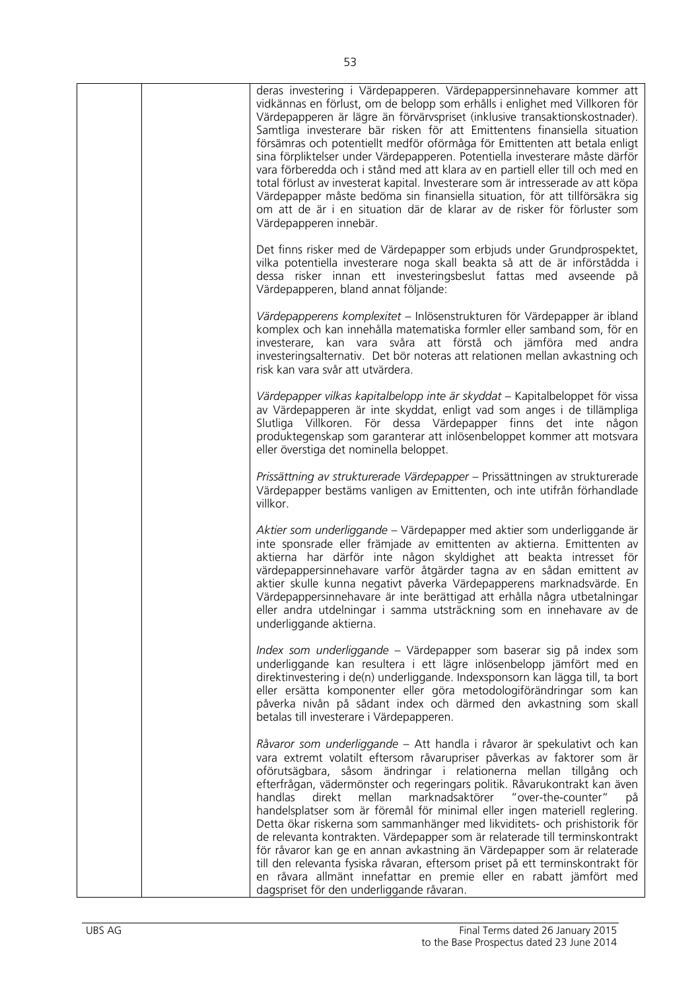| deras investering i Värdepapperen. Värdepappersinnehavare kommer att<br>vidkännas en förlust, om de belopp som erhålls i enlighet med Villkoren för<br>Värdepapperen är lägre än förvärvspriset (inklusive transaktionskostnader).<br>Samtliga investerare bär risken för att Emittentens finansiella situation<br>försämras och potentiellt medför oförmåga för Emittenten att betala enligt<br>sina förpliktelser under Värdepapperen. Potentiella investerare måste därför<br>vara förberedda och i stånd med att klara av en partiell eller till och med en<br>total förlust av investerat kapital. Investerare som är intresserade av att köpa<br>Värdepapper måste bedöma sin finansiella situation, för att tillförsäkra sig<br>om att de är i en situation där de klarar av de risker för förluster som<br>Värdepapperen innebär.                                                                       |
|-----------------------------------------------------------------------------------------------------------------------------------------------------------------------------------------------------------------------------------------------------------------------------------------------------------------------------------------------------------------------------------------------------------------------------------------------------------------------------------------------------------------------------------------------------------------------------------------------------------------------------------------------------------------------------------------------------------------------------------------------------------------------------------------------------------------------------------------------------------------------------------------------------------------|
| Det finns risker med de Värdepapper som erbjuds under Grundprospektet,<br>vilka potentiella investerare noga skall beakta så att de är införstådda i<br>dessa risker innan ett investeringsbeslut fattas med avseende på<br>Värdepapperen, bland annat följande:                                                                                                                                                                                                                                                                                                                                                                                                                                                                                                                                                                                                                                                |
| Värdepapperens komplexitet - Inlösenstrukturen för Värdepapper är ibland<br>komplex och kan innehålla matematiska formler eller samband som, för en<br>investerare, kan vara svåra att förstå och jämföra med andra<br>investeringsalternativ. Det bör noteras att relationen mellan avkastning och<br>risk kan vara svår att utvärdera.                                                                                                                                                                                                                                                                                                                                                                                                                                                                                                                                                                        |
| Värdepapper vilkas kapitalbelopp inte är skyddat - Kapitalbeloppet för vissa<br>av Värdepapperen är inte skyddat, enligt vad som anges i de tillämpliga<br>Slutliga Villkoren. För dessa Värdepapper finns det inte någon<br>produktegenskap som garanterar att inlösenbeloppet kommer att motsvara<br>eller överstiga det nominella beloppet.                                                                                                                                                                                                                                                                                                                                                                                                                                                                                                                                                                  |
| Prissättning av strukturerade Värdepapper - Prissättningen av strukturerade<br>Värdepapper bestäms vanligen av Emittenten, och inte utifrån förhandlade<br>villkor.                                                                                                                                                                                                                                                                                                                                                                                                                                                                                                                                                                                                                                                                                                                                             |
| Aktier som underliggande - Värdepapper med aktier som underliggande är<br>inte sponsrade eller främjade av emittenten av aktierna. Emittenten av<br>aktierna har därför inte någon skyldighet att beakta intresset för<br>värdepappersinnehavare varför åtgärder tagna av en sådan emittent av<br>aktier skulle kunna negativt påverka Värdepapperens marknadsvärde. En<br>Värdepappersinnehavare är inte berättigad att erhålla några utbetalningar<br>eller andra utdelningar i samma utsträckning som en innehavare av de<br>underliggande aktierna.                                                                                                                                                                                                                                                                                                                                                         |
| Index som underliggande – Värdepapper som baserar sig på index som<br>underliggande kan resultera i ett lägre inlösenbelopp jämfört med en<br>direktinvestering i de(n) underliggande. Indexsponsorn kan lägga till, ta bort<br>eller ersätta komponenter eller göra metodologiförändringar som kan<br>påverka nivån på sådant index och därmed den avkastning som skall<br>betalas till investerare i Värdepapperen.                                                                                                                                                                                                                                                                                                                                                                                                                                                                                           |
| Råvaror som underliggande – Att handla i råvaror är spekulativt och kan<br>vara extremt volatilt eftersom råvarupriser påverkas av faktorer som är<br>oförutsägbara, såsom ändringar i relationerna mellan tillgång<br>och.<br>efterfrågan, vädermönster och regeringars politik. Råvarukontrakt kan även<br>mellan marknadsaktörer<br>"over-the-counter"<br>handlas<br>direkt<br>рå<br>handelsplatser som är föremål för minimal eller ingen materiell reglering.<br>Detta ökar riskerna som sammanhänger med likviditets- och prishistorik för<br>de relevanta kontrakten. Värdepapper som är relaterade till terminskontrakt<br>för råvaror kan ge en annan avkastning än Värdepapper som är relaterade<br>till den relevanta fysiska råvaran, eftersom priset på ett terminskontrakt för<br>en råvara allmänt innefattar en premie eller en rabatt jämfört med<br>dagspriset för den underliggande råvaran. |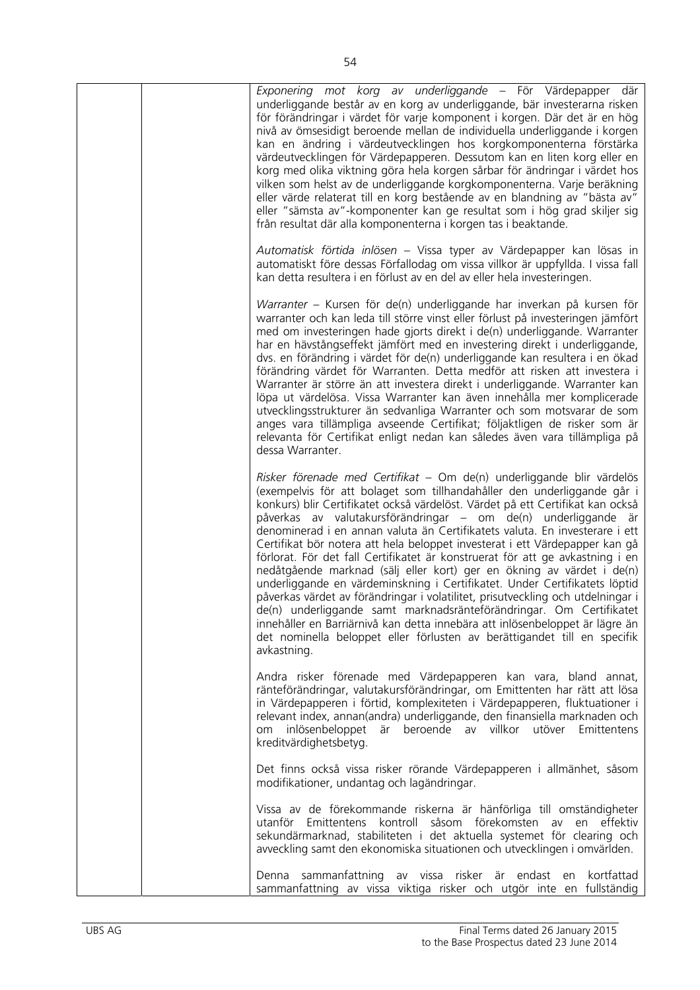|  | Exponering mot korg av underliggande - För Värdepapper där<br>underliggande består av en korg av underliggande, bär investerarna risken<br>för förändringar i värdet för varje komponent i korgen. Där det är en hög<br>nivå av ömsesidigt beroende mellan de individuella underliggande i korgen<br>kan en ändring i värdeutvecklingen hos korgkomponenterna förstärka<br>värdeutvecklingen för Värdepapperen. Dessutom kan en liten korg eller en<br>korg med olika viktning göra hela korgen sårbar för ändringar i värdet hos<br>vilken som helst av de underliggande korgkomponenterna. Varje beräkning<br>eller värde relaterat till en korg bestående av en blandning av "bästa av"<br>eller "sämsta av"-komponenter kan ge resultat som i hög grad skiljer sig<br>från resultat där alla komponenterna i korgen tas i beaktande.                                                                                                                                                                                                        |
|--|-------------------------------------------------------------------------------------------------------------------------------------------------------------------------------------------------------------------------------------------------------------------------------------------------------------------------------------------------------------------------------------------------------------------------------------------------------------------------------------------------------------------------------------------------------------------------------------------------------------------------------------------------------------------------------------------------------------------------------------------------------------------------------------------------------------------------------------------------------------------------------------------------------------------------------------------------------------------------------------------------------------------------------------------------|
|  | Automatisk förtida inlösen – Vissa typer av Värdepapper kan lösas in<br>automatiskt före dessas Förfallodag om vissa villkor är uppfyllda. I vissa fall<br>kan detta resultera i en förlust av en del av eller hela investeringen.                                                                                                                                                                                                                                                                                                                                                                                                                                                                                                                                                                                                                                                                                                                                                                                                              |
|  | Warranter – Kursen för de(n) underliggande har inverkan på kursen för<br>warranter och kan leda till större vinst eller förlust på investeringen jämfört<br>med om investeringen hade gjorts direkt i de(n) underliggande. Warranter<br>har en hävstångseffekt jämfört med en investering direkt i underliggande,<br>dvs. en förändring i värdet för de(n) underliggande kan resultera i en ökad<br>förändring värdet för Warranten. Detta medför att risken att investera i<br>Warranter är större än att investera direkt i underliggande. Warranter kan<br>löpa ut värdelösa. Vissa Warranter kan även innehålla mer komplicerade<br>utvecklingsstrukturer än sedvanliga Warranter och som motsvarar de som<br>anges vara tillämpliga avseende Certifikat; följaktligen de risker som är<br>relevanta för Certifikat enligt nedan kan således även vara tillämpliga på<br>dessa Warranter.                                                                                                                                                   |
|  | Risker förenade med Certifikat – Om de(n) underliggande blir värdelös<br>(exempelvis för att bolaget som tillhandahåller den underliggande går i<br>konkurs) blir Certifikatet också värdelöst. Värdet på ett Certifikat kan också<br>påverkas av valutakursförändringar – om de(n) underliggande är<br>denominerad i en annan valuta än Certifikatets valuta. En investerare i ett<br>Certifikat bör notera att hela beloppet investerat i ett Värdepapper kan gå<br>förlorat. För det fall Certifikatet är konstruerat för att ge avkastning i en<br>nedåtgående marknad (sälj eller kort) ger en ökning av värdet i de(n)<br>underliggande en värdeminskning i Certifikatet. Under Certifikatets löptid<br>påverkas värdet av förändringar i volatilitet, prisutveckling och utdelningar i<br>de(n) underliggande samt marknadsränteförändringar. Om Certifikatet<br>innehåller en Barriärnivå kan detta innebära att inlösenbeloppet är lägre än<br>det nominella beloppet eller förlusten av berättigandet till en specifik<br>avkastning. |
|  | Andra risker förenade med Värdepapperen kan vara, bland annat,<br>ränteförändringar, valutakursförändringar, om Emittenten har rätt att lösa<br>in Värdepapperen i förtid, komplexiteten i Värdepapperen, fluktuationer i<br>relevant index, annan(andra) underliggande, den finansiella marknaden och<br>om inlösenbeloppet<br>är beroende av villkor utöver<br>Emittentens<br>kreditvärdighetsbetyg.                                                                                                                                                                                                                                                                                                                                                                                                                                                                                                                                                                                                                                          |
|  | Det finns också vissa risker rörande Värdepapperen i allmänhet, såsom<br>modifikationer, undantag och lagändringar.                                                                                                                                                                                                                                                                                                                                                                                                                                                                                                                                                                                                                                                                                                                                                                                                                                                                                                                             |
|  | Vissa av de förekommande riskerna är hänförliga till omständigheter<br>såsom förekomsten<br>utanför<br>Emittentens<br>kontroll<br>effektiv<br>av<br>en<br>sekundärmarknad, stabiliteten i det aktuella systemet för clearing och<br>avveckling samt den ekonomiska situationen och utvecklingen i omvärlden.                                                                                                                                                                                                                                                                                                                                                                                                                                                                                                                                                                                                                                                                                                                                    |
|  | Denna sammanfattning av vissa risker är endast en<br>kortfattad<br>sammanfattning av vissa viktiga risker och utgör inte en fullständig                                                                                                                                                                                                                                                                                                                                                                                                                                                                                                                                                                                                                                                                                                                                                                                                                                                                                                         |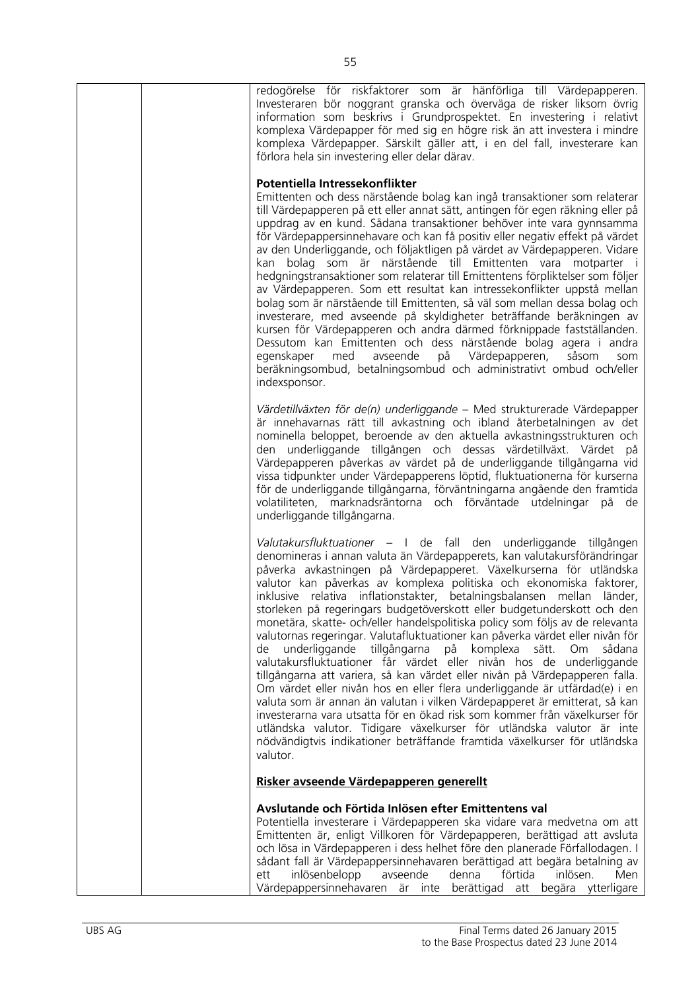|  | redogörelse för riskfaktorer som är hänförliga till Värdepapperen.<br>Investeraren bör noggrant granska och överväga de risker liksom övrig<br>information som beskrivs i Grundprospektet. En investering i relativt<br>komplexa Värdepapper för med sig en högre risk än att investera i mindre<br>komplexa Värdepapper. Särskilt gäller att, i en del fall, investerare kan<br>förlora hela sin investering eller delar därav.                                                                                                                                                                                                                                                                                                                                                                                                                                                                                                                                                                                                                                                                                                                                                                                                                                           |
|--|----------------------------------------------------------------------------------------------------------------------------------------------------------------------------------------------------------------------------------------------------------------------------------------------------------------------------------------------------------------------------------------------------------------------------------------------------------------------------------------------------------------------------------------------------------------------------------------------------------------------------------------------------------------------------------------------------------------------------------------------------------------------------------------------------------------------------------------------------------------------------------------------------------------------------------------------------------------------------------------------------------------------------------------------------------------------------------------------------------------------------------------------------------------------------------------------------------------------------------------------------------------------------|
|  | Potentiella Intressekonflikter<br>Emittenten och dess närstående bolag kan ingå transaktioner som relaterar<br>till Värdepapperen på ett eller annat sätt, antingen för egen räkning eller på<br>uppdrag av en kund. Sådana transaktioner behöver inte vara gynnsamma<br>för Värdepappersinnehavare och kan få positiv eller negativ effekt på värdet<br>av den Underliggande, och följaktligen på värdet av Värdepapperen. Vidare<br>kan bolag som är närstående till Emittenten vara motparter i<br>hedgningstransaktioner som relaterar till Emittentens förpliktelser som följer<br>av Värdepapperen. Som ett resultat kan intressekonflikter uppstå mellan<br>bolag som är närstående till Emittenten, så väl som mellan dessa bolag och<br>investerare, med avseende på skyldigheter beträffande beräkningen av<br>kursen för Värdepapperen och andra därmed förknippade fastställanden.<br>Dessutom kan Emittenten och dess närstående bolag agera i andra<br>egenskaper<br>med avseende på Värdepapperen,<br>såsom<br>som<br>beräkningsombud, betalningsombud och administrativt ombud och/eller<br>indexsponsor.                                                                                                                                                  |
|  | Värdetillväxten för de(n) underliggande - Med strukturerade Värdepapper<br>är innehavarnas rätt till avkastning och ibland återbetalningen av det<br>nominella beloppet, beroende av den aktuella avkastningsstrukturen och<br>den underliggande tillgången och dessas värdetillväxt. Värdet på<br>Värdepapperen påverkas av värdet på de underliggande tillgångarna vid<br>vissa tidpunkter under Värdepapperens löptid, fluktuationerna för kurserna<br>för de underliggande tillgångarna, förväntningarna angående den framtida<br>volatiliteten, marknadsräntorna och förväntade utdelningar på de<br>underliggande tillgångarna.                                                                                                                                                                                                                                                                                                                                                                                                                                                                                                                                                                                                                                      |
|  | Valutakursfluktuationer – I de fall den underliggande tillgången<br>denomineras i annan valuta än Värdepapperets, kan valutakursförändringar<br>påverka avkastningen på Värdepapperet. Växelkurserna för utländska<br>valutor kan påverkas av komplexa politiska och ekonomiska faktorer,<br>inklusive relativa inflationstakter, betalningsbalansen mellan länder,<br>storleken på regeringars budgetöverskott eller budgetunderskott och den<br>monetära, skatte- och/eller handelspolitiska policy som följs av de relevanta<br>valutornas regeringar. Valutafluktuationer kan påverka värdet eller nivån för<br>underliggande tillgångarna på<br>komplexa<br>sätt.<br>O <sub>m</sub><br>sådana<br>de<br>valutakursfluktuationer får värdet eller nivån hos de underliggande<br>tillgångarna att variera, så kan värdet eller nivån på Värdepapperen falla.<br>Om värdet eller nivån hos en eller flera underliggande är utfärdad(e) i en<br>valuta som är annan än valutan i vilken Värdepapperet är emitterat, så kan<br>investerarna vara utsatta för en ökad risk som kommer från växelkurser för<br>utländska valutor. Tidigare växelkurser för utländska valutor är inte<br>nödvändigtvis indikationer beträffande framtida växelkurser för utländska<br>valutor. |
|  | Risker avseende Värdepapperen generellt                                                                                                                                                                                                                                                                                                                                                                                                                                                                                                                                                                                                                                                                                                                                                                                                                                                                                                                                                                                                                                                                                                                                                                                                                                    |
|  | Avslutande och Förtida Inlösen efter Emittentens val<br>Potentiella investerare i Värdepapperen ska vidare vara medvetna om att<br>Emittenten är, enligt Villkoren för Värdepapperen, berättigad att avsluta<br>och lösa in Värdepapperen i dess helhet före den planerade Förfallodagen. I<br>sådant fall är Värdepappersinnehavaren berättigad att begära betalning av<br>förtida<br>inlösen.<br>ett<br>inlösenbelopp<br>avseende<br>denna<br>Men<br>Värdepappersinne havaren<br>är inte berättigad att<br>begära ytterligare                                                                                                                                                                                                                                                                                                                                                                                                                                                                                                                                                                                                                                                                                                                                            |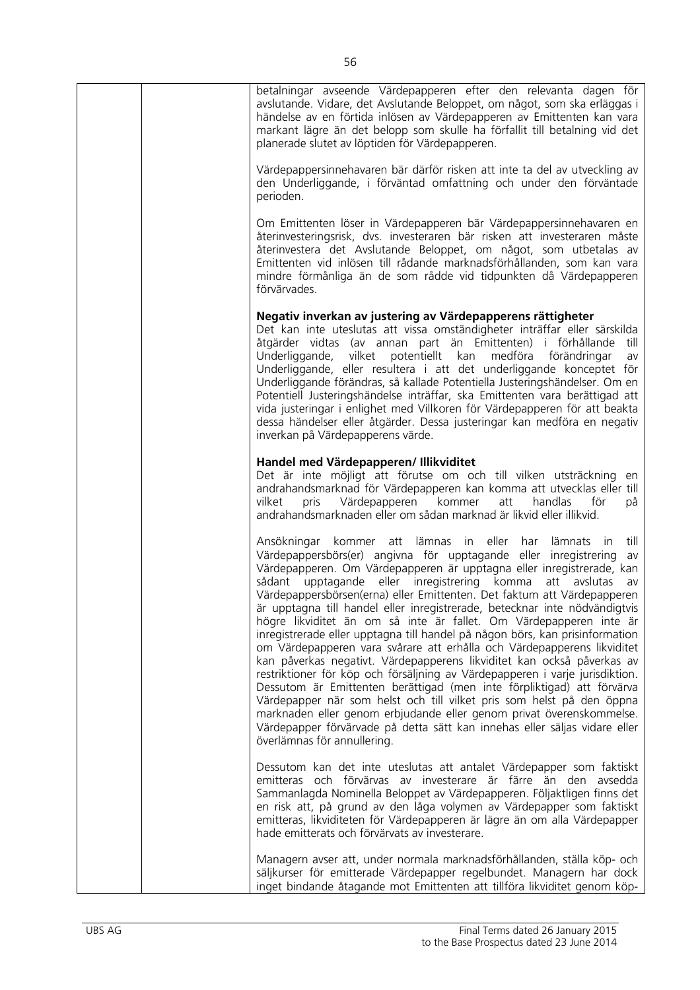| betalningar avseende Värdepapperen efter den relevanta dagen för<br>avslutande. Vidare, det Avslutande Beloppet, om något, som ska erläggas i<br>händelse av en förtida inlösen av Värdepapperen av Emittenten kan vara<br>markant lägre än det belopp som skulle ha förfallit till betalning vid det<br>planerade slutet av löptiden för Värdepapperen.                                                                                                                                                                                                                                                                                                                                                                                                                                                                                                                                                                                                                                                                                                                                                                                                                                                  |
|-----------------------------------------------------------------------------------------------------------------------------------------------------------------------------------------------------------------------------------------------------------------------------------------------------------------------------------------------------------------------------------------------------------------------------------------------------------------------------------------------------------------------------------------------------------------------------------------------------------------------------------------------------------------------------------------------------------------------------------------------------------------------------------------------------------------------------------------------------------------------------------------------------------------------------------------------------------------------------------------------------------------------------------------------------------------------------------------------------------------------------------------------------------------------------------------------------------|
| Värdepappersinnehavaren bär därför risken att inte ta del av utveckling av<br>den Underliggande, i förväntad omfattning och under den förväntade<br>perioden.                                                                                                                                                                                                                                                                                                                                                                                                                                                                                                                                                                                                                                                                                                                                                                                                                                                                                                                                                                                                                                             |
| Om Emittenten löser in Värdepapperen bär Värdepappersinnehavaren en<br>återinvesteringsrisk, dvs. investeraren bär risken att investeraren måste<br>återinvestera det Avslutande Beloppet, om något, som utbetalas av<br>Emittenten vid inlösen till rådande marknadsförhållanden, som kan vara<br>mindre förmånliga än de som rådde vid tidpunkten då Värdepapperen<br>förvärvades.                                                                                                                                                                                                                                                                                                                                                                                                                                                                                                                                                                                                                                                                                                                                                                                                                      |
| Negativ inverkan av justering av Värdepapperens rättigheter<br>Det kan inte uteslutas att vissa omständigheter inträffar eller särskilda<br>åtgärder vidtas (av annan part än Emittenten) i förhållande<br>till<br>Underliggande,<br>vilket potentiellt kan medföra<br>förändringar<br>av<br>Underliggande, eller resultera i att det underliggande konceptet för<br>Underliggande förändras, så kallade Potentiella Justeringshändelser. Om en<br>Potentiell Justeringshändelse inträffar, ska Emittenten vara berättigad att<br>vida justeringar i enlighet med Villkoren för Värdepapperen för att beakta<br>dessa händelser eller åtgärder. Dessa justeringar kan medföra en negativ<br>inverkan på Värdepapperens värde.                                                                                                                                                                                                                                                                                                                                                                                                                                                                             |
| Handel med Värdepapperen/ Illikviditet<br>Det är inte möjligt att förutse om och till vilken utsträckning en<br>andrahandsmarknad för Värdepapperen kan komma att utvecklas eller till<br>pris Värdepapperen<br>kommer<br>handlas<br>vilket<br>att<br>för<br>på<br>andrahandsmarknaden eller om sådan marknad är likvid eller illikvid.                                                                                                                                                                                                                                                                                                                                                                                                                                                                                                                                                                                                                                                                                                                                                                                                                                                                   |
| lämnas<br>till<br>Ansökningar kommer<br>att<br>in<br>eller<br>har<br>lämnats<br>- in<br>Värdepappersbörs(er) angivna för upptagande eller inregistrering<br>av<br>Värdepapperen. Om Värdepapperen är upptagna eller inregistrerade, kan<br>sådant upptagande eller inregistrering komma<br>att avslutas<br>av<br>Värdepappersbörsen(erna) eller Emittenten. Det faktum att Värdepapperen<br>är upptagna till handel eller inregistrerade, betecknar inte nödvändigtvis<br>högre likviditet än om så inte är fallet. Om Värdepapperen inte är<br>inregistrerade eller upptagna till handel på någon börs, kan prisinformation<br>om Värdepapperen vara svårare att erhålla och Värdepapperens likviditet<br>kan påverkas negativt. Värdepapperens likviditet kan också påverkas av<br>restriktioner för köp och försäljning av Värdepapperen i varje jurisdiktion.<br>Dessutom är Emittenten berättigad (men inte förpliktigad) att förvärva<br>Värdepapper när som helst och till vilket pris som helst på den öppna<br>marknaden eller genom erbjudande eller genom privat överenskommelse.<br>Värdepapper förvärvade på detta sätt kan innehas eller säljas vidare eller<br>överlämnas för annullering. |
| Dessutom kan det inte uteslutas att antalet Värdepapper som faktiskt<br>emitteras och förvärvas av investerare är färre än den<br>avsedda<br>Sammanlagda Nominella Beloppet av Värdepapperen. Följaktligen finns det<br>en risk att, på grund av den låga volymen av Värdepapper som faktiskt<br>emitteras, likviditeten för Värdepapperen är lägre än om alla Värdepapper<br>hade emitterats och förvärvats av investerare.                                                                                                                                                                                                                                                                                                                                                                                                                                                                                                                                                                                                                                                                                                                                                                              |
| Managern avser att, under normala marknadsförhållanden, ställa köp- och<br>säljkurser för emitterade Värdepapper regelbundet. Managern har dock<br>inget bindande åtagande mot Emittenten att tillföra likviditet genom köp-                                                                                                                                                                                                                                                                                                                                                                                                                                                                                                                                                                                                                                                                                                                                                                                                                                                                                                                                                                              |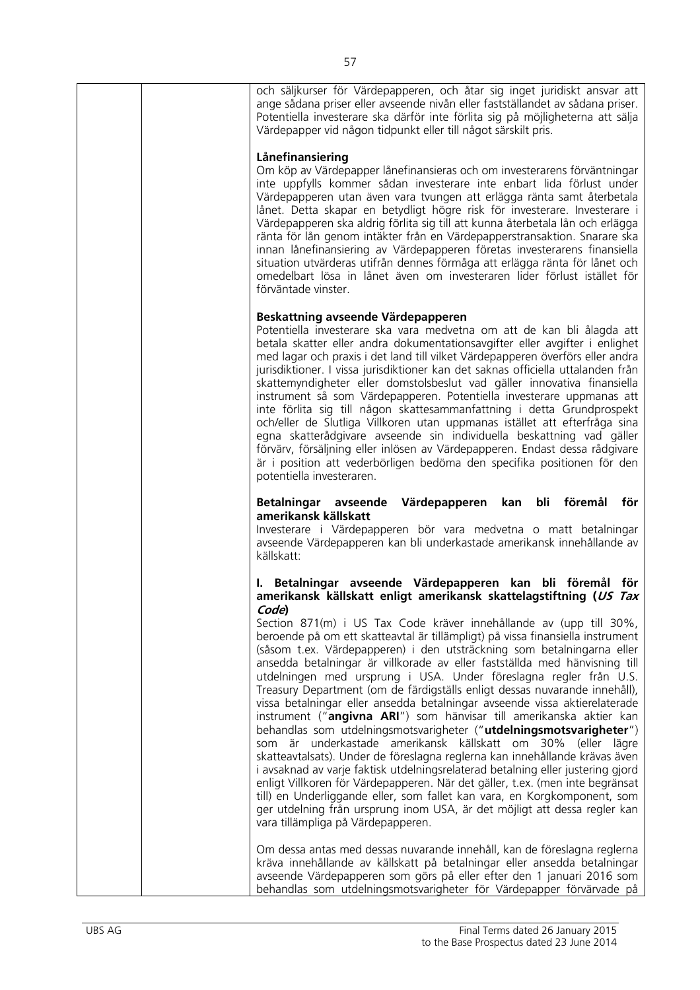| och säljkurser för Värdepapperen, och åtar sig inget juridiskt ansvar att<br>ange sådana priser eller avseende nivån eller fastställandet av sådana priser.<br>Potentiella investerare ska därför inte förlita sig på möjligheterna att sälja<br>Värdepapper vid någon tidpunkt eller till något särskilt pris.                                                                                                                                                                                                                                                                                                                                                                                                                                                                                                                                                                                                                                                                                                                                                                                                                                                                                                                                                                                                                                                                                                                      |
|--------------------------------------------------------------------------------------------------------------------------------------------------------------------------------------------------------------------------------------------------------------------------------------------------------------------------------------------------------------------------------------------------------------------------------------------------------------------------------------------------------------------------------------------------------------------------------------------------------------------------------------------------------------------------------------------------------------------------------------------------------------------------------------------------------------------------------------------------------------------------------------------------------------------------------------------------------------------------------------------------------------------------------------------------------------------------------------------------------------------------------------------------------------------------------------------------------------------------------------------------------------------------------------------------------------------------------------------------------------------------------------------------------------------------------------|
| Lånefinansiering<br>Om köp av Värdepapper lånefinansieras och om investerarens förväntningar<br>inte uppfylls kommer sådan investerare inte enbart lida förlust under<br>Värdepapperen utan även vara tvungen att erlägga ränta samt återbetala<br>lånet. Detta skapar en betydligt högre risk för investerare. Investerare i<br>Värdepapperen ska aldrig förlita sig till att kunna återbetala lån och erlägga<br>ränta för lån genom intäkter från en Värdepapperstransaktion. Snarare ska<br>innan lånefinansiering av Värdepapperen företas investerarens finansiella<br>situation utvärderas utifrån dennes förmåga att erlägga ränta för lånet och<br>omedelbart lösa in lånet även om investeraren lider förlust istället för<br>förväntade vinster.                                                                                                                                                                                                                                                                                                                                                                                                                                                                                                                                                                                                                                                                          |
| Beskattning avseende Värdepapperen<br>Potentiella investerare ska vara medvetna om att de kan bli ålagda att<br>betala skatter eller andra dokumentationsavgifter eller avgifter i enlighet<br>med lagar och praxis i det land till vilket Värdepapperen överförs eller andra<br>jurisdiktioner. I vissa jurisdiktioner kan det saknas officiella uttalanden från<br>skattemyndigheter eller domstolsbeslut vad gäller innovativa finansiella<br>instrument så som Värdepapperen. Potentiella investerare uppmanas att<br>inte förlita sig till någon skattesammanfattning i detta Grundprospekt<br>och/eller de Slutliga Villkoren utan uppmanas istället att efterfråga sina<br>egna skatterådgivare avseende sin individuella beskattning vad gäller<br>förvärv, försäljning eller inlösen av Värdepapperen. Endast dessa rådgivare<br>är i position att vederbörligen bedöma den specifika positionen för den<br>potentiella investeraren.                                                                                                                                                                                                                                                                                                                                                                                                                                                                                       |
| Värdepapperen kan bli föremål för<br>Betalningar avseende<br>amerikansk källskatt<br>Investerare i Värdepapperen bör vara medvetna o matt betalningar<br>avseende Värdepapperen kan bli underkastade amerikansk innehållande av<br>källskatt:                                                                                                                                                                                                                                                                                                                                                                                                                                                                                                                                                                                                                                                                                                                                                                                                                                                                                                                                                                                                                                                                                                                                                                                        |
| I. Betalningar avseende Värdepapperen kan bli föremål för<br>amerikansk källskatt enligt amerikansk skattelagstiftning (US Tax<br>Code)<br>Section 871(m) i US Tax Code kräver innehållande av (upp till 30%,<br>beroende på om ett skatteavtal är tillämpligt) på vissa finansiella instrument<br>(såsom t.ex. Värdepapperen) i den utsträckning som betalningarna eller<br>ansedda betalningar är villkorade av eller fastställda med hänvisning till<br>utdelningen med ursprung i USA. Under föreslagna regler från U.S.<br>Treasury Department (om de färdigställs enligt dessas nuvarande innehåll),<br>vissa betalningar eller ansedda betalningar avseende vissa aktierelaterade<br>instrument ("angivna ARI") som hänvisar till amerikanska aktier kan<br>behandlas som utdelningsmotsvarigheter ("utdelningsmotsvarigheter")<br>som är underkastade amerikansk källskatt om 30% (eller lägre<br>skatteavtalsats). Under de föreslagna reglerna kan innehållande krävas även<br>i avsaknad av varje faktisk utdelningsrelaterad betalning eller justering gjord<br>enligt Villkoren för Värdepapperen. När det gäller, t.ex. (men inte begränsat<br>till) en Underliggande eller, som fallet kan vara, en Korgkomponent, som<br>ger utdelning från ursprung inom USA, är det möjligt att dessa regler kan<br>vara tillämpliga på Värdepapperen.<br>Om dessa antas med dessas nuvarande innehåll, kan de föreslagna reglerna |
| kräva innehållande av källskatt på betalningar eller ansedda betalningar<br>avseende Värdepapperen som görs på eller efter den 1 januari 2016 som<br>behandlas som utdelningsmotsvarigheter för Värdepapper förvärvade på                                                                                                                                                                                                                                                                                                                                                                                                                                                                                                                                                                                                                                                                                                                                                                                                                                                                                                                                                                                                                                                                                                                                                                                                            |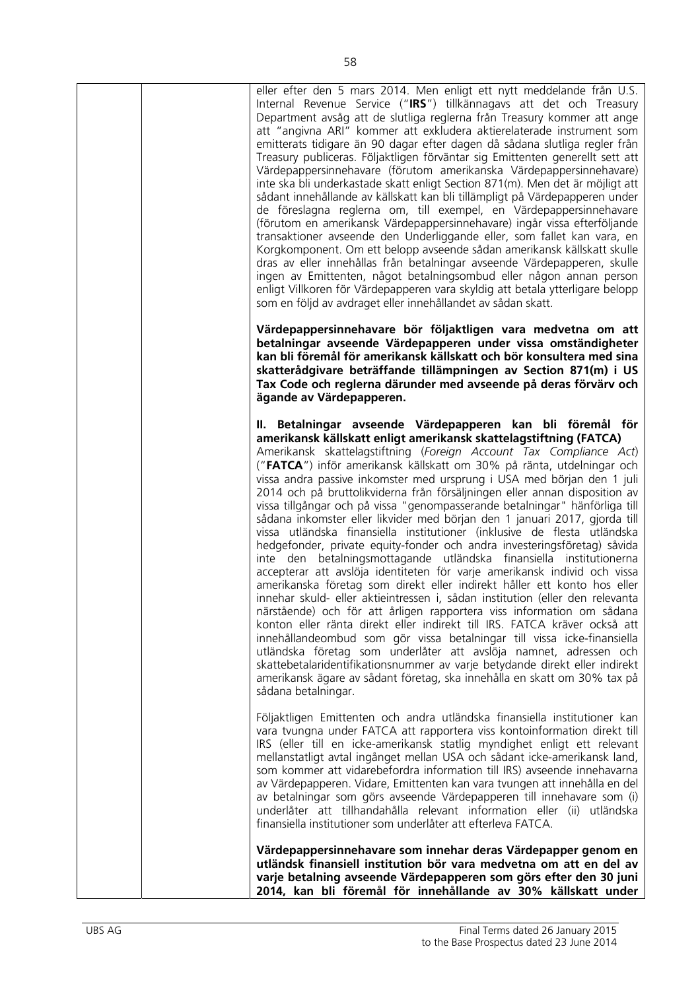| eller efter den 5 mars 2014. Men enligt ett nytt meddelande från U.S.<br>Internal Revenue Service ("IRS") tillkännagavs att det och Treasury<br>Department avsåg att de slutliga reglerna från Treasury kommer att ange<br>att "angivna ARI" kommer att exkludera aktierelaterade instrument som<br>emitterats tidigare än 90 dagar efter dagen då sådana slutliga regler från<br>Treasury publiceras. Följaktligen förväntar sig Emittenten generellt sett att<br>Värdepappersinnehavare (förutom amerikanska Värdepappersinnehavare)<br>inte ska bli underkastade skatt enligt Section 871(m). Men det är möjligt att<br>sådant innehållande av källskatt kan bli tillämpligt på Värdepapperen under<br>de föreslagna reglerna om, till exempel, en Värdepappersinnehavare<br>(förutom en amerikansk Värdepappersinnehavare) ingår vissa efterföljande<br>transaktioner avseende den Underliggande eller, som fallet kan vara, en<br>Korgkomponent. Om ett belopp avseende sådan amerikansk källskatt skulle<br>dras av eller innehållas från betalningar avseende Värdepapperen, skulle<br>ingen av Emittenten, något betalningsombud eller någon annan person<br>enligt Villkoren för Värdepapperen vara skyldig att betala ytterligare belopp<br>som en följd av avdraget eller innehållandet av sådan skatt.                                                                                                                                                                                                                                                   |
|----------------------------------------------------------------------------------------------------------------------------------------------------------------------------------------------------------------------------------------------------------------------------------------------------------------------------------------------------------------------------------------------------------------------------------------------------------------------------------------------------------------------------------------------------------------------------------------------------------------------------------------------------------------------------------------------------------------------------------------------------------------------------------------------------------------------------------------------------------------------------------------------------------------------------------------------------------------------------------------------------------------------------------------------------------------------------------------------------------------------------------------------------------------------------------------------------------------------------------------------------------------------------------------------------------------------------------------------------------------------------------------------------------------------------------------------------------------------------------------------------------------------------------------------------------------------|
| Värdepappersinnehavare bör följaktligen vara medvetna om att<br>betalningar avseende Värdepapperen under vissa omständigheter<br>kan bli föremål för amerikansk källskatt och bör konsultera med sina<br>skatterådgivare beträffande tillämpningen av Section 871(m) i US<br>Tax Code och reglerna därunder med avseende på deras förvärv och<br>ägande av Värdepapperen.                                                                                                                                                                                                                                                                                                                                                                                                                                                                                                                                                                                                                                                                                                                                                                                                                                                                                                                                                                                                                                                                                                                                                                                            |
| II. Betalningar avseende Värdepapperen kan bli föremål för<br>amerikansk källskatt enligt amerikansk skattelagstiftning (FATCA)<br>Amerikansk skattelagstiftning (Foreign Account Tax Compliance Act)<br>("FATCA") inför amerikansk källskatt om 30% på ränta, utdelningar och<br>vissa andra passive inkomster med ursprung i USA med början den 1 juli<br>2014 och på bruttolikviderna från försäljningen eller annan disposition av<br>vissa tillgångar och på vissa "genompasserande betalningar" hänförliga till<br>sådana inkomster eller likvider med början den 1 januari 2017, gjorda till<br>vissa utländska finansiella institutioner (inklusive de flesta utländska<br>hedgefonder, private equity-fonder och andra investeringsföretag) såvida<br>inte den betalningsmottagande utländska finansiella institutionerna<br>accepterar att avslöja identiteten för varje amerikansk individ och vissa<br>amerikanska företag som direkt eller indirekt håller ett konto hos eller<br>innehar skuld- eller aktieintressen i, sådan institution (eller den relevanta<br>närstående) och för att årligen rapportera viss information om sådana<br>konton eller ränta direkt eller indirekt till IRS. FATCA kräver också att<br>innehållandeombud som gör vissa betalningar till vissa icke-finansiella<br>utländska företag som underlåter att avslöja namnet, adressen och<br>skattebetalaridentifikationsnummer av varje betydande direkt eller indirekt<br>amerikansk ägare av sådant företag, ska innehålla en skatt om 30% tax på<br>sådana betalningar. |
| Följaktligen Emittenten och andra utländska finansiella institutioner kan<br>vara tvungna under FATCA att rapportera viss kontoinformation direkt till<br>IRS (eller till en icke-amerikansk statlig myndighet enligt ett relevant<br>mellanstatligt avtal ingånget mellan USA och sådant icke-amerikansk land,<br>som kommer att vidarebefordra information till IRS) avseende innehavarna<br>av Värdepapperen. Vidare, Emittenten kan vara tvungen att innehålla en del<br>av betalningar som görs avseende Värdepapperen till innehavare som (i)<br>underlåter att tillhandahålla relevant information eller (ii) utländska<br>finansiella institutioner som underlåter att efterleva FATCA.                                                                                                                                                                                                                                                                                                                                                                                                                                                                                                                                                                                                                                                                                                                                                                                                                                                                      |
| Värdepappersinnehavare som innehar deras Värdepapper genom en<br>utländsk finansiell institution bör vara medvetna om att en del av<br>varje betalning avseende Värdepapperen som görs efter den 30 juni<br>2014, kan bli föremål för innehållande av 30% källskatt under                                                                                                                                                                                                                                                                                                                                                                                                                                                                                                                                                                                                                                                                                                                                                                                                                                                                                                                                                                                                                                                                                                                                                                                                                                                                                            |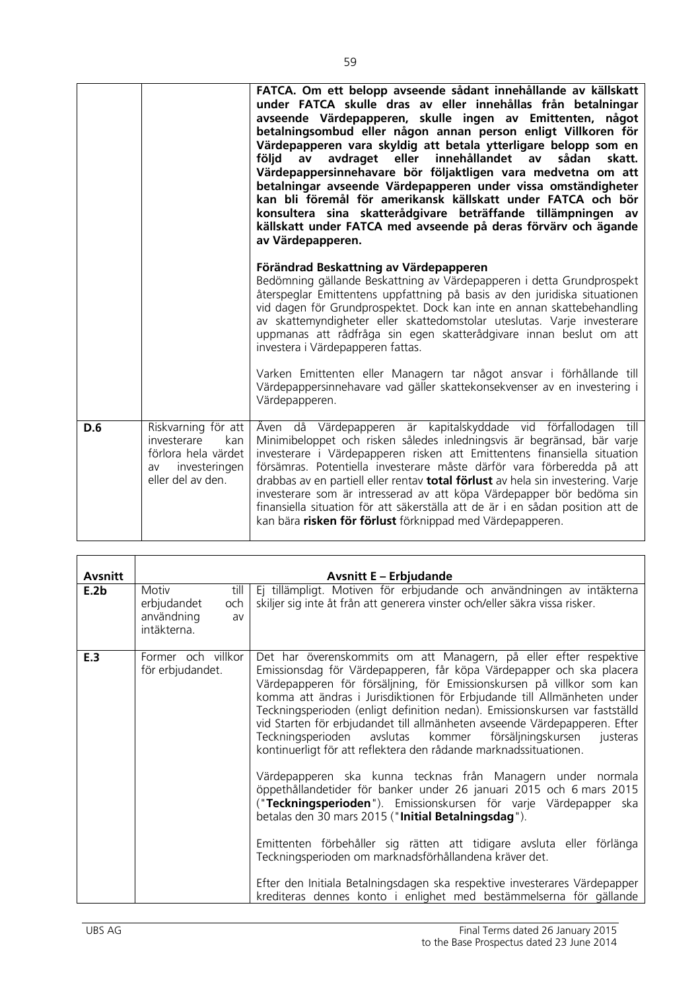|     |                                                                                                              | FATCA. Om ett belopp avseende sådant innehållande av källskatt<br>under FATCA skulle dras av eller innehållas från betalningar<br>avseende Värdepapperen, skulle ingen av Emittenten, något<br>betalningsombud eller någon annan person enligt Villkoren för<br>Värdepapperen vara skyldig att betala ytterligare belopp som en<br>följd<br>avdraget eller innehållandet av<br>sådan<br>skatt.<br>av<br>Värdepappersinnehavare bör följaktligen vara medvetna om att<br>betalningar avseende Värdepapperen under vissa omständigheter<br>kan bli föremål för amerikansk källskatt under FATCA och bör<br>konsultera sina skatterådgivare beträffande tillämpningen av<br>källskatt under FATCA med avseende på deras förvärv och ägande<br>av Värdepapperen. |
|-----|--------------------------------------------------------------------------------------------------------------|--------------------------------------------------------------------------------------------------------------------------------------------------------------------------------------------------------------------------------------------------------------------------------------------------------------------------------------------------------------------------------------------------------------------------------------------------------------------------------------------------------------------------------------------------------------------------------------------------------------------------------------------------------------------------------------------------------------------------------------------------------------|
|     |                                                                                                              | Förändrad Beskattning av Värdepapperen<br>Bedömning gällande Beskattning av Värdepapperen i detta Grundprospekt<br>återspeglar Emittentens uppfattning på basis av den juridiska situationen<br>vid dagen för Grundprospektet. Dock kan inte en annan skattebehandling<br>av skattemyndigheter eller skattedomstolar uteslutas. Varje investerare<br>uppmanas att rådfråga sin egen skatterådgivare innan beslut om att<br>investera i Värdepapperen fattas.                                                                                                                                                                                                                                                                                                 |
|     |                                                                                                              | Varken Emittenten eller Managern tar något ansvar i förhållande till<br>Värdepappersinnehavare vad gäller skattekonsekvenser av en investering i<br>Värdepapperen.                                                                                                                                                                                                                                                                                                                                                                                                                                                                                                                                                                                           |
| D.6 | Riskvarning för att<br>investerare<br>kan<br>förlora hela värdet<br>investeringen<br>av<br>eller del av den. | då Värdepapperen är kapitalskyddade vid förfallodagen till<br>Aven<br>Minimibeloppet och risken således inledningsvis är begränsad, bär varje<br>investerare i Värdepapperen risken att Emittentens finansiella situation<br>försämras. Potentiella investerare måste därför vara förberedda på att<br>drabbas av en partiell eller rentav total förlust av hela sin investering. Varje<br>investerare som är intresserad av att köpa Värdepapper bör bedöma sin<br>finansiella situation för att säkerställa att de är i en sådan position att de<br>kan bära risken för förlust förknippad med Värdepapperen.                                                                                                                                              |

| <b>Avsnitt</b> |                                                                        | <b>Avsnitt E - Erbjudande</b>                                                                                                                                                                                                                                                                                                                                                                                                                                                                                                                                                                          |
|----------------|------------------------------------------------------------------------|--------------------------------------------------------------------------------------------------------------------------------------------------------------------------------------------------------------------------------------------------------------------------------------------------------------------------------------------------------------------------------------------------------------------------------------------------------------------------------------------------------------------------------------------------------------------------------------------------------|
| E.2b           | till<br>Motiv<br>erbjudandet<br>och<br>användning<br>av<br>intäkterna. | Ej tillämpligt. Motiven för erbjudande och användningen av intäkterna<br>skiljer sig inte åt från att generera vinster och/eller säkra vissa risker.                                                                                                                                                                                                                                                                                                                                                                                                                                                   |
| E.3            | Former och villkor<br>för erbjudandet.                                 | Det har överenskommits om att Managern, på eller efter respektive<br>Emissionsdag för Värdepapperen, får köpa Värdepapper och ska placera<br>Värdepapperen för försäljning, för Emissionskursen på villkor som kan<br>komma att ändras i Jurisdiktionen för Erbjudande till Allmänheten under<br>Teckningsperioden (enligt definition nedan). Emissionskursen var fastställd<br>vid Starten för erbjudandet till allmänheten avseende Värdepapperen. Efter<br>Teckningsperioden avslutas<br>kommer försäljningskursen<br>justeras<br>kontinuerligt för att reflektera den rådande marknadssituationen. |
|                |                                                                        | Värdepapperen ska kunna tecknas från Managern under normala<br>öppethållandetider för banker under 26 januari 2015 och 6 mars 2015<br>("Teckningsperioden"). Emissionskursen för varje Värdepapper ska<br>betalas den 30 mars 2015 ("Initial Betalningsdag").<br>Emittenten förbehåller sig rätten att tidigare avsluta eller förlänga                                                                                                                                                                                                                                                                 |
|                |                                                                        | Teckningsperioden om marknadsförhållandena kräver det.<br>Efter den Initiala Betalningsdagen ska respektive investerares Värdepapper<br>krediteras dennes konto i enlighet med bestämmelserna för gällande                                                                                                                                                                                                                                                                                                                                                                                             |